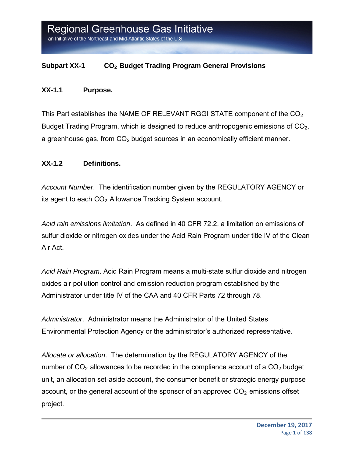#### **Subpart XX-1 CO2 Budget Trading Program General Provisions**

#### **XX-1.1 Purpose.**

This Part establishes the NAME OF RELEVANT RGGI STATE component of the  $CO<sub>2</sub>$ Budget Trading Program, which is designed to reduce anthropogenic emissions of CO<sub>2</sub>, a greenhouse gas, from  $CO<sub>2</sub>$  budget sources in an economically efficient manner.

#### **XX-1.2 Definitions.**

*Account Number*. The identification number given by the REGULATORY AGENCY or its agent to each  $CO<sub>2</sub>$  Allowance Tracking System account.

*Acid rain emissions limitation*. As defined in 40 CFR 72.2, a limitation on emissions of sulfur dioxide or nitrogen oxides under the Acid Rain Program under title IV of the Clean Air Act.

*Acid Rain Program*. Acid Rain Program means a multi-state sulfur dioxide and nitrogen oxides air pollution control and emission reduction program established by the Administrator under title IV of the CAA and 40 CFR Parts 72 through 78.

*Administrator*. Administrator means the Administrator of the United States Environmental Protection Agency or the administrator's authorized representative.

*Allocate or allocation*. The determination by the REGULATORY AGENCY of the number of  $CO<sub>2</sub>$  allowances to be recorded in the compliance account of a  $CO<sub>2</sub>$  budget unit, an allocation set-aside account, the consumer benefit or strategic energy purpose account, or the general account of the sponsor of an approved  $CO<sub>2</sub>$  emissions offset project.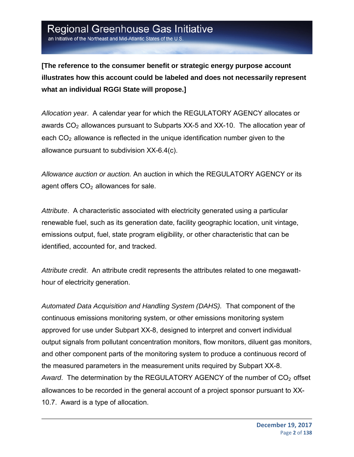an Initiative of the Northeast and Mid-Atlantic States of the U.S

**[The reference to the consumer benefit or strategic energy purpose account illustrates how this account could be labeled and does not necessarily represent what an individual RGGI State will propose.]** 

*Allocation year*. A calendar year for which the REGULATORY AGENCY allocates or awards  $CO<sub>2</sub>$  allowances pursuant to Subparts XX-5 and XX-10. The allocation year of each  $CO<sub>2</sub>$  allowance is reflected in the unique identification number given to the allowance pursuant to subdivision XX-6.4(c).

*Allowance auction or auction.* An auction in which the REGULATORY AGENCY or its agent offers  $CO<sub>2</sub>$  allowances for sale.

*Attribute*. A characteristic associated with electricity generated using a particular renewable fuel, such as its generation date, facility geographic location, unit vintage, emissions output, fuel, state program eligibility, or other characteristic that can be identified, accounted for, and tracked.

*Attribute credit*. An attribute credit represents the attributes related to one megawatthour of electricity generation.

*Automated Data Acquisition and Handling System (DAHS).* That component of the continuous emissions monitoring system, or other emissions monitoring system approved for use under Subpart XX-8, designed to interpret and convert individual output signals from pollutant concentration monitors, flow monitors, diluent gas monitors, and other component parts of the monitoring system to produce a continuous record of the measured parameters in the measurement units required by Subpart XX-8. Award. The determination by the REGULATORY AGENCY of the number of CO<sub>2</sub> offset allowances to be recorded in the general account of a project sponsor pursuant to XX-10.7. Award is a type of allocation.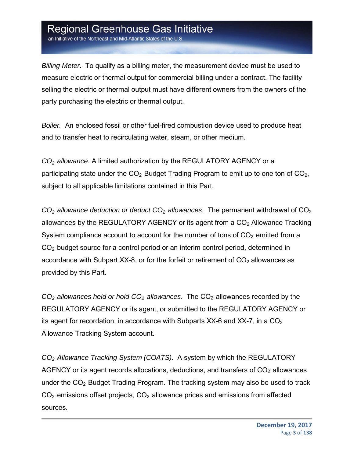an Initiative of the Northeast and Mid-Atlantic States of the U.S

*Billing Meter*. To qualify as a billing meter, the measurement device must be used to measure electric or thermal output for commercial billing under a contract. The facility selling the electric or thermal output must have different owners from the owners of the party purchasing the electric or thermal output.

*Boiler.* An enclosed fossil or other fuel-fired combustion device used to produce heat and to transfer heat to recirculating water, steam, or other medium.

*CO2 allowance*. A limited authorization by the REGULATORY AGENCY or a participating state under the  $CO<sub>2</sub>$  Budget Trading Program to emit up to one ton of  $CO<sub>2</sub>$ , subject to all applicable limitations contained in this Part.

*CO2 allowance deduction or deduct CO2 allowances*. The permanent withdrawal of CO2 allowances by the REGULATORY AGENCY or its agent from a  $CO<sub>2</sub>$  Allowance Tracking System compliance account to account for the number of tons of  $CO<sub>2</sub>$  emitted from a CO2 budget source for a control period or an interim control period, determined in accordance with Subpart XX-8, or for the forfeit or retirement of  $CO<sub>2</sub>$  allowances as provided by this Part.

 $CO<sub>2</sub>$  *allowances held or hold*  $CO<sub>2</sub>$  *allowances*. The  $CO<sub>2</sub>$  allowances recorded by the REGULATORY AGENCY or its agent, or submitted to the REGULATORY AGENCY or its agent for recordation, in accordance with Subparts  $XX-6$  and  $XX-7$ , in a  $CO<sub>2</sub>$ Allowance Tracking System account.

*CO2 Allowance Tracking System (COATS)*. A system by which the REGULATORY AGENCY or its agent records allocations, deductions, and transfers of  $CO<sub>2</sub>$  allowances under the  $CO<sub>2</sub>$  Budget Trading Program. The tracking system may also be used to track  $CO<sub>2</sub>$  emissions offset projects,  $CO<sub>2</sub>$  allowance prices and emissions from affected sources.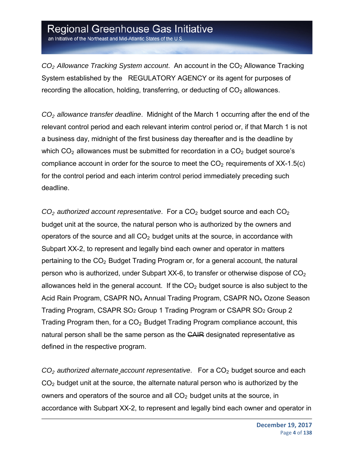an Initiative of the Northeast and Mid-Atlantic States of the U.S.

*CO2 Allowance Tracking System account*. An account in the CO2 Allowance Tracking System established by the REGULATORY AGENCY or its agent for purposes of recording the allocation, holding, transferring, or deducting of  $CO<sub>2</sub>$  allowances.

*CO2 allowance transfer deadline*. Midnight of the March 1 occurring after the end of the relevant control period and each relevant interim control period or, if that March 1 is not a business day, midnight of the first business day thereafter and is the deadline by which  $CO<sub>2</sub>$  allowances must be submitted for recordation in a  $CO<sub>2</sub>$  budget source's compliance account in order for the source to meet the  $CO<sub>2</sub>$  requirements of XX-1.5(c) for the control period and each interim control period immediately preceding such deadline.

*CO2 authorized account representative*. For a CO2 budget source and each CO2 budget unit at the source, the natural person who is authorized by the owners and operators of the source and all  $CO<sub>2</sub>$  budget units at the source, in accordance with Subpart XX-2, to represent and legally bind each owner and operator in matters pertaining to the  $CO<sub>2</sub>$  Budget Trading Program or, for a general account, the natural person who is authorized, under Subpart XX-6, to transfer or otherwise dispose of  $CO<sub>2</sub>$ allowances held in the general account. If the  $CO<sub>2</sub>$  budget source is also subject to the Acid Rain Program, CSAPR NO<sub>x</sub> Annual Trading Program, CSAPR NO<sub>x</sub> Ozone Season Trading Program, CSAPR SO2 Group 1 Trading Program or CSAPR SO2 Group 2 Trading Program then, for a  $CO<sub>2</sub>$  Budget Trading Program compliance account, this natural person shall be the same person as the CAIR designated representative as defined in the respective program.

*CO2 authorized alternate account representative*. For a CO2 budget source and each  $CO<sub>2</sub>$  budget unit at the source, the alternate natural person who is authorized by the owners and operators of the source and all  $CO<sub>2</sub>$  budget units at the source, in accordance with Subpart XX-2, to represent and legally bind each owner and operator in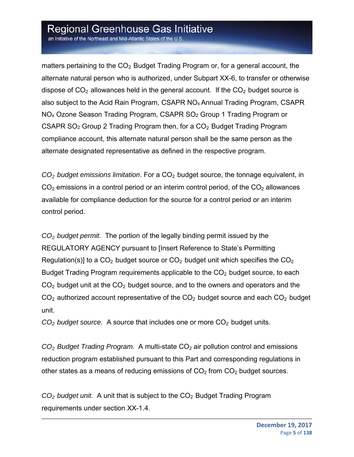an Initiative of the Northeast and Mid-Atlantic States of the U.S.

matters pertaining to the  $CO<sub>2</sub>$  Budget Trading Program or, for a general account, the alternate natural person who is authorized, under Subpart XX-6, to transfer or otherwise dispose of  $CO<sub>2</sub>$  allowances held in the general account. If the  $CO<sub>2</sub>$  budget source is also subject to the Acid Rain Program, CSAPR NOx Annual Trading Program, CSAPR NOx Ozone Season Trading Program, CSAPR SO2 Group 1 Trading Program or CSAPR  $SO<sub>2</sub>$  Group 2 Trading Program then, for a  $CO<sub>2</sub>$  Budget Trading Program compliance account, this alternate natural person shall be the same person as the alternate designated representative as defined in the respective program.

*CO2 budget emissions limitation*. For a CO2 budget source, the tonnage equivalent, in  $CO<sub>2</sub>$  emissions in a control period or an interim control period, of the  $CO<sub>2</sub>$  allowances available for compliance deduction for the source for a control period or an interim control period.

*CO2 budget permit*. The portion of the legally binding permit issued by the REGULATORY AGENCY pursuant to [Insert Reference to State's Permitting Regulation(s)] to a  $CO<sub>2</sub>$  budget source or  $CO<sub>2</sub>$  budget unit which specifies the  $CO<sub>2</sub>$ Budget Trading Program requirements applicable to the CO<sub>2</sub> budget source, to each  $CO<sub>2</sub>$  budget unit at the  $CO<sub>2</sub>$  budget source, and to the owners and operators and the  $CO<sub>2</sub>$  authorized account representative of the  $CO<sub>2</sub>$  budget source and each  $CO<sub>2</sub>$  budget unit.

*CO2 budget source.* A source that includes one or more CO2 budget units.

*CO<sub>2</sub> Budget Trading Program.* A multi-state CO<sub>2</sub> air pollution control and emissions reduction program established pursuant to this Part and corresponding regulations in other states as a means of reducing emissions of  $CO<sub>2</sub>$  from  $CO<sub>2</sub>$  budget sources.

*CO2 budget unit*. A unit that is subject to the CO2 Budget Trading Program requirements under section XX-1.4.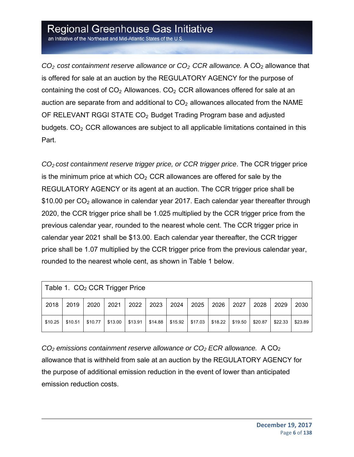an Initiative of the Northeast and Mid-Atlantic States of the U.S.

*CO2 cost containment reserve allowance or CO2 CCR allowance.* A CO2 allowance that is offered for sale at an auction by the REGULATORY AGENCY for the purpose of containing the cost of  $CO<sub>2</sub>$  Allowances.  $CO<sub>2</sub>$  CCR allowances offered for sale at an auction are separate from and additional to  $CO<sub>2</sub>$  allowances allocated from the NAME OF RELEVANT RGGI STATE CO<sub>2</sub> Budget Trading Program base and adjusted budgets.  $CO<sub>2</sub> CCR$  allowances are subject to all applicable limitations contained in this Part.

*CO2 cost containment reserve trigger price, or CCR trigger price*. The CCR trigger price is the minimum price at which  $CO<sub>2</sub> CCR$  allowances are offered for sale by the REGULATORY AGENCY or its agent at an auction. The CCR trigger price shall be  $$10.00$  per CO<sub>2</sub> allowance in calendar year 2017. Each calendar year thereafter through 2020, the CCR trigger price shall be 1.025 multiplied by the CCR trigger price from the previous calendar year, rounded to the nearest whole cent. The CCR trigger price in calendar year 2021 shall be \$13.00. Each calendar year thereafter, the CCR trigger price shall be 1.07 multiplied by the CCR trigger price from the previous calendar year, rounded to the nearest whole cent, as shown in Table 1 below.

| Table 1. CO <sub>2</sub> CCR Trigger Price |         |         |         |         |         |         |         |         |         |         |         |         |
|--------------------------------------------|---------|---------|---------|---------|---------|---------|---------|---------|---------|---------|---------|---------|
| 2018                                       | 2019    | 2020    | 2021    | 2022    | 2023    | 2024    | 2025    | 2026    | 2027    | 2028    | 2029    | 2030    |
| \$10.25                                    | \$10.51 | \$10.77 | \$13.00 | \$13.91 | \$14.88 | \$15.92 | \$17.03 | \$18.22 | \$19.50 | \$20.87 | \$22.33 | \$23.89 |

*CO2 emissions containment reserve allowance or CO2 ECR allowance.* A CO2 allowance that is withheld from sale at an auction by the REGULATORY AGENCY for the purpose of additional emission reduction in the event of lower than anticipated emission reduction costs.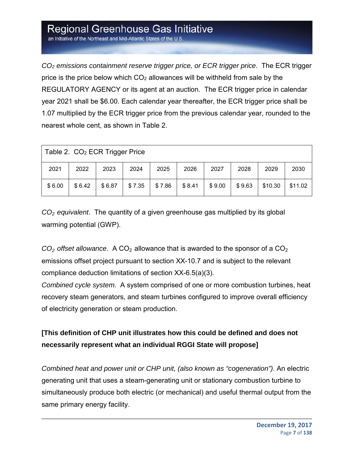an Initiative of the Northeast and Mid-Atlantic States of the U.S

*CO2 emissions containment reserve trigger price, or ECR trigger price*. The ECR trigger price is the price below which  $CO<sub>2</sub>$  allowances will be withheld from sale by the REGULATORY AGENCY or its agent at an auction. The ECR trigger price in calendar year 2021 shall be \$6.00. Each calendar year thereafter, the ECR trigger price shall be 1.07 multiplied by the ECR trigger price from the previous calendar year, rounded to the nearest whole cent, as shown in Table 2.

| Table 2. CO <sub>2</sub> ECR Trigger Price |        |        |        |        |        |        |        |         |         |  |  |
|--------------------------------------------|--------|--------|--------|--------|--------|--------|--------|---------|---------|--|--|
| 2021                                       | 2022   | 2023   | 2024   | 2025   | 2026   | 2027   | 2028   | 2029    | 2030    |  |  |
| \$6.00                                     | \$6.42 | \$6.87 | \$7.35 | \$7.86 | \$8.41 | \$9.00 | \$9.63 | \$10.30 | \$11.02 |  |  |

*CO2 equivalent*. The quantity of a given greenhouse gas multiplied by its global warming potential (GWP).

 $CO<sub>2</sub>$  *offset allowance*. A  $CO<sub>2</sub>$  allowance that is awarded to the sponsor of a  $CO<sub>2</sub>$ emissions offset project pursuant to section XX-10.7 and is subject to the relevant compliance deduction limitations of section XX-6.5(a)(3).

*Combined cycle system*. A system comprised of one or more combustion turbines, heat recovery steam generators, and steam turbines configured to improve overall efficiency of electricity generation or steam production.

### **[This definition of CHP unit illustrates how this could be defined and does not necessarily represent what an individual RGGI State will propose]**

*Combined heat and power unit or CHP unit, (also known as "cogeneration")*. An electric generating unit that uses a steam-generating unit or stationary combustion turbine to simultaneously produce both electric (or mechanical) and useful thermal output from the same primary energy facility.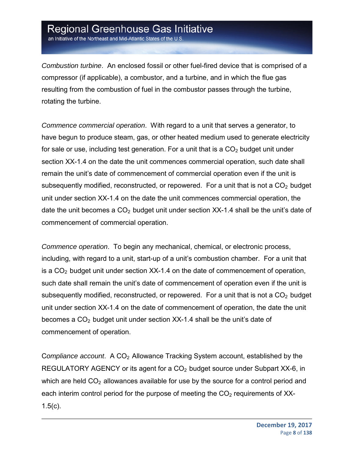an Initiative of the Northeast and Mid-Atlantic States of the U.S.

*Combustion turbine*. An enclosed fossil or other fuel-fired device that is comprised of a compressor (if applicable), a combustor, and a turbine, and in which the flue gas resulting from the combustion of fuel in the combustor passes through the turbine, rotating the turbine.

*Commence commercial operation*. With regard to a unit that serves a generator, to have begun to produce steam, gas, or other heated medium used to generate electricity for sale or use, including test generation. For a unit that is a  $CO<sub>2</sub>$  budget unit under section XX-1.4 on the date the unit commences commercial operation, such date shall remain the unit's date of commencement of commercial operation even if the unit is subsequently modified, reconstructed, or repowered. For a unit that is not a  $CO<sub>2</sub>$  budget unit under section XX-1.4 on the date the unit commences commercial operation, the date the unit becomes a  $CO<sub>2</sub>$  budget unit under section XX-1.4 shall be the unit's date of commencement of commercial operation.

*Commence operation*. To begin any mechanical, chemical, or electronic process, including, with regard to a unit, start-up of a unit's combustion chamber. For a unit that is a  $CO<sub>2</sub>$  budget unit under section XX-1.4 on the date of commencement of operation, such date shall remain the unit's date of commencement of operation even if the unit is subsequently modified, reconstructed, or repowered. For a unit that is not a  $CO<sub>2</sub>$  budget unit under section XX-1.4 on the date of commencement of operation, the date the unit becomes a  $CO<sub>2</sub>$  budget unit under section XX-1.4 shall be the unit's date of commencement of operation.

C*ompliance account*. A CO2 Allowance Tracking System account, established by the REGULATORY AGENCY or its agent for a  $CO<sub>2</sub>$  budget source under Subpart XX-6, in which are held  $CO<sub>2</sub>$  allowances available for use by the source for a control period and each interim control period for the purpose of meeting the  $CO<sub>2</sub>$  requirements of XX-1.5(c).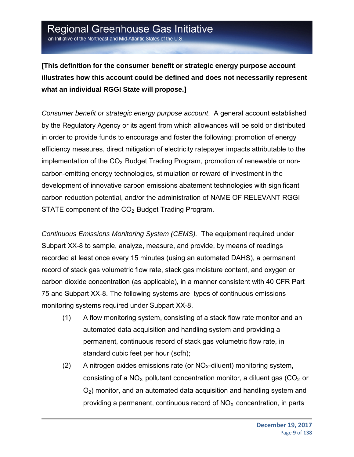**[This definition for the consumer benefit or strategic energy purpose account illustrates how this account could be defined and does not necessarily represent what an individual RGGI State will propose.]**

*Consumer benefit or strategic energy purpose account*. A general account established by the Regulatory Agency or its agent from which allowances will be sold or distributed in order to provide funds to encourage and foster the following: promotion of energy efficiency measures, direct mitigation of electricity ratepayer impacts attributable to the implementation of the  $CO<sub>2</sub>$  Budget Trading Program, promotion of renewable or noncarbon-emitting energy technologies, stimulation or reward of investment in the development of innovative carbon emissions abatement technologies with significant carbon reduction potential, and/or the administration of NAME OF RELEVANT RGGI STATE component of the  $CO<sub>2</sub>$  Budget Trading Program.

*Continuous Emissions Monitoring System (CEMS).* The equipment required under Subpart XX-8 to sample, analyze, measure, and provide, by means of readings recorded at least once every 15 minutes (using an automated DAHS), a permanent record of stack gas volumetric flow rate, stack gas moisture content, and oxygen or carbon dioxide concentration (as applicable), in a manner consistent with 40 CFR Part 75 and Subpart XX-8. The following systems are types of continuous emissions monitoring systems required under Subpart XX-8.

- (1) A flow monitoring system, consisting of a stack flow rate monitor and an automated data acquisition and handling system and providing a permanent, continuous record of stack gas volumetric flow rate, in standard cubic feet per hour (scfh);
- (2) A nitrogen oxides emissions rate (or  $NO<sub>X</sub>$ -diluent) monitoring system, consisting of a  $NO<sub>x</sub>$  pollutant concentration monitor, a diluent gas ( $CO<sub>2</sub>$  or  $O<sub>2</sub>$ ) monitor, and an automated data acquisition and handling system and providing a permanent, continuous record of  $NO<sub>x</sub>$  concentration, in parts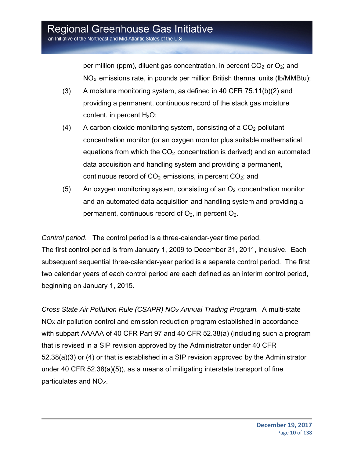per million (ppm), diluent gas concentration, in percent  $CO<sub>2</sub>$  or  $O<sub>2</sub>$ ; and  $NO<sub>X</sub>$  emissions rate, in pounds per million British thermal units (Ib/MMBtu);

- (3) A moisture monitoring system, as defined in 40 CFR 75.11(b)(2) and providing a permanent, continuous record of the stack gas moisture content, in percent  $H_2O$ ;
- (4) A carbon dioxide monitoring system, consisting of a  $CO<sub>2</sub>$  pollutant concentration monitor (or an oxygen monitor plus suitable mathematical equations from which the  $CO<sub>2</sub>$  concentration is derived) and an automated data acquisition and handling system and providing a permanent, continuous record of  $CO<sub>2</sub>$  emissions, in percent  $CO<sub>2</sub>$ ; and
- (5) An oxygen monitoring system, consisting of an  $O<sub>2</sub>$  concentration monitor and an automated data acquisition and handling system and providing a permanent, continuous record of  $O_2$ , in percent  $O_2$ .

*Control period*. The control period is a three-calendar-year time period.

The first control period is from January 1, 2009 to December 31, 2011, inclusive. Each subsequent sequential three-calendar-year period is a separate control period. The first two calendar years of each control period are each defined as an interim control period, beginning on January 1, 2015.

*Cross State Air Pollution Rule (CSAPR) NOX Annual Trading Program.* A multi-state  $NO<sub>X</sub>$  air pollution control and emission reduction program established in accordance with subpart AAAAA of 40 CFR Part 97 and 40 CFR 52.38(a) (including such a program that is revised in a SIP revision approved by the Administrator under 40 CFR 52.38(a)(3) or (4) or that is established in a SIP revision approved by the Administrator under 40 CFR 52.38(a)(5)), as a means of mitigating interstate transport of fine particulates and NO*X*.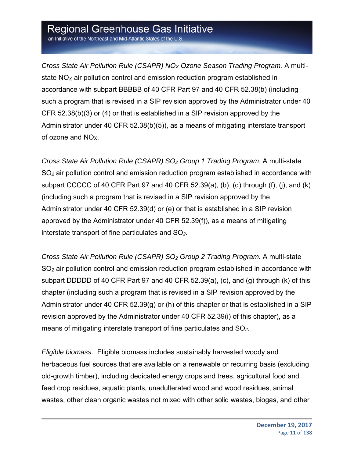an Initiative of the Northeast and Mid-Atlantic States of the U.S.

*Cross State Air Pollution Rule (CSAPR) NOX Ozone Season Trading Program.* A multistate NO*X* air pollution control and emission reduction program established in accordance with subpart BBBBB of 40 CFR Part 97 and 40 CFR 52.38(b) (including such a program that is revised in a SIP revision approved by the Administrator under 40 CFR 52.38(b)(3) or (4) or that is established in a SIP revision approved by the Administrator under 40 CFR 52.38(b)(5)), as a means of mitigating interstate transport of ozone and NOX.

*Cross State Air Pollution Rule (CSAPR) SO2 Group 1 Trading Program*. A multi-state SO*2* air pollution control and emission reduction program established in accordance with subpart CCCCC of 40 CFR Part 97 and 40 CFR 52.39(a), (b), (d) through (f), (j), and (k) (including such a program that is revised in a SIP revision approved by the Administrator under 40 CFR 52.39(d) or (e) or that is established in a SIP revision approved by the Administrator under 40 CFR 52.39(f)), as a means of mitigating interstate transport of fine particulates and SO*2*.

*Cross State Air Pollution Rule (CSAPR) SO2 Group 2 Trading Program.* A multi-state SO*2* air pollution control and emission reduction program established in accordance with subpart DDDDD of 40 CFR Part 97 and 40 CFR 52.39(a), (c), and (g) through (k) of this chapter (including such a program that is revised in a SIP revision approved by the Administrator under 40 CFR 52.39(g) or (h) of this chapter or that is established in a SIP revision approved by the Administrator under 40 CFR 52.39(i) of this chapter), as a means of mitigating interstate transport of fine particulates and SO*2*.

*Eligible biomass*. Eligible biomass includes sustainably harvested woody and herbaceous fuel sources that are available on a renewable or recurring basis (excluding old-growth timber), including dedicated energy crops and trees, agricultural food and feed crop residues, aquatic plants, unadulterated wood and wood residues, animal wastes, other clean organic wastes not mixed with other solid wastes, biogas, and other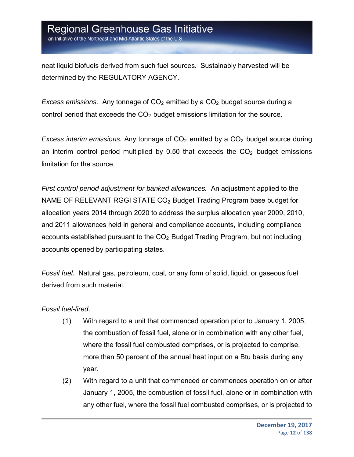an Initiative of the Northeast and Mid-Atlantic States of the U.S.

neat liquid biofuels derived from such fuel sources. Sustainably harvested will be determined by the REGULATORY AGENCY.

*Excess emissions.* Any tonnage of CO<sub>2</sub> emitted by a CO<sub>2</sub> budget source during a control period that exceeds the  $CO<sub>2</sub>$  budget emissions limitation for the source.

*Excess interim emissions.* Any tonnage of CO<sub>2</sub> emitted by a CO<sub>2</sub> budget source during an interim control period multiplied by 0.50 that exceeds the  $CO<sub>2</sub>$  budget emissions limitation for the source.

*First control period adjustment for banked allowances.* An adjustment applied to the NAME OF RELEVANT RGGI STATE  $CO<sub>2</sub>$  Budget Trading Program base budget for allocation years 2014 through 2020 to address the surplus allocation year 2009, 2010, and 2011 allowances held in general and compliance accounts, including compliance accounts established pursuant to the  $CO<sub>2</sub>$  Budget Trading Program, but not including accounts opened by participating states.

*Fossil fuel.* Natural gas, petroleum, coal, or any form of solid, liquid, or gaseous fuel derived from such material.

#### *Fossil fuel-fired*.

- (1) With regard to a unit that commenced operation prior to January 1, 2005, the combustion of fossil fuel, alone or in combination with any other fuel, where the fossil fuel combusted comprises, or is projected to comprise, more than 50 percent of the annual heat input on a Btu basis during any year.
- (2) With regard to a unit that commenced or commences operation on or after January 1, 2005, the combustion of fossil fuel, alone or in combination with any other fuel, where the fossil fuel combusted comprises, or is projected to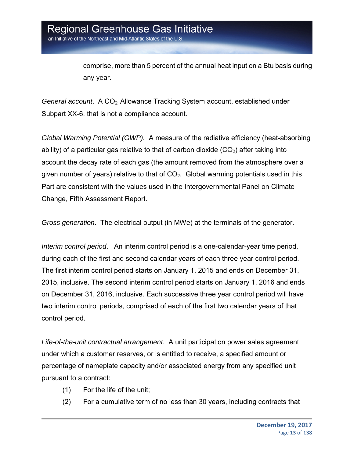comprise, more than 5 percent of the annual heat input on a Btu basis during any year.

General account. A CO<sub>2</sub> Allowance Tracking System account, established under Subpart XX-6, that is not a compliance account.

*Global Warming Potential (GWP).* A measure of the radiative efficiency (heat-absorbing ability) of a particular gas relative to that of carbon dioxide  $(CO<sub>2</sub>)$  after taking into account the decay rate of each gas (the amount removed from the atmosphere over a given number of years) relative to that of  $CO<sub>2</sub>$ . Global warming potentials used in this Part are consistent with the values used in the Intergovernmental Panel on Climate Change, Fifth Assessment Report.

*Gross generation*. The electrical output (in MWe) at the terminals of the generator.

*Interim control period*. An interim control period is a one-calendar-year time period, during each of the first and second calendar years of each three year control period. The first interim control period starts on January 1, 2015 and ends on December 31, 2015, inclusive. The second interim control period starts on January 1, 2016 and ends on December 31, 2016, inclusive. Each successive three year control period will have two interim control periods, comprised of each of the first two calendar years of that control period.

*Life-of-the-unit contractual arrangement*. A unit participation power sales agreement under which a customer reserves, or is entitled to receive, a specified amount or percentage of nameplate capacity and/or associated energy from any specified unit pursuant to a contract:

- (1) For the life of the unit;
- (2) For a cumulative term of no less than 30 years, including contracts that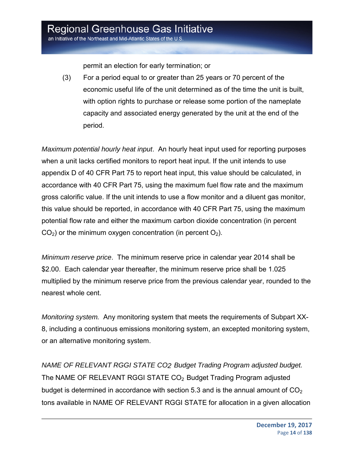an Initiative of the Northeast and Mid-Atlantic States of the U.S.

permit an election for early termination; or

(3) For a period equal to or greater than 25 years or 70 percent of the economic useful life of the unit determined as of the time the unit is built, with option rights to purchase or release some portion of the nameplate capacity and associated energy generated by the unit at the end of the period.

*Maximum potential hourly heat input*. An hourly heat input used for reporting purposes when a unit lacks certified monitors to report heat input. If the unit intends to use appendix D of 40 CFR Part 75 to report heat input, this value should be calculated, in accordance with 40 CFR Part 75, using the maximum fuel flow rate and the maximum gross calorific value. If the unit intends to use a flow monitor and a diluent gas monitor, this value should be reported, in accordance with 40 CFR Part 75, using the maximum potential flow rate and either the maximum carbon dioxide concentration (in percent  $CO<sub>2</sub>$ ) or the minimum oxygen concentration (in percent  $O<sub>2</sub>$ ).

*Minimum reserve price*. The minimum reserve price in calendar year 2014 shall be \$2.00. Each calendar year thereafter, the minimum reserve price shall be 1.025 multiplied by the minimum reserve price from the previous calendar year, rounded to the nearest whole cent.

*Monitoring system.* Any monitoring system that meets the requirements of Subpart XX-8, including a continuous emissions monitoring system, an excepted monitoring system, or an alternative monitoring system.

*NAME OF RELEVANT RGGI STATE CO2 Budget Trading Program adjusted budget.*  The NAME OF RELEVANT RGGI STATE CO<sub>2</sub> Budget Trading Program adjusted budget is determined in accordance with section 5.3 and is the annual amount of  $CO<sub>2</sub>$ tons available in NAME OF RELEVANT RGGI STATE for allocation in a given allocation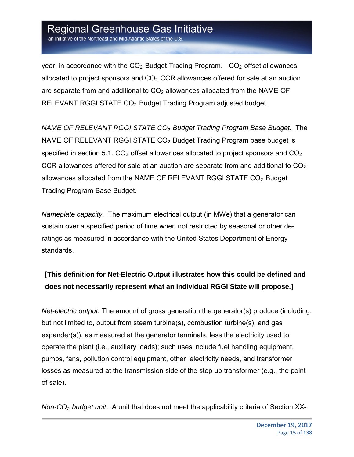an Initiative of the Northeast and Mid-Atlantic States of the U.S.

year, in accordance with the  $CO<sub>2</sub>$  Budget Trading Program.  $CO<sub>2</sub>$  offset allowances allocated to project sponsors and  $CO<sub>2</sub> CCR$  allowances offered for sale at an auction are separate from and additional to  $CO<sub>2</sub>$  allowances allocated from the NAME OF RELEVANT RGGI STATE CO<sub>2</sub> Budget Trading Program adjusted budget.

*NAME OF RELEVANT RGGI STATE CO2 Budget Trading Program Base Budget.* The NAME OF RELEVANT RGGI STATE CO<sub>2</sub> Budget Trading Program base budget is specified in section 5.1.  $CO<sub>2</sub>$  offset allowances allocated to project sponsors and  $CO<sub>2</sub>$ CCR allowances offered for sale at an auction are separate from and additional to  $CO<sub>2</sub>$ allowances allocated from the NAME OF RELEVANT RGGI STATE  $CO<sub>2</sub>$  Budget Trading Program Base Budget.

*Nameplate capacity*. The maximum electrical output (in MWe) that a generator can sustain over a specified period of time when not restricted by seasonal or other deratings as measured in accordance with the United States Department of Energy standards.

### **[This definition for Net-Electric Output illustrates how this could be defined and does not necessarily represent what an individual RGGI State will propose.]**

*Net-electric output.* The amount of gross generation the generator(s) produce (including, but not limited to, output from steam turbine(s), combustion turbine(s), and gas expander(s)), as measured at the generator terminals, less the electricity used to operate the plant (i.e., auxiliary loads); such uses include fuel handling equipment, pumps, fans, pollution control equipment, other electricity needs, and transformer losses as measured at the transmission side of the step up transformer (e.g., the point of sale).

*Non-CO2 budget unit*. A unit that does not meet the applicability criteria of Section XX-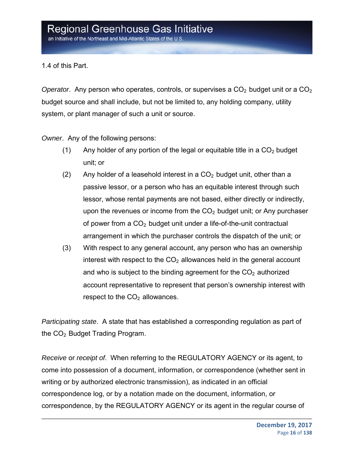1.4 of this Part.

*Operator.* Any person who operates, controls, or supervises a CO<sub>2</sub> budget unit or a CO<sub>2</sub> budget source and shall include, but not be limited to, any holding company, utility system, or plant manager of such a unit or source.

*Owner*. Any of the following persons:

- (1) Any holder of any portion of the legal or equitable title in a  $CO<sub>2</sub>$  budget unit; or
- (2) Any holder of a leasehold interest in a  $CO<sub>2</sub>$  budget unit, other than a passive lessor, or a person who has an equitable interest through such lessor, whose rental payments are not based, either directly or indirectly, upon the revenues or income from the  $CO<sub>2</sub>$  budget unit; or Any purchaser of power from a  $CO<sub>2</sub>$  budget unit under a life-of-the-unit contractual arrangement in which the purchaser controls the dispatch of the unit; or
- (3) With respect to any general account, any person who has an ownership interest with respect to the  $CO<sub>2</sub>$  allowances held in the general account and who is subject to the binding agreement for the  $CO<sub>2</sub>$  authorized account representative to represent that person's ownership interest with respect to the  $CO<sub>2</sub>$  allowances.

*Participating state*. A state that has established a corresponding regulation as part of the  $CO<sub>2</sub>$  Budget Trading Program.

*Receive* or *receipt of*. When referring to the REGULATORY AGENCY or its agent, to come into possession of a document, information, or correspondence (whether sent in writing or by authorized electronic transmission), as indicated in an official correspondence log, or by a notation made on the document, information, or correspondence, by the REGULATORY AGENCY or its agent in the regular course of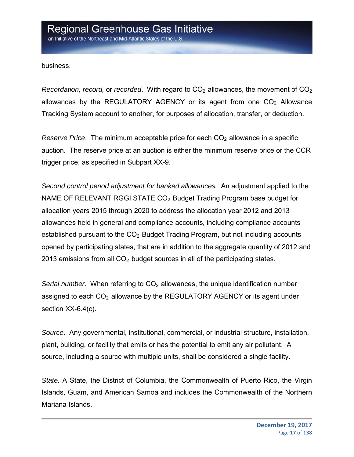business.

*Recordation, record,* or *recorded.* With regard to CO<sub>2</sub> allowances, the movement of CO<sub>2</sub> allowances by the REGULATORY AGENCY or its agent from one  $CO<sub>2</sub>$  Allowance Tracking System account to another, for purposes of allocation, transfer, or deduction.

*Reserve Price.* The minimum acceptable price for each CO<sub>2</sub> allowance in a specific auction. The reserve price at an auction is either the minimum reserve price or the CCR trigger price, as specified in Subpart XX-9.

*Second control period adjustment for banked allowances.* An adjustment applied to the NAME OF RELEVANT RGGI STATE  $CO<sub>2</sub>$  Budget Trading Program base budget for allocation years 2015 through 2020 to address the allocation year 2012 and 2013 allowances held in general and compliance accounts, including compliance accounts established pursuant to the  $CO<sub>2</sub>$  Budget Trading Program, but not including accounts opened by participating states, that are in addition to the aggregate quantity of 2012 and 2013 emissions from all  $CO<sub>2</sub>$  budget sources in all of the participating states.

*Serial number.* When referring to CO<sub>2</sub> allowances, the unique identification number assigned to each  $CO<sub>2</sub>$  allowance by the REGULATORY AGENCY or its agent under section XX-6.4(c).

*Source*. Any governmental, institutional, commercial, or industrial structure, installation, plant, building, or facility that emits or has the potential to emit any air pollutant. A source, including a source with multiple units, shall be considered a single facility.

*State*. A State, the District of Columbia, the Commonwealth of Puerto Rico, the Virgin Islands, Guam, and American Samoa and includes the Commonwealth of the Northern Mariana Islands.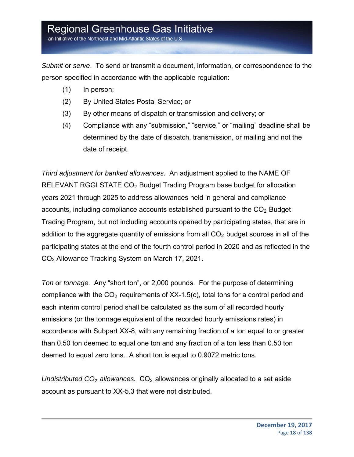an Initiative of the Northeast and Mid-Atlantic States of the U.S

*Submit* or *serve*. To send or transmit a document, information, or correspondence to the person specified in accordance with the applicable regulation:

- (1) In person;
- (2) By United States Postal Service; or
- (3) By other means of dispatch or transmission and delivery; or
- (4) Compliance with any "submission," "service," or "mailing" deadline shall be determined by the date of dispatch, transmission, or mailing and not the date of receipt.

*Third adjustment for banked allowances.* An adjustment applied to the NAME OF RELEVANT RGGI STATE CO<sub>2</sub> Budget Trading Program base budget for allocation years 2021 through 2025 to address allowances held in general and compliance accounts, including compliance accounts established pursuant to the  $CO<sub>2</sub>$  Budget Trading Program, but not including accounts opened by participating states, that are in addition to the aggregate quantity of emissions from all  $CO<sub>2</sub>$  budget sources in all of the participating states at the end of the fourth control period in 2020 and as reflected in the CO2 Allowance Tracking System on March 17, 2021.

*Ton* or *tonnage.* Any "short ton", or 2,000 pounds. For the purpose of determining compliance with the  $CO<sub>2</sub>$  requirements of XX-1.5(c), total tons for a control period and each interim control period shall be calculated as the sum of all recorded hourly emissions (or the tonnage equivalent of the recorded hourly emissions rates) in accordance with Subpart XX-8, with any remaining fraction of a ton equal to or greater than 0.50 ton deemed to equal one ton and any fraction of a ton less than 0.50 ton deemed to equal zero tons. A short ton is equal to 0.9072 metric tons.

*Undistributed CO<sub>2</sub> allowances.* CO<sub>2</sub> allowances originally allocated to a set aside account as pursuant to XX-5.3 that were not distributed.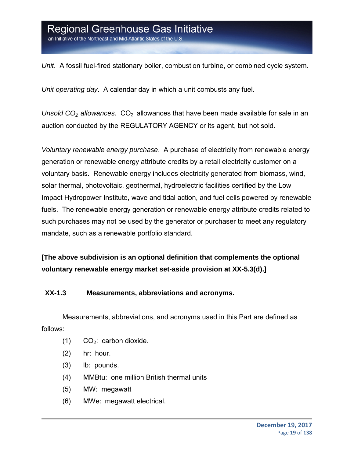an Initiative of the Northeast and Mid-Atlantic States of the U.S

*Unit*. A fossil fuel-fired stationary boiler, combustion turbine, or combined cycle system.

*Unit operating day*. A calendar day in which a unit combusts any fuel.

*Unsold CO<sub>2</sub> allowances.* CO<sub>2</sub> allowances that have been made available for sale in an auction conducted by the REGULATORY AGENCY or its agent, but not sold.

*Voluntary renewable energy purchase*. A purchase of electricity from renewable energy generation or renewable energy attribute credits by a retail electricity customer on a voluntary basis. Renewable energy includes electricity generated from biomass, wind, solar thermal, photovoltaic, geothermal, hydroelectric facilities certified by the Low Impact Hydropower Institute, wave and tidal action, and fuel cells powered by renewable fuels. The renewable energy generation or renewable energy attribute credits related to such purchases may not be used by the generator or purchaser to meet any regulatory mandate, such as a renewable portfolio standard.

**[The above subdivision is an optional definition that complements the optional voluntary renewable energy market set-aside provision at XX-5.3(d).]** 

#### **XX-1.3 Measurements, abbreviations and acronyms.**

Measurements, abbreviations, and acronyms used in this Part are defined as follows:

- $(1)$  CO<sub>2</sub>: carbon dioxide.
- (2) hr: hour.
- (3) lb: pounds.
- (4) MMBtu: one million British thermal units
- (5) MW: megawatt
- (6) MWe: megawatt electrical.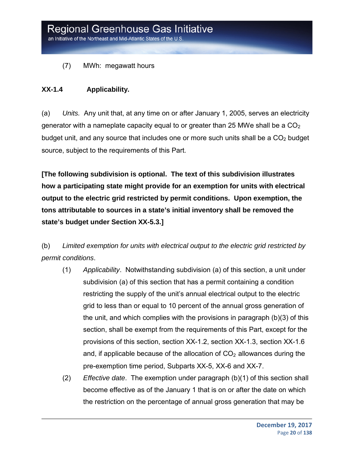(7) MWh: megawatt hours

#### **XX-1.4 Applicability.**

(a) *Units.* Any unit that, at any time on or after January 1, 2005, serves an electricity generator with a nameplate capacity equal to or greater than 25 MWe shall be a  $CO<sub>2</sub>$ budget unit, and any source that includes one or more such units shall be a  $CO<sub>2</sub>$  budget source, subject to the requirements of this Part.

**[The following subdivision is optional. The text of this subdivision illustrates how a participating state might provide for an exemption for units with electrical output to the electric grid restricted by permit conditions. Upon exemption, the tons attributable to sources in a state's initial inventory shall be removed the state's budget under Section XX-5.3.]** 

(b) *Limited exemption for units with electrical output to the electric grid restricted by permit conditions*.

- (1) *Applicability*. Notwithstanding subdivision (a) of this section, a unit under subdivision (a) of this section that has a permit containing a condition restricting the supply of the unit's annual electrical output to the electric grid to less than or equal to 10 percent of the annual gross generation of the unit, and which complies with the provisions in paragraph (b)(3) of this section, shall be exempt from the requirements of this Part, except for the provisions of this section, section XX-1.2, section XX-1.3, section XX-1.6 and, if applicable because of the allocation of  $CO<sub>2</sub>$  allowances during the pre-exemption time period, Subparts XX-5, XX-6 and XX-7.
- (2) *Effective date*. The exemption under paragraph (b)(1) of this section shall become effective as of the January 1 that is on or after the date on which the restriction on the percentage of annual gross generation that may be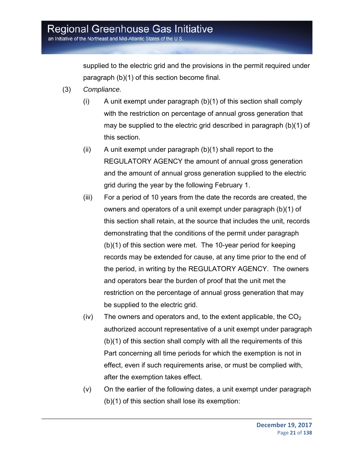supplied to the electric grid and the provisions in the permit required under paragraph (b)(1) of this section become final.

- (3) *Compliance.*
	- (i) A unit exempt under paragraph (b)(1) of this section shall comply with the restriction on percentage of annual gross generation that may be supplied to the electric grid described in paragraph (b)(1) of this section.
	- $(ii)$  A unit exempt under paragraph  $(b)(1)$  shall report to the REGULATORY AGENCY the amount of annual gross generation and the amount of annual gross generation supplied to the electric grid during the year by the following February 1.
	- (iii) For a period of 10 years from the date the records are created, the owners and operators of a unit exempt under paragraph (b)(1) of this section shall retain, at the source that includes the unit, records demonstrating that the conditions of the permit under paragraph (b)(1) of this section were met. The 10-year period for keeping records may be extended for cause, at any time prior to the end of the period, in writing by the REGULATORY AGENCY. The owners and operators bear the burden of proof that the unit met the restriction on the percentage of annual gross generation that may be supplied to the electric grid.
	- (iv) The owners and operators and, to the extent applicable, the  $CO<sub>2</sub>$ authorized account representative of a unit exempt under paragraph (b)(1) of this section shall comply with all the requirements of this Part concerning all time periods for which the exemption is not in effect, even if such requirements arise, or must be complied with, after the exemption takes effect.
	- (v) On the earlier of the following dates, a unit exempt under paragraph (b)(1) of this section shall lose its exemption: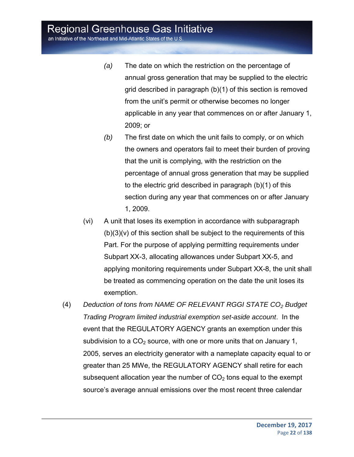an Initiative of the Northeast and Mid-Atlantic States of the U.S.

- *(a)* The date on which the restriction on the percentage of annual gross generation that may be supplied to the electric grid described in paragraph (b)(1) of this section is removed from the unit's permit or otherwise becomes no longer applicable in any year that commences on or after January 1, 2009; or
- *(b)* The first date on which the unit fails to comply, or on which the owners and operators fail to meet their burden of proving that the unit is complying, with the restriction on the percentage of annual gross generation that may be supplied to the electric grid described in paragraph (b)(1) of this section during any year that commences on or after January 1, 2009.
- (vi) A unit that loses its exemption in accordance with subparagraph  $(b)(3)(v)$  of this section shall be subject to the requirements of this Part. For the purpose of applying permitting requirements under Subpart XX-3, allocating allowances under Subpart XX-5, and applying monitoring requirements under Subpart XX-8, the unit shall be treated as commencing operation on the date the unit loses its exemption.
- (4) Deduction of tons from NAME OF RELEVANT RGGI STATE CO<sub>2</sub> Budget *Trading Program limited industrial exemption set-aside account*. In the event that the REGULATORY AGENCY grants an exemption under this subdivision to a  $CO<sub>2</sub>$  source, with one or more units that on January 1, 2005, serves an electricity generator with a nameplate capacity equal to or greater than 25 MWe, the REGULATORY AGENCY shall retire for each subsequent allocation year the number of  $CO<sub>2</sub>$  tons equal to the exempt source's average annual emissions over the most recent three calendar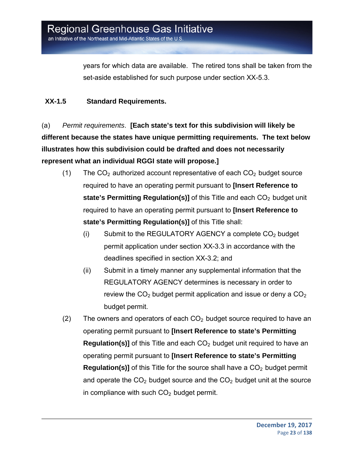years for which data are available. The retired tons shall be taken from the set-aside established for such purpose under section XX-5.3.

#### **XX-1.5 Standard Requirements.**

(a) *Permit requirements*. **[Each state's text for this subdivision will likely be different because the states have unique permitting requirements. The text below illustrates how this subdivision could be drafted and does not necessarily represent what an individual RGGI state will propose.]**

- (1) The  $CO<sub>2</sub>$  authorized account representative of each  $CO<sub>2</sub>$  budget source required to have an operating permit pursuant to **[Insert Reference to state's Permitting Regulation(s)]** of this Title and each CO<sub>2</sub> budget unit required to have an operating permit pursuant to **[Insert Reference to state's Permitting Regulation(s)]** of this Title shall:
	- $(i)$  Submit to the REGULATORY AGENCY a complete  $CO<sub>2</sub>$  budget permit application under section XX-3.3 in accordance with the deadlines specified in section XX-3.2; and
	- (ii) Submit in a timely manner any supplemental information that the REGULATORY AGENCY determines is necessary in order to review the  $CO<sub>2</sub>$  budget permit application and issue or deny a  $CO<sub>2</sub>$ budget permit.
- (2) The owners and operators of each  $CO<sub>2</sub>$  budget source required to have an operating permit pursuant to **[Insert Reference to state's Permitting Regulation(s)]** of this Title and each CO<sub>2</sub> budget unit required to have an operating permit pursuant to **[Insert Reference to state's Permitting Regulation(s)]** of this Title for the source shall have a CO<sub>2</sub> budget permit and operate the  $CO<sub>2</sub>$  budget source and the  $CO<sub>2</sub>$  budget unit at the source in compliance with such  $CO<sub>2</sub>$  budget permit.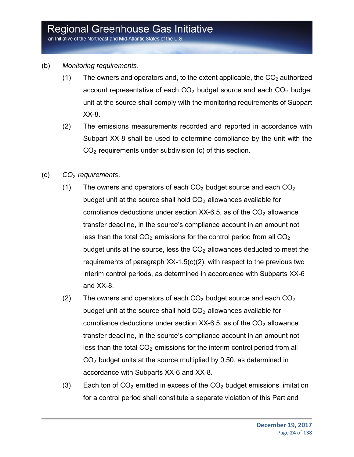an Initiative of the Northeast and Mid-Atlantic States of the U.S.

- (b) *Monitoring requirements*.
	- (1) The owners and operators and, to the extent applicable, the  $CO<sub>2</sub>$  authorized account representative of each  $CO<sub>2</sub>$  budget source and each  $CO<sub>2</sub>$  budget unit at the source shall comply with the monitoring requirements of Subpart XX-8.
	- (2) The emissions measurements recorded and reported in accordance with Subpart XX-8 shall be used to determine compliance by the unit with the  $CO<sub>2</sub>$  requirements under subdivision (c) of this section.
- (c) *CO2 requirements*.
	- (1) The owners and operators of each  $CO<sub>2</sub>$  budget source and each  $CO<sub>2</sub>$ budget unit at the source shall hold  $CO<sub>2</sub>$  allowances available for compliance deductions under section  $XX-6.5$ , as of the  $CO<sub>2</sub>$  allowance transfer deadline, in the source's compliance account in an amount not less than the total  $CO<sub>2</sub>$  emissions for the control period from all  $CO<sub>2</sub>$ budget units at the source, less the  $CO<sub>2</sub>$  allowances deducted to meet the requirements of paragraph XX-1.5(c)(2), with respect to the previous two interim control periods, as determined in accordance with Subparts XX-6 and XX-8.
	- (2) The owners and operators of each  $CO<sub>2</sub>$  budget source and each  $CO<sub>2</sub>$ budget unit at the source shall hold  $CO<sub>2</sub>$  allowances available for compliance deductions under section  $XX-6.5$ , as of the  $CO<sub>2</sub>$  allowance transfer deadline, in the source's compliance account in an amount not less than the total  $CO<sub>2</sub>$  emissions for the interim control period from all  $CO<sub>2</sub>$  budget units at the source multiplied by 0.50, as determined in accordance with Subparts XX-6 and XX-8.
	- (3) Each ton of  $CO<sub>2</sub>$  emitted in excess of the  $CO<sub>2</sub>$  budget emissions limitation for a control period shall constitute a separate violation of this Part and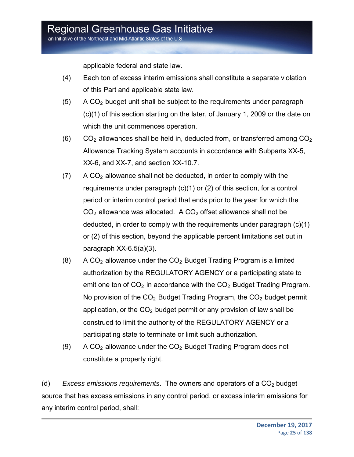applicable federal and state law.

- (4) Each ton of excess interim emissions shall constitute a separate violation of this Part and applicable state law.
- $(5)$  A CO<sub>2</sub> budget unit shall be subject to the requirements under paragraph (c)(1) of this section starting on the later, of January 1, 2009 or the date on which the unit commences operation.
- $(6)$  CO<sub>2</sub> allowances shall be held in, deducted from, or transferred among CO<sub>2</sub> Allowance Tracking System accounts in accordance with Subparts XX-5, XX-6, and XX-7, and section XX-10.7.
- $(7)$  A CO<sub>2</sub> allowance shall not be deducted, in order to comply with the requirements under paragraph (c)(1) or (2) of this section, for a control period or interim control period that ends prior to the year for which the  $CO<sub>2</sub>$  allowance was allocated. A  $CO<sub>2</sub>$  offset allowance shall not be deducted, in order to comply with the requirements under paragraph (c)(1) or (2) of this section, beyond the applicable percent limitations set out in paragraph XX-6.5(a)(3).
- $(8)$  A CO<sub>2</sub> allowance under the CO<sub>2</sub> Budget Trading Program is a limited authorization by the REGULATORY AGENCY or a participating state to emit one ton of  $CO<sub>2</sub>$  in accordance with the  $CO<sub>2</sub>$  Budget Trading Program. No provision of the  $CO<sub>2</sub>$  Budget Trading Program, the  $CO<sub>2</sub>$  budget permit application, or the  $CO<sub>2</sub>$  budget permit or any provision of law shall be construed to limit the authority of the REGULATORY AGENCY or a participating state to terminate or limit such authorization.
- (9) A  $CO<sub>2</sub>$  allowance under the  $CO<sub>2</sub>$  Budget Trading Program does not constitute a property right.

(d) *Excess emissions requirements*. The owners and operators of a CO<sub>2</sub> budget source that has excess emissions in any control period, or excess interim emissions for any interim control period, shall: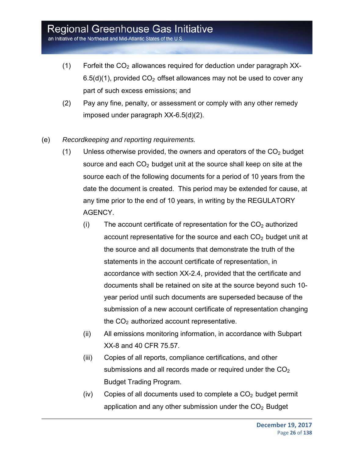- $(1)$  Forfeit the CO<sub>2</sub> allowances required for deduction under paragraph XX- $6.5(d)(1)$ , provided  $CO<sub>2</sub>$  offset allowances may not be used to cover any part of such excess emissions; and
- (2) Pay any fine, penalty, or assessment or comply with any other remedy imposed under paragraph XX-6.5(d)(2).
- (e) *Recordkeeping and reporting requirements.*
	- (1) Unless otherwise provided, the owners and operators of the  $CO<sub>2</sub>$  budget source and each  $CO<sub>2</sub>$  budget unit at the source shall keep on site at the source each of the following documents for a period of 10 years from the date the document is created. This period may be extended for cause, at any time prior to the end of 10 years, in writing by the REGULATORY AGENCY.
		- (i) The account certificate of representation for the  $CO<sub>2</sub>$  authorized account representative for the source and each  $CO<sub>2</sub>$  budget unit at the source and all documents that demonstrate the truth of the statements in the account certificate of representation, in accordance with section XX-2.4, provided that the certificate and documents shall be retained on site at the source beyond such 10 year period until such documents are superseded because of the submission of a new account certificate of representation changing the  $CO<sub>2</sub>$  authorized account representative.
		- (ii) All emissions monitoring information, in accordance with Subpart XX-8 and 40 CFR 75.57.
		- (iii) Copies of all reports, compliance certifications, and other submissions and all records made or required under the  $CO<sub>2</sub>$ Budget Trading Program.
		- (iv) Copies of all documents used to complete a  $CO<sub>2</sub>$  budget permit application and any other submission under the  $CO<sub>2</sub>$  Budget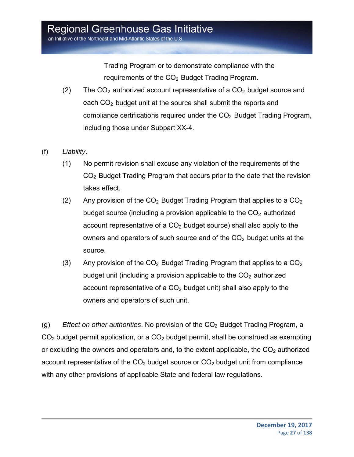Trading Program or to demonstrate compliance with the requirements of the CO<sub>2</sub> Budget Trading Program.

- (2) The  $CO<sub>2</sub>$  authorized account representative of a  $CO<sub>2</sub>$  budget source and each  $CO<sub>2</sub>$  budget unit at the source shall submit the reports and compliance certifications required under the  $CO<sub>2</sub>$  Budget Trading Program, including those under Subpart XX-4.
- (f) *Liability*.
	- (1) No permit revision shall excuse any violation of the requirements of the CO2 Budget Trading Program that occurs prior to the date that the revision takes effect.
	- (2) Any provision of the  $CO<sub>2</sub>$  Budget Trading Program that applies to a  $CO<sub>2</sub>$ budget source (including a provision applicable to the  $CO<sub>2</sub>$  authorized account representative of a  $CO<sub>2</sub>$  budget source) shall also apply to the owners and operators of such source and of the  $CO<sub>2</sub>$  budget units at the source.
	- (3) Any provision of the  $CO<sub>2</sub>$  Budget Trading Program that applies to a  $CO<sub>2</sub>$ budget unit (including a provision applicable to the  $CO<sub>2</sub>$  authorized account representative of a  $CO<sub>2</sub>$  budget unit) shall also apply to the owners and operators of such unit.

(g) *Effect on other authorities*. No provision of the CO<sub>2</sub> Budget Trading Program, a  $CO<sub>2</sub>$  budget permit application, or a  $CO<sub>2</sub>$  budget permit, shall be construed as exempting or excluding the owners and operators and, to the extent applicable, the  $CO<sub>2</sub>$  authorized account representative of the  $CO<sub>2</sub>$  budget source or  $CO<sub>2</sub>$  budget unit from compliance with any other provisions of applicable State and federal law regulations.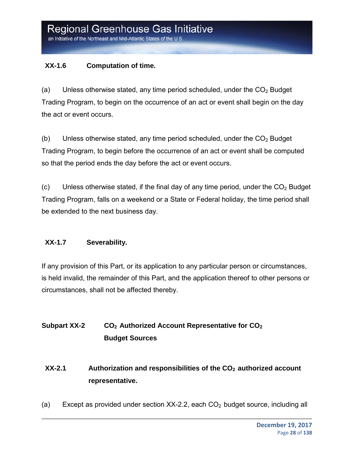#### **XX-1.6 Computation of time.**

(a) Unless otherwise stated, any time period scheduled, under the  $CO<sub>2</sub>$  Budget Trading Program, to begin on the occurrence of an act or event shall begin on the day the act or event occurs.

(b) Unless otherwise stated, any time period scheduled, under the  $CO<sub>2</sub>$  Budget Trading Program, to begin before the occurrence of an act or event shall be computed so that the period ends the day before the act or event occurs.

 $(c)$  Unless otherwise stated, if the final day of any time period, under the  $CO<sub>2</sub>$  Budget Trading Program, falls on a weekend or a State or Federal holiday, the time period shall be extended to the next business day.

#### **XX-1.7 Severability.**

If any provision of this Part, or its application to any particular person or circumstances, is held invalid, the remainder of this Part, and the application thereof to other persons or circumstances, shall not be affected thereby.

### **Subpart XX-2** CO<sub>2</sub> Authorized Account Representative for CO<sub>2</sub> **Budget Sources**

### **XX-2.1** Authorization and responsibilities of the CO<sub>2</sub> authorized account **representative.**

(a) Except as provided under section  $XX-2.2$ , each  $CO<sub>2</sub>$  budget source, including all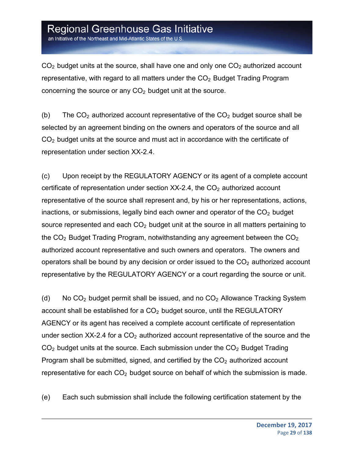an Initiative of the Northeast and Mid-Atlantic States of the U.S.

 $CO<sub>2</sub>$  budget units at the source, shall have one and only one  $CO<sub>2</sub>$  authorized account representative, with regard to all matters under the  $CO<sub>2</sub>$  Budget Trading Program concerning the source or any  $CO<sub>2</sub>$  budget unit at the source.

(b) The  $CO<sub>2</sub>$  authorized account representative of the  $CO<sub>2</sub>$  budget source shall be selected by an agreement binding on the owners and operators of the source and all  $CO<sub>2</sub>$  budget units at the source and must act in accordance with the certificate of representation under section XX-2.4.

(c) Upon receipt by the REGULATORY AGENCY or its agent of a complete account certificate of representation under section  $XX-2.4$ , the  $CO<sub>2</sub>$  authorized account representative of the source shall represent and, by his or her representations, actions, inactions, or submissions, legally bind each owner and operator of the  $CO<sub>2</sub>$  budget source represented and each  $CO<sub>2</sub>$  budget unit at the source in all matters pertaining to the  $CO<sub>2</sub>$  Budget Trading Program, notwithstanding any agreement between the  $CO<sub>2</sub>$ authorized account representative and such owners and operators. The owners and operators shall be bound by any decision or order issued to the  $CO<sub>2</sub>$  authorized account representative by the REGULATORY AGENCY or a court regarding the source or unit.

(d) No  $CO<sub>2</sub>$  budget permit shall be issued, and no  $CO<sub>2</sub>$  Allowance Tracking System account shall be established for a  $CO<sub>2</sub>$  budget source, until the REGULATORY AGENCY or its agent has received a complete account certificate of representation under section  $XX-2.4$  for a  $CO<sub>2</sub>$  authorized account representative of the source and the  $CO<sub>2</sub>$  budget units at the source. Each submission under the  $CO<sub>2</sub>$  Budget Trading Program shall be submitted, signed, and certified by the  $CO<sub>2</sub>$  authorized account representative for each  $CO<sub>2</sub>$  budget source on behalf of which the submission is made.

(e) Each such submission shall include the following certification statement by the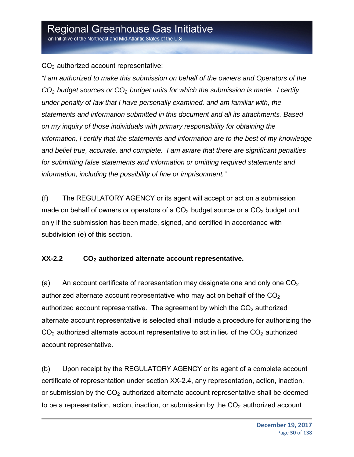an Initiative of the Northeast and Mid-Atlantic States of the U.S.

 $CO<sub>2</sub>$  authorized account representative:

*"I am authorized to make this submission on behalf of the owners and Operators of the CO2 budget sources or CO2 budget units for which the submission is made. I certify under penalty of law that I have personally examined, and am familiar with, the statements and information submitted in this document and all its attachments. Based on my inquiry of those individuals with primary responsibility for obtaining the information, I certify that the statements and information are to the best of my knowledge and belief true, accurate, and complete. I am aware that there are significant penalties for submitting false statements and information or omitting required statements and information, including the possibility of fine or imprisonment."*

(f) The REGULATORY AGENCY or its agent will accept or act on a submission made on behalf of owners or operators of a  $CO<sub>2</sub>$  budget source or a  $CO<sub>2</sub>$  budget unit only if the submission has been made, signed, and certified in accordance with subdivision (e) of this section.

#### **XX-2.2 CO2 authorized alternate account representative.**

(a) An account certificate of representation may designate one and only one  $CO<sub>2</sub>$ authorized alternate account representative who may act on behalf of the  $CO<sub>2</sub>$ authorized account representative. The agreement by which the  $CO<sub>2</sub>$  authorized alternate account representative is selected shall include a procedure for authorizing the  $CO<sub>2</sub>$  authorized alternate account representative to act in lieu of the  $CO<sub>2</sub>$  authorized account representative.

(b) Upon receipt by the REGULATORY AGENCY or its agent of a complete account certificate of representation under section XX-2.4, any representation, action, inaction, or submission by the  $CO<sub>2</sub>$  authorized alternate account representative shall be deemed to be a representation, action, inaction, or submission by the  $CO<sub>2</sub>$  authorized account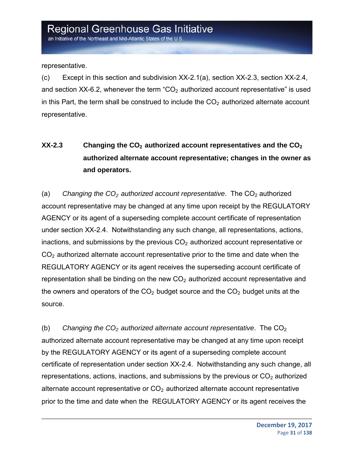representative.

(c) Except in this section and subdivision XX-2.1(a), section XX-2.3, section XX-2.4, and section XX-6.2, whenever the term  $CO<sub>2</sub>$  authorized account representative" is used in this Part, the term shall be construed to include the  $CO<sub>2</sub>$  authorized alternate account representative.

### **XX-2.3** Changing the CO<sub>2</sub> authorized account representatives and the CO<sub>2</sub> **authorized alternate account representative; changes in the owner as and operators.**

(a) *Changing the CO<sub>2</sub> authorized account representative*. The CO<sub>2</sub> authorized account representative may be changed at any time upon receipt by the REGULATORY AGENCY or its agent of a superseding complete account certificate of representation under section XX-2.4. Notwithstanding any such change, all representations, actions, inactions, and submissions by the previous  $CO<sub>2</sub>$  authorized account representative or  $CO<sub>2</sub>$  authorized alternate account representative prior to the time and date when the REGULATORY AGENCY or its agent receives the superseding account certificate of representation shall be binding on the new  $CO<sub>2</sub>$  authorized account representative and the owners and operators of the  $CO<sub>2</sub>$  budget source and the  $CO<sub>2</sub>$  budget units at the source.

(b) Changing the CO<sub>2</sub> authorized alternate account representative. The CO<sub>2</sub> authorized alternate account representative may be changed at any time upon receipt by the REGULATORY AGENCY or its agent of a superseding complete account certificate of representation under section XX-2.4. Notwithstanding any such change, all representations, actions, inactions, and submissions by the previous or  $CO<sub>2</sub>$  authorized alternate account representative or  $CO<sub>2</sub>$  authorized alternate account representative prior to the time and date when the REGULATORY AGENCY or its agent receives the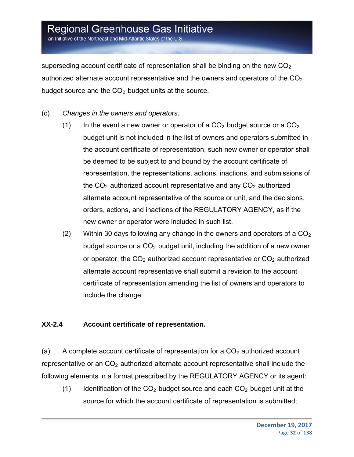an Initiative of the Northeast and Mid-Atlantic States of the U.S

superseding account certificate of representation shall be binding on the new  $CO<sub>2</sub>$ authorized alternate account representative and the owners and operators of the  $CO<sub>2</sub>$ budget source and the  $CO<sub>2</sub>$  budget units at the source.

- (c) *Changes in the owners and operators*.
	- (1) In the event a new owner or operator of a  $CO<sub>2</sub>$  budget source or a  $CO<sub>2</sub>$ budget unit is not included in the list of owners and operators submitted in the account certificate of representation, such new owner or operator shall be deemed to be subject to and bound by the account certificate of representation, the representations, actions, inactions, and submissions of the  $CO<sub>2</sub>$  authorized account representative and any  $CO<sub>2</sub>$  authorized alternate account representative of the source or unit, and the decisions, orders, actions, and inactions of the REGULATORY AGENCY, as if the new owner or operator were included in such list.
	- (2) Within 30 days following any change in the owners and operators of a  $CO<sub>2</sub>$ budget source or a  $CO<sub>2</sub>$  budget unit, including the addition of a new owner or operator, the  $CO<sub>2</sub>$  authorized account representative or  $CO<sub>2</sub>$  authorized alternate account representative shall submit a revision to the account certificate of representation amending the list of owners and operators to include the change.

#### **XX-2.4 Account certificate of representation.**

(a) A complete account certificate of representation for a  $CO<sub>2</sub>$  authorized account representative or an  $CO<sub>2</sub>$  authorized alternate account representative shall include the following elements in a format prescribed by the REGULATORY AGENCY or its agent:

(1) Identification of the  $CO<sub>2</sub>$  budget source and each  $CO<sub>2</sub>$  budget unit at the source for which the account certificate of representation is submitted;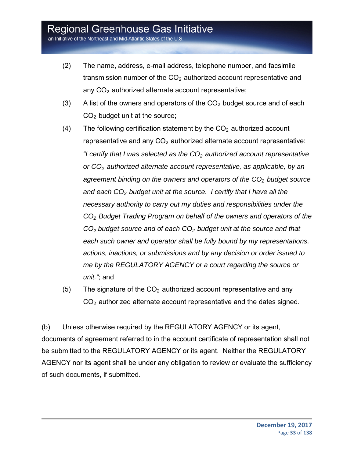an Initiative of the Northeast and Mid-Atlantic States of the U.S.

- (2) The name, address, e-mail address, telephone number, and facsimile transmission number of the  $CO<sub>2</sub>$  authorized account representative and any  $CO<sub>2</sub>$  authorized alternate account representative;
- (3) A list of the owners and operators of the  $CO<sub>2</sub>$  budget source and of each  $CO<sub>2</sub>$  budget unit at the source;
- (4) The following certification statement by the  $CO<sub>2</sub>$  authorized account representative and any  $CO<sub>2</sub>$  authorized alternate account representative: *"I certify that I was selected as the CO<sub>2</sub> authorized account representative or CO2 authorized alternate account representative, as applicable, by an*  agreement binding on the owners and operators of the CO<sub>2</sub> budget source *and each CO2 budget unit at the source. I certify that I have all the necessary authority to carry out my duties and responsibilities under the CO2 Budget Trading Program on behalf of the owners and operators of the CO2 budget source and of each CO2 budget unit at the source and that each such owner and operator shall be fully bound by my representations, actions, inactions, or submissions and by any decision or order issued to me by the REGULATORY AGENCY or a court regarding the source or unit."*; and
- (5) The signature of the  $CO<sub>2</sub>$  authorized account representative and any CO2 authorized alternate account representative and the dates signed.

(b) Unless otherwise required by the REGULATORY AGENCY or its agent, documents of agreement referred to in the account certificate of representation shall not be submitted to the REGULATORY AGENCY or its agent. Neither the REGULATORY AGENCY nor its agent shall be under any obligation to review or evaluate the sufficiency of such documents, if submitted.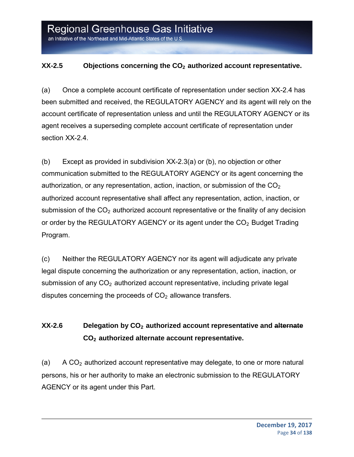#### **XX-2.5** Objections concerning the CO<sub>2</sub> authorized account representative.

(a) Once a complete account certificate of representation under section XX-2.4 has been submitted and received, the REGULATORY AGENCY and its agent will rely on the account certificate of representation unless and until the REGULATORY AGENCY or its agent receives a superseding complete account certificate of representation under section XX-2.4.

(b) Except as provided in subdivision XX-2.3(a) or (b), no objection or other communication submitted to the REGULATORY AGENCY or its agent concerning the authorization, or any representation, action, inaction, or submission of the  $CO<sub>2</sub>$ authorized account representative shall affect any representation, action, inaction, or submission of the  $CO<sub>2</sub>$  authorized account representative or the finality of any decision or order by the REGULATORY AGENCY or its agent under the  $CO<sub>2</sub>$  Budget Trading Program.

(c) Neither the REGULATORY AGENCY nor its agent will adjudicate any private legal dispute concerning the authorization or any representation, action, inaction, or submission of any  $CO<sub>2</sub>$  authorized account representative, including private legal disputes concerning the proceeds of  $CO<sub>2</sub>$  allowance transfers.

### **XX-2.6** Delegation by CO<sub>2</sub> authorized account representative and alternate **CO2 authorized alternate account representative.**

(a) A  $CO<sub>2</sub>$  authorized account representative may delegate, to one or more natural persons, his or her authority to make an electronic submission to the REGULATORY AGENCY or its agent under this Part.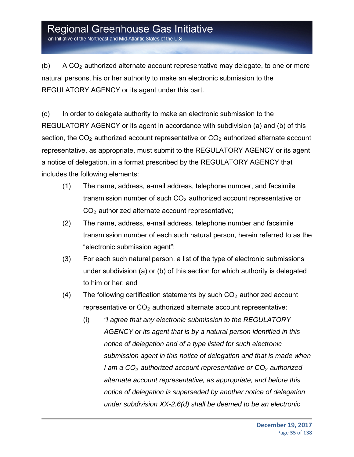an Initiative of the Northeast and Mid-Atlantic States of the U.S.

(b) A  $CO<sub>2</sub>$  authorized alternate account representative may delegate, to one or more natural persons, his or her authority to make an electronic submission to the REGULATORY AGENCY or its agent under this part.

(c) In order to delegate authority to make an electronic submission to the REGULATORY AGENCY or its agent in accordance with subdivision (a) and (b) of this section, the  $CO<sub>2</sub>$  authorized account representative or  $CO<sub>2</sub>$  authorized alternate account representative, as appropriate, must submit to the REGULATORY AGENCY or its agent a notice of delegation, in a format prescribed by the REGULATORY AGENCY that includes the following elements:

- (1) The name, address, e-mail address, telephone number, and facsimile transmission number of such  $CO<sub>2</sub>$  authorized account representative or  $CO<sub>2</sub>$  authorized alternate account representative;
- (2) The name, address, e-mail address, telephone number and facsimile transmission number of each such natural person, herein referred to as the "electronic submission agent";
- (3) For each such natural person, a list of the type of electronic submissions under subdivision (a) or (b) of this section for which authority is delegated to him or her; and
- (4) The following certification statements by such  $CO<sub>2</sub>$  authorized account representative or  $CO<sub>2</sub>$  authorized alternate account representative:
	- (i) *"I agree that any electronic submission to the REGULATORY AGENCY or its agent that is by a natural person identified in this notice of delegation and of a type listed for such electronic submission agent in this notice of delegation and that is made when I* am a CO<sub>2</sub> authorized account representative or CO<sub>2</sub> authorized *alternate account representative, as appropriate, and before this notice of delegation is superseded by another notice of delegation under subdivision XX-2.6(d) shall be deemed to be an electronic*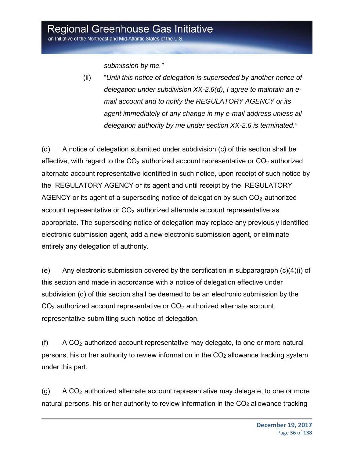*submission by me."* 

(ii) "*Until this notice of delegation is superseded by another notice of delegation under subdivision XX-2.6(d), I agree to maintain an email account and to notify the REGULATORY AGENCY or its agent immediately of any change in my e-mail address unless all delegation authority by me under section XX-2.6 is terminated."* 

(d) A notice of delegation submitted under subdivision (c) of this section shall be effective, with regard to the  $CO<sub>2</sub>$  authorized account representative or  $CO<sub>2</sub>$  authorized alternate account representative identified in such notice, upon receipt of such notice by the REGULATORY AGENCY or its agent and until receipt by the REGULATORY AGENCY or its agent of a superseding notice of delegation by such  $CO<sub>2</sub>$  authorized account representative or  $CO<sub>2</sub>$  authorized alternate account representative as appropriate. The superseding notice of delegation may replace any previously identified electronic submission agent, add a new electronic submission agent, or eliminate entirely any delegation of authority.

(e) Any electronic submission covered by the certification in subparagraph (c)(4)(i) of this section and made in accordance with a notice of delegation effective under subdivision (d) of this section shall be deemed to be an electronic submission by the  $CO<sub>2</sub>$  authorized account representative or  $CO<sub>2</sub>$  authorized alternate account representative submitting such notice of delegation.

(f) A  $CO<sub>2</sub>$  authorized account representative may delegate, to one or more natural persons, his or her authority to review information in the CO2 allowance tracking system under this part.

 $(q)$  A CO<sub>2</sub> authorized alternate account representative may delegate, to one or more natural persons, his or her authority to review information in the  $CO<sub>2</sub>$  allowance tracking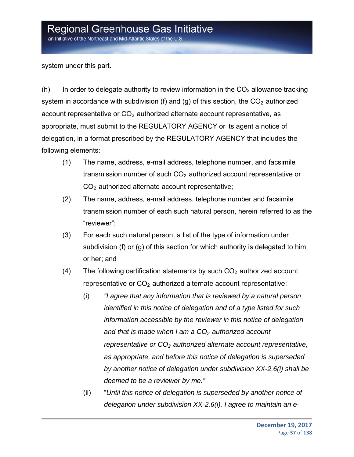system under this part.

(h) In order to delegate authority to review information in the  $CO<sub>2</sub>$  allowance tracking system in accordance with subdivision (f) and (g) of this section, the  $CO<sub>2</sub>$  authorized account representative or  $CO<sub>2</sub>$  authorized alternate account representative, as appropriate, must submit to the REGULATORY AGENCY or its agent a notice of delegation, in a format prescribed by the REGULATORY AGENCY that includes the following elements:

- (1) The name, address, e-mail address, telephone number, and facsimile transmission number of such  $CO<sub>2</sub>$  authorized account representative or  $CO<sub>2</sub>$  authorized alternate account representative;
- (2) The name, address, e-mail address, telephone number and facsimile transmission number of each such natural person, herein referred to as the "reviewer";
- (3) For each such natural person, a list of the type of information under subdivision (f) or (g) of this section for which authority is delegated to him or her; and
- (4) The following certification statements by such  $CO<sub>2</sub>$  authorized account representative or  $CO<sub>2</sub>$  authorized alternate account representative:
	- (i) *"I agree that any information that is reviewed by a natural person identified in this notice of delegation and of a type listed for such information accessible by the reviewer in this notice of delegation*  and that is made when I am a CO<sub>2</sub> authorized account *representative or CO2 authorized alternate account representative, as appropriate, and before this notice of delegation is superseded by another notice of delegation under subdivision XX-2.6(i) shall be deemed to be a reviewer by me."*
	- (ii) "*Until this notice of delegation is superseded by another notice of delegation under subdivision XX-2.6(i), I agree to maintain an e-*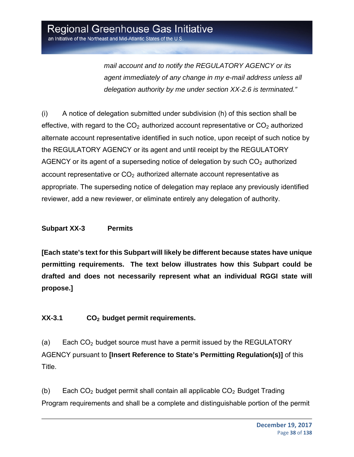*mail account and to notify the REGULATORY AGENCY or its agent immediately of any change in my e-mail address unless all delegation authority by me under section XX-2.6 is terminated."* 

(i) A notice of delegation submitted under subdivision (h) of this section shall be effective, with regard to the  $CO<sub>2</sub>$  authorized account representative or  $CO<sub>2</sub>$  authorized alternate account representative identified in such notice, upon receipt of such notice by the REGULATORY AGENCY or its agent and until receipt by the REGULATORY AGENCY or its agent of a superseding notice of delegation by such  $CO<sub>2</sub>$  authorized account representative or  $CO<sub>2</sub>$  authorized alternate account representative as appropriate. The superseding notice of delegation may replace any previously identified reviewer, add a new reviewer, or eliminate entirely any delegation of authority.

#### **Subpart XX-3 Permits**

**[Each state's text for this Subpart will likely be different because states have unique permitting requirements. The text below illustrates how this Subpart could be drafted and does not necessarily represent what an individual RGGI state will propose.]** 

**XX-3.1 CO2 budget permit requirements.**

(a) Each  $CO<sub>2</sub>$  budget source must have a permit issued by the REGULATORY AGENCY pursuant to **[Insert Reference to State's Permitting Regulation(s)]** of this Title.

(b) Each  $CO<sub>2</sub>$  budget permit shall contain all applicable  $CO<sub>2</sub>$  Budget Trading Program requirements and shall be a complete and distinguishable portion of the permit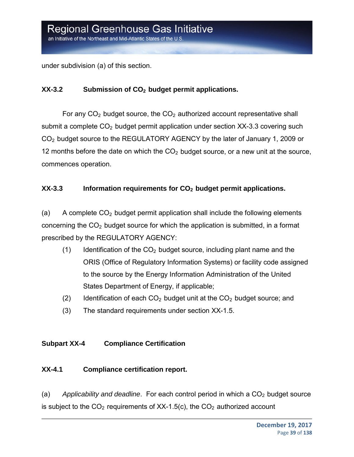under subdivision (a) of this section.

#### **XX-3.2** Submission of CO<sub>2</sub> budget permit applications.

For any  $CO<sub>2</sub>$  budget source, the  $CO<sub>2</sub>$  authorized account representative shall submit a complete  $CO<sub>2</sub>$  budget permit application under section XX-3.3 covering such CO2 budget source to the REGULATORY AGENCY by the later of January 1, 2009 or 12 months before the date on which the  $CO<sub>2</sub>$  budget source, or a new unit at the source, commences operation.

#### **XX-3.3** Information requirements for CO<sub>2</sub> budget permit applications.

(a) A complete  $CO<sub>2</sub>$  budget permit application shall include the following elements concerning the  $CO<sub>2</sub>$  budget source for which the application is submitted, in a format prescribed by the REGULATORY AGENCY:

- $(1)$  Identification of the  $CO<sub>2</sub>$  budget source, including plant name and the ORIS (Office of Regulatory Information Systems) or facility code assigned to the source by the Energy Information Administration of the United States Department of Energy, if applicable;
- (2) Identification of each  $CO<sub>2</sub>$  budget unit at the  $CO<sub>2</sub>$  budget source; and
- (3) The standard requirements under section XX-1.5.

#### **Subpart XX-4 Compliance Certification**

#### **XX-4.1 Compliance certification report.**

(a) Applicability and deadline. For each control period in which a CO<sub>2</sub> budget source is subject to the  $CO<sub>2</sub>$  requirements of XX-1.5(c), the  $CO<sub>2</sub>$  authorized account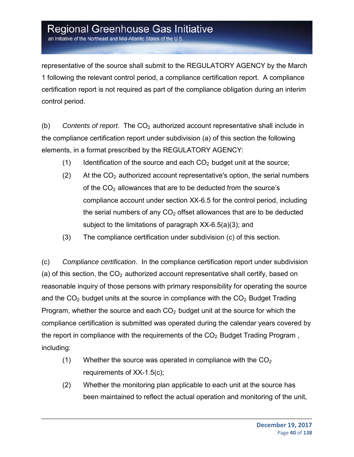an Initiative of the Northeast and Mid-Atlantic States of the U.S.

representative of the source shall submit to the REGULATORY AGENCY by the March 1 following the relevant control period, a compliance certification report. A compliance certification report is not required as part of the compliance obligation during an interim control period.

(b) *Contents of report.* The  $CO<sub>2</sub>$  authorized account representative shall include in the compliance certification report under subdivision (a) of this section the following elements, in a format prescribed by the REGULATORY AGENCY:

- (1) Identification of the source and each  $CO<sub>2</sub>$  budget unit at the source;
- (2) At the  $CO<sub>2</sub>$  authorized account representative's option, the serial numbers of the  $CO<sub>2</sub>$  allowances that are to be deducted from the source's compliance account under section XX-6.5 for the control period, including the serial numbers of any  $CO<sub>2</sub>$  offset allowances that are to be deducted subject to the limitations of paragraph XX-6.5(a)(3); and
- (3) The compliance certification under subdivision (c) of this section.

(c) *Compliance certification*. In the compliance certification report under subdivision (a) of this section, the  $CO<sub>2</sub>$  authorized account representative shall certify, based on reasonable inquiry of those persons with primary responsibility for operating the source and the  $CO<sub>2</sub>$  budget units at the source in compliance with the  $CO<sub>2</sub>$  Budget Trading Program, whether the source and each  $CO<sub>2</sub>$  budget unit at the source for which the compliance certification is submitted was operated during the calendar years covered by the report in compliance with the requirements of the  $CO<sub>2</sub>$  Budget Trading Program, including:

- (1) Whether the source was operated in compliance with the  $CO<sub>2</sub>$ requirements of XX-1.5(c);
- (2) Whether the monitoring plan applicable to each unit at the source has been maintained to reflect the actual operation and monitoring of the unit,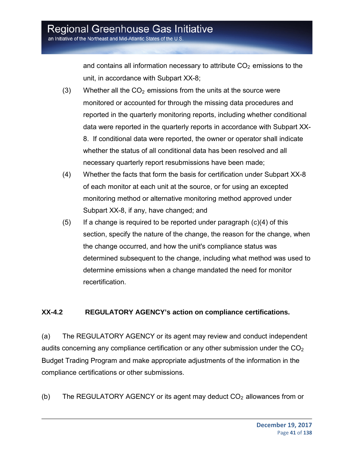and contains all information necessary to attribute  $CO<sub>2</sub>$  emissions to the unit, in accordance with Subpart XX-8;

- (3) Whether all the  $CO<sub>2</sub>$  emissions from the units at the source were monitored or accounted for through the missing data procedures and reported in the quarterly monitoring reports, including whether conditional data were reported in the quarterly reports in accordance with Subpart XX-8. If conditional data were reported, the owner or operator shall indicate whether the status of all conditional data has been resolved and all necessary quarterly report resubmissions have been made;
- (4) Whether the facts that form the basis for certification under Subpart XX-8 of each monitor at each unit at the source, or for using an excepted monitoring method or alternative monitoring method approved under Subpart XX-8, if any, have changed; and
- $(5)$  If a change is required to be reported under paragraph  $(c)(4)$  of this section, specify the nature of the change, the reason for the change, when the change occurred, and how the unit's compliance status was determined subsequent to the change, including what method was used to determine emissions when a change mandated the need for monitor recertification.

#### **XX-4.2 REGULATORY AGENCY's action on compliance certifications.**

(a) The REGULATORY AGENCY or its agent may review and conduct independent audits concerning any compliance certification or any other submission under the  $CO<sub>2</sub>$ Budget Trading Program and make appropriate adjustments of the information in the compliance certifications or other submissions.

(b) The REGULATORY AGENCY or its agent may deduct  $CO<sub>2</sub>$  allowances from or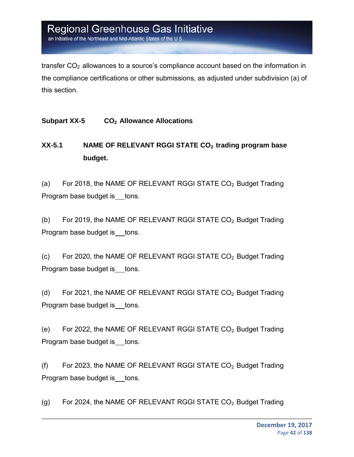an Initiative of the Northeast and Mid-Atlantic States of the U.S.

transfer  $CO<sub>2</sub>$  allowances to a source's compliance account based on the information in the compliance certifications or other submissions, as adjusted under subdivision (a) of this section.

**Subpart XX-5 CO2 Allowance Allocations**

### **XX-5.1 NAME OF RELEVANT RGGI STATE CO2 trading program base budget.**

(a) For 2018, the NAME OF RELEVANT RGGI STATE  $CO<sub>2</sub>$  Budget Trading Program base budget is tons.

(b) For 2019, the NAME OF RELEVANT RGGI STATE CO<sub>2</sub> Budget Trading Program base budget is tons.

(c) For 2020, the NAME OF RELEVANT RGGI STATE  $CO<sub>2</sub>$  Budget Trading Program base budget is \_\_tons.

(d) For 2021, the NAME OF RELEVANT RGGI STATE CO<sub>2</sub> Budget Trading Program base budget is tons.

(e) For 2022, the NAME OF RELEVANT RGGI STATE  $CO<sub>2</sub>$  Budget Trading Program base budget is tons.

(f) For 2023, the NAME OF RELEVANT RGGI STATE  $CO<sub>2</sub>$  Budget Trading Program base budget is tons.

(g) For 2024, the NAME OF RELEVANT RGGI STATE CO<sub>2</sub> Budget Trading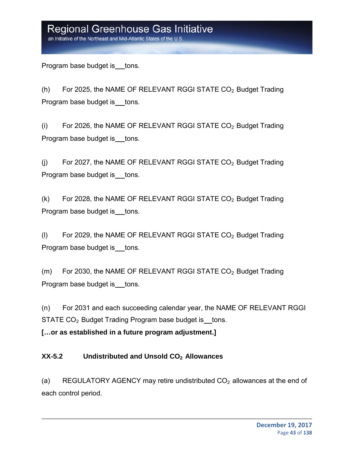an Initiative of the Northeast and Mid-Atlantic States of the U.S.

Program base budget is tons.

(h) For 2025, the NAME OF RELEVANT RGGI STATE  $CO<sub>2</sub>$  Budget Trading Program base budget is tons.

(i) For 2026, the NAME OF RELEVANT RGGI STATE  $CO<sub>2</sub>$  Budget Trading Program base budget is tons.

(i) For 2027, the NAME OF RELEVANT RGGI STATE  $CO<sub>2</sub>$  Budget Trading Program base budget is tons.

 $(k)$  For 2028, the NAME OF RELEVANT RGGI STATE CO<sub>2</sub> Budget Trading Program base budget is \_\_tons.

(I) For 2029, the NAME OF RELEVANT RGGI STATE CO<sub>2</sub> Budget Trading Program base budget is tons.

 $(m)$  For 2030, the NAME OF RELEVANT RGGI STATE  $CO<sub>2</sub>$  Budget Trading Program base budget is tons.

(n) For 2031 and each succeeding calendar year, the NAME OF RELEVANT RGGI STATE  $CO<sub>2</sub>$  Budget Trading Program base budget is tons.

**[…or as established in a future program adjustment.]** 

#### **XX-5.2 Undistributed and Unsold CO2 Allowances**

(a) REGULATORY AGENCY may retire undistributed  $CO<sub>2</sub>$  allowances at the end of each control period.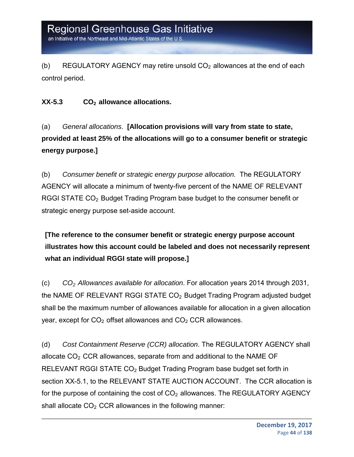an Initiative of the Northeast and Mid-Atlantic States of the U.S

(b) REGULATORY AGENCY may retire unsold  $CO<sub>2</sub>$  allowances at the end of each control period.

#### XX-5.3 CO<sub>2</sub> allowance allocations.

(a) *General allocations*. **[Allocation provisions will vary from state to state, provided at least 25% of the allocations will go to a consumer benefit or strategic energy purpose.]**

(b) *Consumer benefit or strategic energy purpose allocation.* The REGULATORY AGENCY will allocate a minimum of twenty-five percent of the NAME OF RELEVANT RGGI STATE CO<sub>2</sub> Budget Trading Program base budget to the consumer benefit or strategic energy purpose set-aside account.

**[The reference to the consumer benefit or strategic energy purpose account illustrates how this account could be labeled and does not necessarily represent what an individual RGGI state will propose.]**

(c) *CO2 Allowances available for allocation*. For allocation years 2014 through 2031, the NAME OF RELEVANT RGGI STATE CO<sub>2</sub> Budget Trading Program adjusted budget shall be the maximum number of allowances available for allocation in a given allocation year, except for  $CO<sub>2</sub>$  offset allowances and  $CO<sub>2</sub>$  CCR allowances.

(d) *Cost Containment Reserve (CCR) allocation*. The REGULATORY AGENCY shall allocate  $CO<sub>2</sub> CCR$  allowances, separate from and additional to the NAME OF RELEVANT RGGI STATE CO<sub>2</sub> Budget Trading Program base budget set forth in section XX-5.1, to the RELEVANT STATE AUCTION ACCOUNT. The CCR allocation is for the purpose of containing the cost of  $CO<sub>2</sub>$  allowances. The REGULATORY AGENCY shall allocate  $CO<sub>2</sub> CCR$  allowances in the following manner: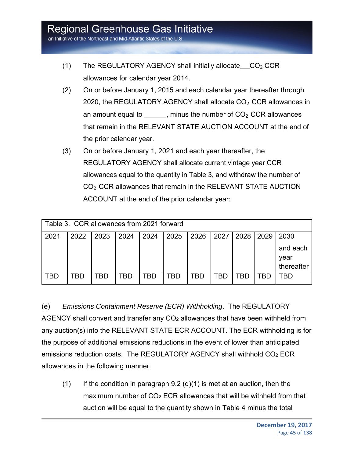- (1) The REGULATORY AGENCY shall initially allocate  $CO<sub>2</sub> CCR$ allowances for calendar year 2014.
- (2) On or before January 1, 2015 and each calendar year thereafter through 2020, the REGULATORY AGENCY shall allocate  $CO<sub>2</sub>$  CCR allowances in an amount equal to  $\frac{1}{\sqrt{2}}$ , minus the number of CO<sub>2</sub> CCR allowances that remain in the RELEVANT STATE AUCTION ACCOUNT at the end of the prior calendar year.
- (3) On or before January 1, 2021 and each year thereafter, the REGULATORY AGENCY shall allocate current vintage year CCR allowances equal to the quantity in Table 3, and withdraw the number of CO<sub>2</sub> CCR allowances that remain in the RELEVANT STATE AUCTION ACCOUNT at the end of the prior calendar year:

| Table 3. CCR allowances from 2021 forward |      |      |      |      |      |      |      |      |      |                                |
|-------------------------------------------|------|------|------|------|------|------|------|------|------|--------------------------------|
| 2021                                      | 2022 | 2023 | 2024 | 2024 | 2025 | 2026 | 2027 | 2028 | 2029 | 2030                           |
|                                           |      |      |      |      |      |      |      |      |      | and each<br>year<br>thereafter |
| TBL                                       | `BD  | TBD  | TBD  | TBD  | TBD  | TBD  | TBD  | ГBD  | TBD  | TBD                            |

(e) *Emissions Containment Reserve (ECR) Withholding*. The REGULATORY AGENCY shall convert and transfer any CO<sub>2</sub> allowances that have been withheld from any auction(s) into the RELEVANT STATE ECR ACCOUNT. The ECR withholding is for the purpose of additional emissions reductions in the event of lower than anticipated emissions reduction costs. The REGULATORY AGENCY shall withhold CO2 ECR allowances in the following manner.

 $(1)$  If the condition in paragraph 9.2 (d)(1) is met at an auction, then the maximum number of  $CO<sub>2</sub> ECR$  allowances that will be withheld from that auction will be equal to the quantity shown in Table 4 minus the total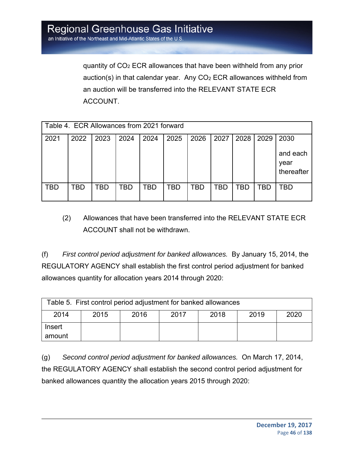quantity of CO2 ECR allowances that have been withheld from any prior auction(s) in that calendar year. Any  $CO<sub>2</sub> ECR$  allowances withheld from an auction will be transferred into the RELEVANT STATE ECR ACCOUNT.

| Table 4. ECR Allowances from 2021 forward |      |      |      |      |      |      |      |      |      |                                |
|-------------------------------------------|------|------|------|------|------|------|------|------|------|--------------------------------|
| 2021                                      | 2022 | 2023 | 2024 | 2024 | 2025 | 2026 | 2027 | 2028 | 2029 | 2030                           |
|                                           |      |      |      |      |      |      |      |      |      | and each<br>year<br>thereafter |
| TBD                                       | TBD  | TBD  | TBD  | TBD  | TBD  | TBD  | TBD  | TBD  | TBD  | TBD                            |

(2) Allowances that have been transferred into the RELEVANT STATE ECR ACCOUNT shall not be withdrawn.

(f) *First control period adjustment for banked allowances.* By January 15, 2014, the REGULATORY AGENCY shall establish the first control period adjustment for banked allowances quantity for allocation years 2014 through 2020:

| Table 5. First control period adjustment for banked allowances |                                              |  |  |  |  |  |  |
|----------------------------------------------------------------|----------------------------------------------|--|--|--|--|--|--|
| 2014                                                           | 2020<br>2017<br>2018<br>2019<br>2015<br>2016 |  |  |  |  |  |  |
| Insert                                                         |                                              |  |  |  |  |  |  |
| amount                                                         |                                              |  |  |  |  |  |  |

(g) *Second control period adjustment for banked allowances.* On March 17, 2014, the REGULATORY AGENCY shall establish the second control period adjustment for banked allowances quantity the allocation years 2015 through 2020: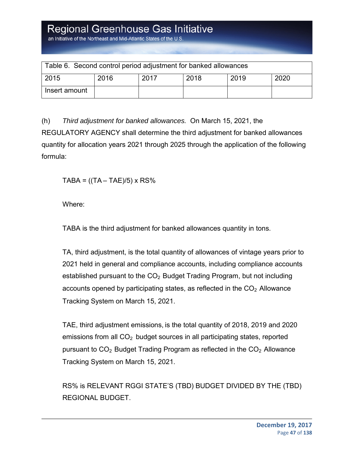| Table 6. Second control period adjustment for banked allowances |      |      |      |      |      |  |  |
|-----------------------------------------------------------------|------|------|------|------|------|--|--|
| 2015                                                            | 2016 | 2017 | 2018 | 2019 | 2020 |  |  |
| Insert amount                                                   |      |      |      |      |      |  |  |

(h) *Third adjustment for banked allowances.* On March 15, 2021, the REGULATORY AGENCY shall determine the third adjustment for banked allowances quantity for allocation years 2021 through 2025 through the application of the following formula:

 $TABA = ((TA - TAE)/5) \times RS\%$ 

Where:

TABA is the third adjustment for banked allowances quantity in tons.

TA, third adjustment, is the total quantity of allowances of vintage years prior to 2021 held in general and compliance accounts, including compliance accounts established pursuant to the  $CO<sub>2</sub>$  Budget Trading Program, but not including accounts opened by participating states, as reflected in the  $CO<sub>2</sub>$  Allowance Tracking System on March 15, 2021.

TAE, third adjustment emissions, is the total quantity of 2018, 2019 and 2020 emissions from all  $CO<sub>2</sub>$  budget sources in all participating states, reported pursuant to  $CO<sub>2</sub>$  Budget Trading Program as reflected in the  $CO<sub>2</sub>$  Allowance Tracking System on March 15, 2021.

RS% is RELEVANT RGGI STATE'S (TBD) BUDGET DIVIDED BY THE (TBD) REGIONAL BUDGET.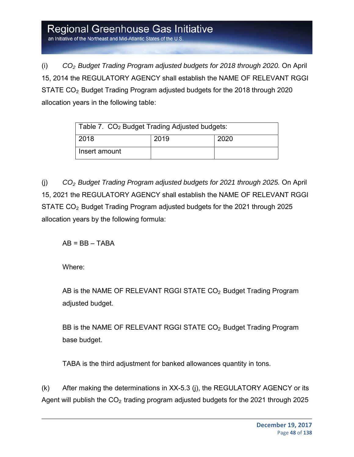an Initiative of the Northeast and Mid-Atlantic States of the U.S

(i) *CO2 Budget Trading Program adjusted budgets for 2018 through 2020.* On April 15, 2014 the REGULATORY AGENCY shall establish the NAME OF RELEVANT RGGI STATE CO2 Budget Trading Program adjusted budgets for the 2018 through 2020 allocation years in the following table:

| Table 7. CO <sub>2</sub> Budget Trading Adjusted budgets: |  |  |  |  |  |  |
|-----------------------------------------------------------|--|--|--|--|--|--|
| 2018<br>2019<br>2020                                      |  |  |  |  |  |  |
| Insert amount                                             |  |  |  |  |  |  |

(j) *CO2 Budget Trading Program adjusted budgets for 2021 through 2025.* On April 15, 2021 the REGULATORY AGENCY shall establish the NAME OF RELEVANT RGGI STATE CO2 Budget Trading Program adjusted budgets for the 2021 through 2025 allocation years by the following formula:

 $AB = BB - TABA$ 

Where:

AB is the NAME OF RELEVANT RGGI STATE CO<sub>2</sub> Budget Trading Program adjusted budget.

BB is the NAME OF RELEVANT RGGI STATE CO<sub>2</sub> Budget Trading Program base budget.

TABA is the third adjustment for banked allowances quantity in tons.

(k) After making the determinations in XX-5.3 (j), the REGULATORY AGENCY or its Agent will publish the  $CO<sub>2</sub>$  trading program adjusted budgets for the 2021 through 2025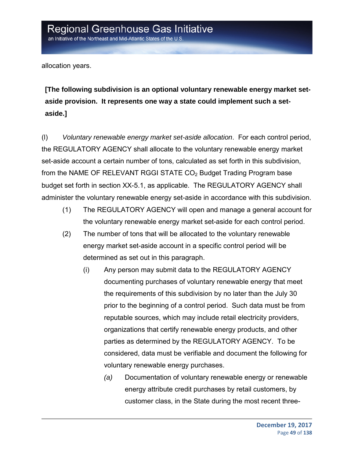allocation years.

**[The following subdivision is an optional voluntary renewable energy market setaside provision. It represents one way a state could implement such a setaside.]** 

(l) *Voluntary renewable energy market set-aside allocation*. For each control period, the REGULATORY AGENCY shall allocate to the voluntary renewable energy market set-aside account a certain number of tons, calculated as set forth in this subdivision, from the NAME OF RELEVANT RGGI STATE CO<sub>2</sub> Budget Trading Program base budget set forth in section XX-5.1, as applicable. The REGULATORY AGENCY shall administer the voluntary renewable energy set-aside in accordance with this subdivision.

- (1) The REGULATORY AGENCY will open and manage a general account for the voluntary renewable energy market set-aside for each control period.
- (2) The number of tons that will be allocated to the voluntary renewable energy market set-aside account in a specific control period will be determined as set out in this paragraph.
	- (i) Any person may submit data to the REGULATORY AGENCY documenting purchases of voluntary renewable energy that meet the requirements of this subdivision by no later than the July 30 prior to the beginning of a control period. Such data must be from reputable sources, which may include retail electricity providers, organizations that certify renewable energy products, and other parties as determined by the REGULATORY AGENCY. To be considered, data must be verifiable and document the following for voluntary renewable energy purchases.
		- *(a)* Documentation of voluntary renewable energy or renewable energy attribute credit purchases by retail customers, by customer class, in the State during the most recent three-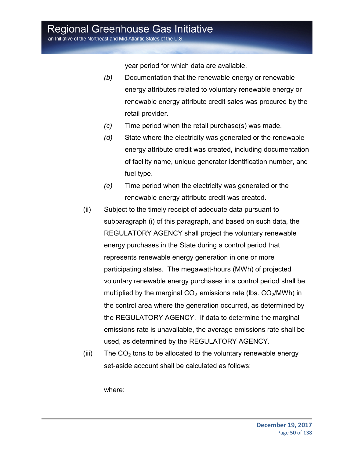an Initiative of the Northeast and Mid-Atlantic States of the U.S.

year period for which data are available.

- *(b)* Documentation that the renewable energy or renewable energy attributes related to voluntary renewable energy or renewable energy attribute credit sales was procured by the retail provider.
- *(c)* Time period when the retail purchase(s) was made.
- *(d)* State where the electricity was generated or the renewable energy attribute credit was created, including documentation of facility name, unique generator identification number, and fuel type.
- *(e)* Time period when the electricity was generated or the renewable energy attribute credit was created.
- (ii) Subject to the timely receipt of adequate data pursuant to subparagraph (i) of this paragraph, and based on such data, the REGULATORY AGENCY shall project the voluntary renewable energy purchases in the State during a control period that represents renewable energy generation in one or more participating states. The megawatt-hours (MWh) of projected voluntary renewable energy purchases in a control period shall be multiplied by the marginal  $CO<sub>2</sub>$  emissions rate (lbs.  $CO<sub>2</sub>/MWh$ ) in the control area where the generation occurred, as determined by the REGULATORY AGENCY. If data to determine the marginal emissions rate is unavailable, the average emissions rate shall be used, as determined by the REGULATORY AGENCY.
- (iii) The  $CO<sub>2</sub>$  tons to be allocated to the voluntary renewable energy set-aside account shall be calculated as follows:

where: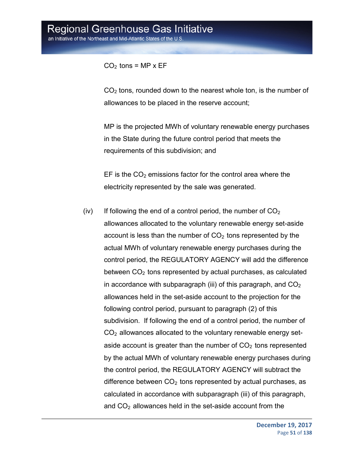#### $CO<sub>2</sub>$  tons = MP x EF

 $CO<sub>2</sub>$  tons, rounded down to the nearest whole ton, is the number of allowances to be placed in the reserve account;

MP is the projected MWh of voluntary renewable energy purchases in the State during the future control period that meets the requirements of this subdivision; and

EF is the  $CO<sub>2</sub>$  emissions factor for the control area where the electricity represented by the sale was generated.

(iv) If following the end of a control period, the number of  $CO<sub>2</sub>$ allowances allocated to the voluntary renewable energy set-aside account is less than the number of  $CO<sub>2</sub>$  tons represented by the actual MWh of voluntary renewable energy purchases during the control period, the REGULATORY AGENCY will add the difference between  $CO<sub>2</sub>$  tons represented by actual purchases, as calculated in accordance with subparagraph (iii) of this paragraph, and  $CO<sub>2</sub>$ allowances held in the set-aside account to the projection for the following control period, pursuant to paragraph (2) of this subdivision. If following the end of a control period, the number of  $CO<sub>2</sub>$  allowances allocated to the voluntary renewable energy setaside account is greater than the number of  $CO<sub>2</sub>$  tons represented by the actual MWh of voluntary renewable energy purchases during the control period, the REGULATORY AGENCY will subtract the difference between  $CO<sub>2</sub>$  tons represented by actual purchases, as calculated in accordance with subparagraph (iii) of this paragraph, and  $CO<sub>2</sub>$  allowances held in the set-aside account from the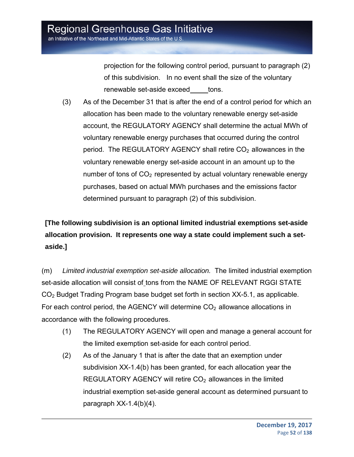projection for the following control period, pursuant to paragraph (2) of this subdivision. In no event shall the size of the voluntary renewable set-aside exceed tons.

(3) As of the December 31 that is after the end of a control period for which an allocation has been made to the voluntary renewable energy set-aside account, the REGULATORY AGENCY shall determine the actual MWh of voluntary renewable energy purchases that occurred during the control period. The REGULATORY AGENCY shall retire  $CO<sub>2</sub>$  allowances in the voluntary renewable energy set-aside account in an amount up to the number of tons of  $CO<sub>2</sub>$  represented by actual voluntary renewable energy purchases, based on actual MWh purchases and the emissions factor determined pursuant to paragraph (2) of this subdivision.

### **[The following subdivision is an optional limited industrial exemptions set-aside allocation provision. It represents one way a state could implement such a setaside.]**

(m) *Limited industrial exemption set-aside allocation.* The limited industrial exemption set-aside allocation will consist of tons from the NAME OF RELEVANT RGGI STATE CO2 Budget Trading Program base budget set forth in section XX-5.1, as applicable. For each control period, the AGENCY will determine  $CO<sub>2</sub>$  allowance allocations in accordance with the following procedures.

- (1) The REGULATORY AGENCY will open and manage a general account for the limited exemption set-aside for each control period.
- (2) As of the January 1 that is after the date that an exemption under subdivision XX-1.4(b) has been granted, for each allocation year the REGULATORY AGENCY will retire  $CO<sub>2</sub>$  allowances in the limited industrial exemption set-aside general account as determined pursuant to paragraph XX-1.4(b)(4).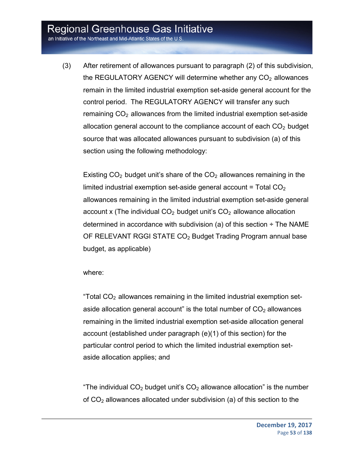an Initiative of the Northeast and Mid-Atlantic States of the U.S.

(3) After retirement of allowances pursuant to paragraph (2) of this subdivision, the REGULATORY AGENCY will determine whether any  $CO<sub>2</sub>$  allowances remain in the limited industrial exemption set-aside general account for the control period. The REGULATORY AGENCY will transfer any such remaining  $CO<sub>2</sub>$  allowances from the limited industrial exemption set-aside allocation general account to the compliance account of each  $CO<sub>2</sub>$  budget source that was allocated allowances pursuant to subdivision (a) of this section using the following methodology:

Existing  $CO<sub>2</sub>$  budget unit's share of the  $CO<sub>2</sub>$  allowances remaining in the limited industrial exemption set-aside general account  $=$  Total CO<sub>2</sub> allowances remaining in the limited industrial exemption set-aside general account x (The individual  $CO<sub>2</sub>$  budget unit's  $CO<sub>2</sub>$  allowance allocation determined in accordance with subdivision (a) of this section  $\div$  The NAME OF RELEVANT RGGI STATE CO<sub>2</sub> Budget Trading Program annual base budget, as applicable)

#### where:

"Total  $CO<sub>2</sub>$  allowances remaining in the limited industrial exemption setaside allocation general account" is the total number of  $CO<sub>2</sub>$  allowances remaining in the limited industrial exemption set-aside allocation general account (established under paragraph (e)(1) of this section) for the particular control period to which the limited industrial exemption setaside allocation applies; and

"The individual  $CO<sub>2</sub>$  budget unit's  $CO<sub>2</sub>$  allowance allocation" is the number of  $CO<sub>2</sub>$  allowances allocated under subdivision (a) of this section to the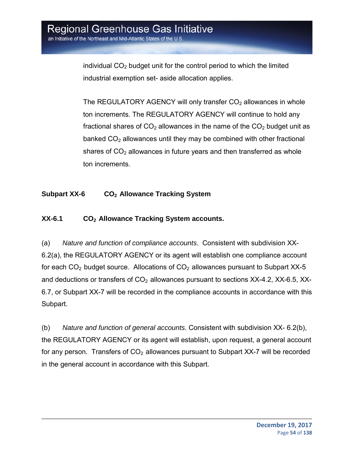individual  $CO<sub>2</sub>$  budget unit for the control period to which the limited industrial exemption set- aside allocation applies.

The REGULATORY AGENCY will only transfer  $CO<sub>2</sub>$  allowances in whole ton increments. The REGULATORY AGENCY will continue to hold any fractional shares of  $CO<sub>2</sub>$  allowances in the name of the  $CO<sub>2</sub>$  budget unit as banked  $CO<sub>2</sub>$  allowances until they may be combined with other fractional shares of  $CO<sub>2</sub>$  allowances in future years and then transferred as whole ton increments.

#### **Subpart XX-6 CO2 Allowance Tracking System**

#### **XX-6.1 CO2 Allowance Tracking System accounts.**

(a) *Nature and function of compliance accounts*. Consistent with subdivision XX-6.2(a), the REGULATORY AGENCY or its agent will establish one compliance account for each  $CO<sub>2</sub>$  budget source. Allocations of  $CO<sub>2</sub>$  allowances pursuant to Subpart XX-5 and deductions or transfers of  $CO<sub>2</sub>$  allowances pursuant to sections  $XX-4.2$ ,  $XX-6.5$ ,  $XX-$ 6.7, or Subpart XX-7 will be recorded in the compliance accounts in accordance with this Subpart.

(b) *Nature and function of general accounts*. Consistent with subdivision XX- 6.2(b), the REGULATORY AGENCY or its agent will establish, upon request, a general account for any person. Transfers of  $CO<sub>2</sub>$  allowances pursuant to Subpart XX-7 will be recorded in the general account in accordance with this Subpart.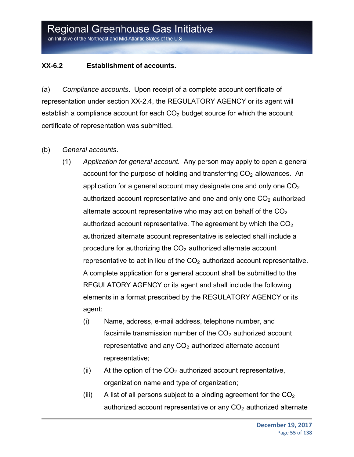#### **XX-6.2 Establishment of accounts.**

(a) *Compliance accounts*. Upon receipt of a complete account certificate of representation under section XX-2.4, the REGULATORY AGENCY or its agent will establish a compliance account for each  $CO<sub>2</sub>$  budget source for which the account certificate of representation was submitted.

#### (b) *General accounts*.

- (1) *Application for general account.* Any person may apply to open a general account for the purpose of holding and transferring  $CO<sub>2</sub>$  allowances. An application for a general account may designate one and only one  $CO<sub>2</sub>$ authorized account representative and one and only one  $CO<sub>2</sub>$  authorized alternate account representative who may act on behalf of the  $CO<sub>2</sub>$ authorized account representative. The agreement by which the  $CO<sub>2</sub>$ authorized alternate account representative is selected shall include a procedure for authorizing the  $CO<sub>2</sub>$  authorized alternate account representative to act in lieu of the  $CO<sub>2</sub>$  authorized account representative. A complete application for a general account shall be submitted to the REGULATORY AGENCY or its agent and shall include the following elements in a format prescribed by the REGULATORY AGENCY or its agent:
	- (i) Name, address, e-mail address, telephone number, and facsimile transmission number of the  $CO<sub>2</sub>$  authorized account representative and any  $CO<sub>2</sub>$  authorized alternate account representative;
	- (ii) At the option of the  $CO<sub>2</sub>$  authorized account representative, organization name and type of organization;
	- (iii) A list of all persons subject to a binding agreement for the  $CO<sub>2</sub>$ authorized account representative or any  $CO<sub>2</sub>$  authorized alternate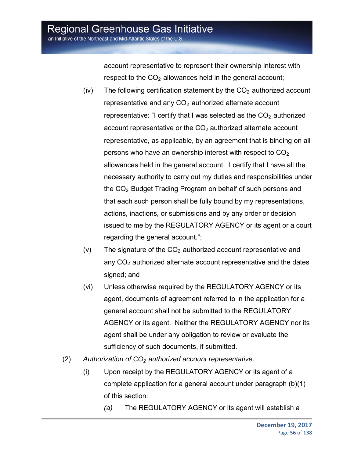account representative to represent their ownership interest with respect to the  $CO<sub>2</sub>$  allowances held in the general account;

- (iv) The following certification statement by the  $CO<sub>2</sub>$  authorized account representative and any  $CO<sub>2</sub>$  authorized alternate account representative: "I certify that I was selected as the  $CO<sub>2</sub>$  authorized account representative or the  $CO<sub>2</sub>$  authorized alternate account representative, as applicable, by an agreement that is binding on all persons who have an ownership interest with respect to  $CO<sub>2</sub>$ allowances held in the general account. I certify that I have all the necessary authority to carry out my duties and responsibilities under the CO2 Budget Trading Program on behalf of such persons and that each such person shall be fully bound by my representations, actions, inactions, or submissions and by any order or decision issued to me by the REGULATORY AGENCY or its agent or a court regarding the general account.";
- $(v)$  The signature of the  $CO<sub>2</sub>$  authorized account representative and any  $CO<sub>2</sub>$  authorized alternate account representative and the dates signed; and
- (vi) Unless otherwise required by the REGULATORY AGENCY or its agent, documents of agreement referred to in the application for a general account shall not be submitted to the REGULATORY AGENCY or its agent. Neither the REGULATORY AGENCY nor its agent shall be under any obligation to review or evaluate the sufficiency of such documents, if submitted.
- (2) *Authorization of CO2 authorized account representative*.
	- (i) Upon receipt by the REGULATORY AGENCY or its agent of a complete application for a general account under paragraph (b)(1) of this section:
		- *(a)* The REGULATORY AGENCY or its agent will establish a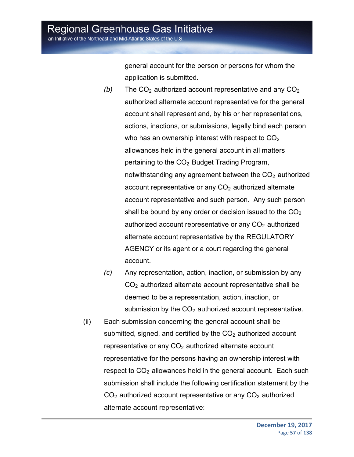general account for the person or persons for whom the application is submitted.

- *(b)* The  $CO<sub>2</sub>$  authorized account representative and any  $CO<sub>2</sub>$ authorized alternate account representative for the general account shall represent and, by his or her representations, actions, inactions, or submissions, legally bind each person who has an ownership interest with respect to  $CO<sub>2</sub>$ allowances held in the general account in all matters pertaining to the  $CO<sub>2</sub>$  Budget Trading Program, notwithstanding any agreement between the  $CO<sub>2</sub>$  authorized account representative or any  $CO<sub>2</sub>$  authorized alternate account representative and such person. Any such person shall be bound by any order or decision issued to the  $CO<sub>2</sub>$ authorized account representative or any  $CO<sub>2</sub>$  authorized alternate account representative by the REGULATORY AGENCY or its agent or a court regarding the general account.
- *(c)* Any representation, action, inaction, or submission by any  $CO<sub>2</sub>$  authorized alternate account representative shall be deemed to be a representation, action, inaction, or submission by the  $CO<sub>2</sub>$  authorized account representative.
- (ii) Each submission concerning the general account shall be submitted, signed, and certified by the  $CO<sub>2</sub>$  authorized account representative or any  $CO<sub>2</sub>$  authorized alternate account representative for the persons having an ownership interest with respect to  $CO<sub>2</sub>$  allowances held in the general account. Each such submission shall include the following certification statement by the  $CO<sub>2</sub>$  authorized account representative or any  $CO<sub>2</sub>$  authorized alternate account representative: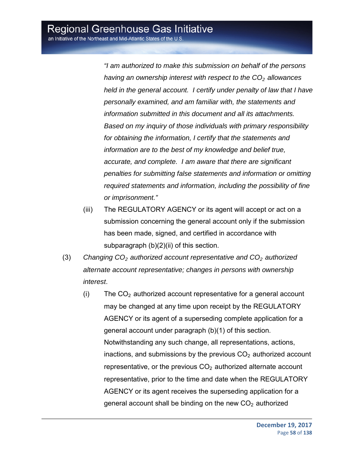*"I am authorized to make this submission on behalf of the persons having an ownership interest with respect to the CO<sub>2</sub> allowances held in the general account. I certify under penalty of law that I have personally examined, and am familiar with, the statements and information submitted in this document and all its attachments. Based on my inquiry of those individuals with primary responsibility for obtaining the information, I certify that the statements and information are to the best of my knowledge and belief true, accurate, and complete. I am aware that there are significant penalties for submitting false statements and information or omitting required statements and information, including the possibility of fine or imprisonment."* 

- (iii) The REGULATORY AGENCY or its agent will accept or act on a submission concerning the general account only if the submission has been made, signed, and certified in accordance with subparagraph (b)(2)(ii) of this section.
- (3) *Changing CO2 authorized account representative and CO2 authorized alternate account representative; changes in persons with ownership interest*.
	- $(i)$  The  $CO<sub>2</sub>$  authorized account representative for a general account may be changed at any time upon receipt by the REGULATORY AGENCY or its agent of a superseding complete application for a general account under paragraph (b)(1) of this section. Notwithstanding any such change, all representations, actions, inactions, and submissions by the previous  $CO<sub>2</sub>$  authorized account representative, or the previous  $CO<sub>2</sub>$  authorized alternate account representative, prior to the time and date when the REGULATORY AGENCY or its agent receives the superseding application for a general account shall be binding on the new  $CO<sub>2</sub>$  authorized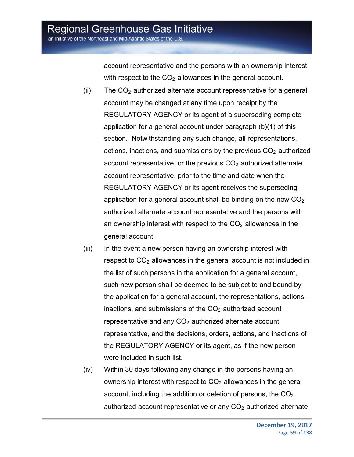account representative and the persons with an ownership interest with respect to the  $CO<sub>2</sub>$  allowances in the general account.

- (ii) The  $CO<sub>2</sub>$  authorized alternate account representative for a general account may be changed at any time upon receipt by the REGULATORY AGENCY or its agent of a superseding complete application for a general account under paragraph (b)(1) of this section. Notwithstanding any such change, all representations, actions, inactions, and submissions by the previous  $CO<sub>2</sub>$  authorized account representative, or the previous  $CO<sub>2</sub>$  authorized alternate account representative, prior to the time and date when the REGULATORY AGENCY or its agent receives the superseding application for a general account shall be binding on the new  $CO<sub>2</sub>$ authorized alternate account representative and the persons with an ownership interest with respect to the  $CO<sub>2</sub>$  allowances in the general account.
- (iii) In the event a new person having an ownership interest with respect to CO<sub>2</sub> allowances in the general account is not included in the list of such persons in the application for a general account, such new person shall be deemed to be subject to and bound by the application for a general account, the representations, actions, inactions, and submissions of the  $CO<sub>2</sub>$  authorized account representative and any  $CO<sub>2</sub>$  authorized alternate account representative, and the decisions, orders, actions, and inactions of the REGULATORY AGENCY or its agent, as if the new person were included in such list.
- (iv) Within 30 days following any change in the persons having an ownership interest with respect to  $CO<sub>2</sub>$  allowances in the general account, including the addition or deletion of persons, the  $CO<sub>2</sub>$ authorized account representative or any  $CO<sub>2</sub>$  authorized alternate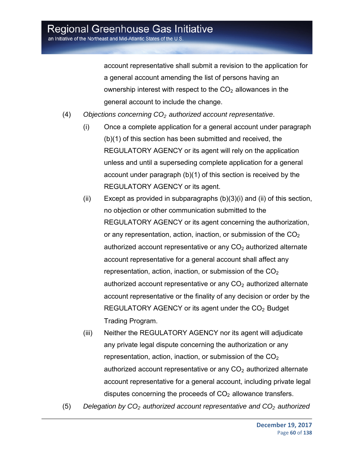account representative shall submit a revision to the application for a general account amending the list of persons having an ownership interest with respect to the  $CO<sub>2</sub>$  allowances in the general account to include the change.

- (4) *Objections concerning CO2 authorized account representative*.
	- (i) Once a complete application for a general account under paragraph (b)(1) of this section has been submitted and received, the REGULATORY AGENCY or its agent will rely on the application unless and until a superseding complete application for a general account under paragraph (b)(1) of this section is received by the REGULATORY AGENCY or its agent.
	- (ii) Except as provided in subparagraphs  $(b)(3)(i)$  and (ii) of this section, no objection or other communication submitted to the REGULATORY AGENCY or its agent concerning the authorization, or any representation, action, inaction, or submission of the  $CO<sub>2</sub>$ authorized account representative or any  $CO<sub>2</sub>$  authorized alternate account representative for a general account shall affect any representation, action, inaction, or submission of the  $CO<sub>2</sub>$ authorized account representative or any  $CO<sub>2</sub>$  authorized alternate account representative or the finality of any decision or order by the REGULATORY AGENCY or its agent under the  $CO<sub>2</sub>$  Budget Trading Program.
	- (iii) Neither the REGULATORY AGENCY nor its agent will adjudicate any private legal dispute concerning the authorization or any representation, action, inaction, or submission of the  $CO<sub>2</sub>$ authorized account representative or any  $CO<sub>2</sub>$  authorized alternate account representative for a general account, including private legal disputes concerning the proceeds of  $CO<sub>2</sub>$  allowance transfers.
- (5) *Delegation by CO<sub>2</sub> authorized account representative and CO<sub>2</sub> authorized*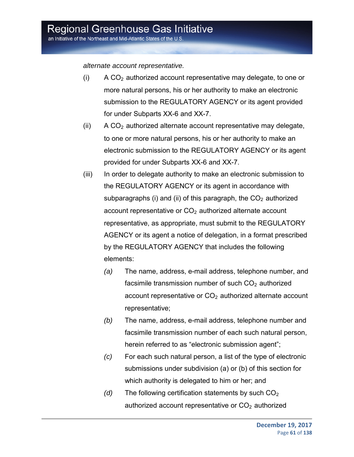*alternate account representative.*

- $(i)$  A CO<sub>2</sub> authorized account representative may delegate, to one or more natural persons, his or her authority to make an electronic submission to the REGULATORY AGENCY or its agent provided for under Subparts XX-6 and XX-7.
- (ii)  $\overline{A}$  CO<sub>2</sub> authorized alternate account representative may delegate, to one or more natural persons, his or her authority to make an electronic submission to the REGULATORY AGENCY or its agent provided for under Subparts XX-6 and XX-7.
- (iii) In order to delegate authority to make an electronic submission to the REGULATORY AGENCY or its agent in accordance with subparagraphs (i) and (ii) of this paragraph, the  $CO<sub>2</sub>$  authorized account representative or  $CO<sub>2</sub>$  authorized alternate account representative, as appropriate, must submit to the REGULATORY AGENCY or its agent a notice of delegation, in a format prescribed by the REGULATORY AGENCY that includes the following elements:
	- *(a)* The name, address, e-mail address, telephone number, and facsimile transmission number of such  $CO<sub>2</sub>$  authorized account representative or  $CO<sub>2</sub>$  authorized alternate account representative;
	- *(b)* The name, address, e-mail address, telephone number and facsimile transmission number of each such natural person, herein referred to as "electronic submission agent";
	- *(c)* For each such natural person, a list of the type of electronic submissions under subdivision (a) or (b) of this section for which authority is delegated to him or her; and
	- $(d)$  The following certification statements by such  $CO<sub>2</sub>$ authorized account representative or  $CO<sub>2</sub>$  authorized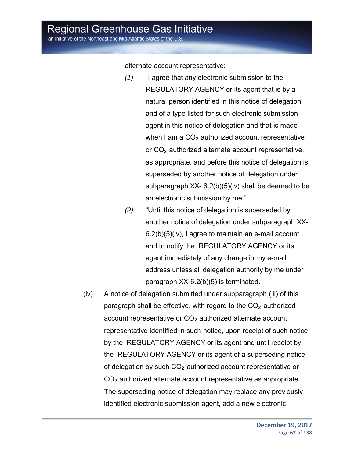an Initiative of the Northeast and Mid-Atlantic States of the U.S.

alternate account representative:

- *(1)* "I agree that any electronic submission to the REGULATORY AGENCY or its agent that is by a natural person identified in this notice of delegation and of a type listed for such electronic submission agent in this notice of delegation and that is made when I am a  $CO<sub>2</sub>$  authorized account representative or CO<sub>2</sub> authorized alternate account representative, as appropriate, and before this notice of delegation is superseded by another notice of delegation under subparagraph XX- 6.2(b)(5)(iv) shall be deemed to be an electronic submission by me."
- *(2)* "Until this notice of delegation is superseded by another notice of delegation under subparagraph XX-6.2(b)(5)(iv), I agree to maintain an e-mail account and to notify the REGULATORY AGENCY or its agent immediately of any change in my e-mail address unless all delegation authority by me under paragraph XX-6.2(b)(5) is terminated."
- (iv) A notice of delegation submitted under subparagraph (iii) of this paragraph shall be effective, with regard to the  $CO<sub>2</sub>$  authorized account representative or  $CO<sub>2</sub>$  authorized alternate account representative identified in such notice, upon receipt of such notice by the REGULATORY AGENCY or its agent and until receipt by the REGULATORY AGENCY or its agent of a superseding notice of delegation by such  $CO<sub>2</sub>$  authorized account representative or  $CO<sub>2</sub>$  authorized alternate account representative as appropriate. The superseding notice of delegation may replace any previously identified electronic submission agent, add a new electronic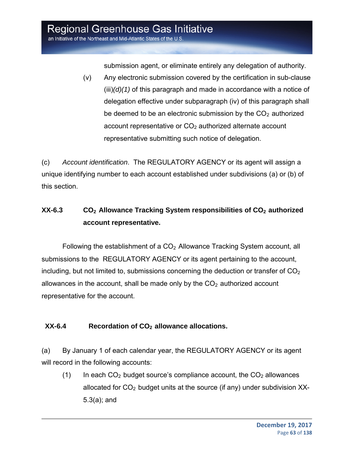submission agent, or eliminate entirely any delegation of authority.

(v) Any electronic submission covered by the certification in sub-clause (iii)*(d)(1)* of this paragraph and made in accordance with a notice of delegation effective under subparagraph (iv) of this paragraph shall be deemed to be an electronic submission by the  $CO<sub>2</sub>$  authorized account representative or  $CO<sub>2</sub>$  authorized alternate account representative submitting such notice of delegation.

(c) *Account identification*. The REGULATORY AGENCY or its agent will assign a unique identifying number to each account established under subdivisions (a) or (b) of this section.

### **XX-6.3** CO<sub>2</sub> Allowance Tracking System responsibilities of CO<sub>2</sub> authorized **account representative.**

Following the establishment of a  $CO<sub>2</sub>$  Allowance Tracking System account, all submissions to the REGULATORY AGENCY or its agent pertaining to the account, including, but not limited to, submissions concerning the deduction or transfer of  $CO<sub>2</sub>$ allowances in the account, shall be made only by the  $CO<sub>2</sub>$  authorized account representative for the account.

#### XX-6.4 Recordation of CO<sub>2</sub> allowance allocations.

(a) By January 1 of each calendar year, the REGULATORY AGENCY or its agent will record in the following accounts:

(1) In each  $CO<sub>2</sub>$  budget source's compliance account, the  $CO<sub>2</sub>$  allowances allocated for  $CO<sub>2</sub>$  budget units at the source (if any) under subdivision XX-5.3(a); and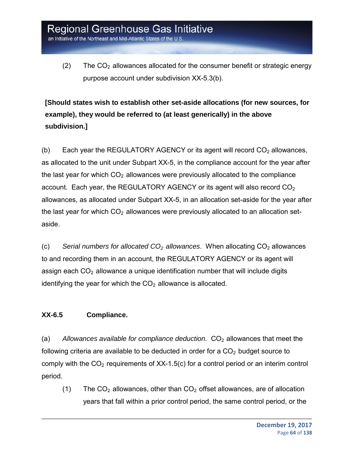(2) The  $CO<sub>2</sub>$  allowances allocated for the consumer benefit or strategic energy purpose account under subdivision XX-5.3(b).

**[Should states wish to establish other set-aside allocations (for new sources, for example), they would be referred to (at least generically) in the above subdivision.]**

(b) Each year the REGULATORY AGENCY or its agent will record  $CO<sub>2</sub>$  allowances, as allocated to the unit under Subpart XX-5, in the compliance account for the year after the last year for which  $CO<sub>2</sub>$  allowances were previously allocated to the compliance account. Each year, the REGULATORY AGENCY or its agent will also record CO<sub>2</sub> allowances, as allocated under Subpart XX-5, in an allocation set-aside for the year after the last year for which  $CO<sub>2</sub>$  allowances were previously allocated to an allocation setaside.

(c) *Serial numbers for allocated CO2 allowances*. When allocating CO2 allowances to and recording them in an account, the REGULATORY AGENCY or its agent will assign each  $CO<sub>2</sub>$  allowance a unique identification number that will include digits identifying the year for which the  $CO<sub>2</sub>$  allowance is allocated.

#### **XX-6.5 Compliance.**

(a) Allowances available for compliance deduction. CO<sub>2</sub> allowances that meet the following criteria are available to be deducted in order for a  $CO<sub>2</sub>$  budget source to comply with the  $CO<sub>2</sub>$  requirements of XX-1.5(c) for a control period or an interim control period.

(1) The  $CO<sub>2</sub>$  allowances, other than  $CO<sub>2</sub>$  offset allowances, are of allocation years that fall within a prior control period, the same control period, or the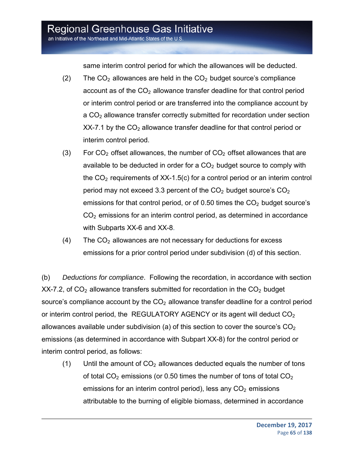an Initiative of the Northeast and Mid-Atlantic States of the U.S.

same interim control period for which the allowances will be deducted.

- (2) The  $CO<sub>2</sub>$  allowances are held in the  $CO<sub>2</sub>$  budget source's compliance account as of the  $CO<sub>2</sub>$  allowance transfer deadline for that control period or interim control period or are transferred into the compliance account by a CO<sub>2</sub> allowance transfer correctly submitted for recordation under section  $XX-7.1$  by the  $CO<sub>2</sub>$  allowance transfer deadline for that control period or interim control period.
- (3) For  $CO<sub>2</sub>$  offset allowances, the number of  $CO<sub>2</sub>$  offset allowances that are available to be deducted in order for a  $CO<sub>2</sub>$  budget source to comply with the  $CO<sub>2</sub>$  requirements of XX-1.5(c) for a control period or an interim control period may not exceed 3.3 percent of the  $CO<sub>2</sub>$  budget source's  $CO<sub>2</sub>$ emissions for that control period, or of 0.50 times the  $CO<sub>2</sub>$  budget source's  $CO<sub>2</sub>$  emissions for an interim control period, as determined in accordance with Subparts XX-6 and XX-8.
- $(4)$  The CO<sub>2</sub> allowances are not necessary for deductions for excess emissions for a prior control period under subdivision (d) of this section.

(b) *Deductions for compliance*. Following the recordation, in accordance with section  $XX$ -7.2, of  $CO<sub>2</sub>$  allowance transfers submitted for recordation in the  $CO<sub>2</sub>$  budget source's compliance account by the  $CO<sub>2</sub>$  allowance transfer deadline for a control period or interim control period, the REGULATORY AGENCY or its agent will deduct  $CO<sub>2</sub>$ allowances available under subdivision (a) of this section to cover the source's  $CO<sub>2</sub>$ emissions (as determined in accordance with Subpart XX-8) for the control period or interim control period, as follows:

(1) Until the amount of  $CO<sub>2</sub>$  allowances deducted equals the number of tons of total  $CO<sub>2</sub>$  emissions (or 0.50 times the number of tons of total  $CO<sub>2</sub>$ emissions for an interim control period), less any  $CO<sub>2</sub>$  emissions attributable to the burning of eligible biomass, determined in accordance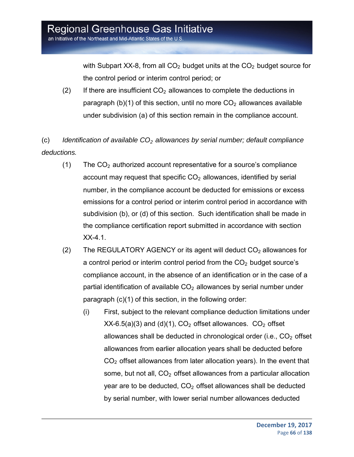with Subpart XX-8, from all  $CO<sub>2</sub>$  budget units at the  $CO<sub>2</sub>$  budget source for the control period or interim control period; or

(2) If there are insufficient  $CO<sub>2</sub>$  allowances to complete the deductions in paragraph (b)(1) of this section, until no more  $CO<sub>2</sub>$  allowances available under subdivision (a) of this section remain in the compliance account.

(c) *Identification of available CO2 allowances by serial number; default compliance deductions.* 

- (1) The  $CO<sub>2</sub>$  authorized account representative for a source's compliance account may request that specific  $CO<sub>2</sub>$  allowances, identified by serial number, in the compliance account be deducted for emissions or excess emissions for a control period or interim control period in accordance with subdivision (b), or (d) of this section. Such identification shall be made in the compliance certification report submitted in accordance with section XX-4.1.
- (2) The REGULATORY AGENCY or its agent will deduct  $CO<sub>2</sub>$  allowances for a control period or interim control period from the  $CO<sub>2</sub>$  budget source's compliance account, in the absence of an identification or in the case of a partial identification of available  $CO<sub>2</sub>$  allowances by serial number under paragraph (c)(1) of this section, in the following order:
	- (i) First, subject to the relevant compliance deduction limitations under  $XX-6.5(a)(3)$  and (d)(1),  $CO<sub>2</sub>$  offset allowances.  $CO<sub>2</sub>$  offset allowances shall be deducted in chronological order (i.e.,  $CO<sub>2</sub>$  offset allowances from earlier allocation years shall be deducted before  $CO<sub>2</sub>$  offset allowances from later allocation years). In the event that some, but not all,  $CO<sub>2</sub>$  offset allowances from a particular allocation year are to be deducted,  $CO<sub>2</sub>$  offset allowances shall be deducted by serial number, with lower serial number allowances deducted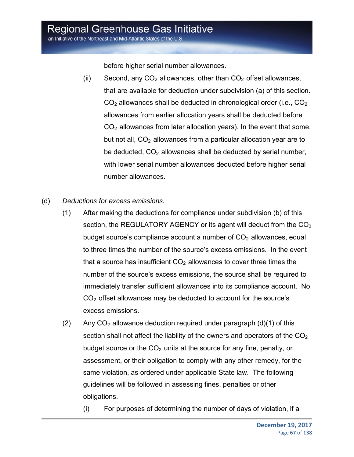an Initiative of the Northeast and Mid-Atlantic States of the U.S.

before higher serial number allowances.

- (ii) Second, any  $CO<sub>2</sub>$  allowances, other than  $CO<sub>2</sub>$  offset allowances, that are available for deduction under subdivision (a) of this section.  $CO<sub>2</sub>$  allowances shall be deducted in chronological order (i.e.,  $CO<sub>2</sub>$ ) allowances from earlier allocation years shall be deducted before  $CO<sub>2</sub>$  allowances from later allocation years). In the event that some, but not all,  $CO<sub>2</sub>$  allowances from a particular allocation year are to be deducted,  $CO<sub>2</sub>$  allowances shall be deducted by serial number, with lower serial number allowances deducted before higher serial number allowances.
- (d) *Deductions for excess emissions.*
	- (1) After making the deductions for compliance under subdivision (b) of this section, the REGULATORY AGENCY or its agent will deduct from the CO<sub>2</sub> budget source's compliance account a number of  $CO<sub>2</sub>$  allowances, equal to three times the number of the source's excess emissions. In the event that a source has insufficient  $CO<sub>2</sub>$  allowances to cover three times the number of the source's excess emissions, the source shall be required to immediately transfer sufficient allowances into its compliance account. No CO2 offset allowances may be deducted to account for the source's excess emissions.
	- (2) Any  $CO<sub>2</sub>$  allowance deduction required under paragraph (d)(1) of this section shall not affect the liability of the owners and operators of the  $CO<sub>2</sub>$ budget source or the  $CO<sub>2</sub>$  units at the source for any fine, penalty, or assessment, or their obligation to comply with any other remedy, for the same violation, as ordered under applicable State law. The following guidelines will be followed in assessing fines, penalties or other obligations.
		- (i) For purposes of determining the number of days of violation, if a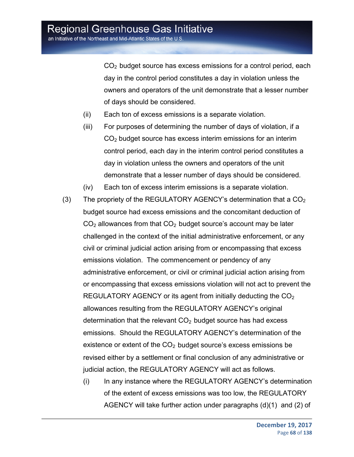CO2 budget source has excess emissions for a control period, each day in the control period constitutes a day in violation unless the owners and operators of the unit demonstrate that a lesser number of days should be considered.

- (ii) Each ton of excess emissions is a separate violation.
- (iii) For purposes of determining the number of days of violation, if a CO2 budget source has excess interim emissions for an interim control period, each day in the interim control period constitutes a day in violation unless the owners and operators of the unit demonstrate that a lesser number of days should be considered.
- (iv) Each ton of excess interim emissions is a separate violation.
- (3) The propriety of the REGULATORY AGENCY's determination that a  $CO<sub>2</sub>$ budget source had excess emissions and the concomitant deduction of  $CO<sub>2</sub>$  allowances from that  $CO<sub>2</sub>$  budget source's account may be later challenged in the context of the initial administrative enforcement, or any civil or criminal judicial action arising from or encompassing that excess emissions violation. The commencement or pendency of any administrative enforcement, or civil or criminal judicial action arising from or encompassing that excess emissions violation will not act to prevent the REGULATORY AGENCY or its agent from initially deducting the  $CO<sub>2</sub>$ allowances resulting from the REGULATORY AGENCY's original determination that the relevant  $CO<sub>2</sub>$  budget source has had excess emissions. Should the REGULATORY AGENCY's determination of the existence or extent of the  $CO<sub>2</sub>$  budget source's excess emissions be revised either by a settlement or final conclusion of any administrative or judicial action, the REGULATORY AGENCY will act as follows.
	- (i) In any instance where the REGULATORY AGENCY's determination of the extent of excess emissions was too low, the REGULATORY AGENCY will take further action under paragraphs (d)(1) and (2) of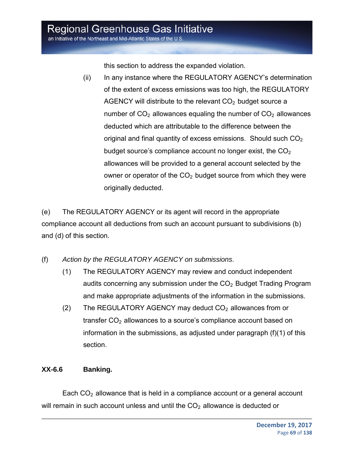an Initiative of the Northeast and Mid-Atlantic States of the U.S.

this section to address the expanded violation.

(ii) In any instance where the REGULATORY AGENCY's determination of the extent of excess emissions was too high, the REGULATORY AGENCY will distribute to the relevant  $CO<sub>2</sub>$  budget source a number of  $CO<sub>2</sub>$  allowances equaling the number of  $CO<sub>2</sub>$  allowances deducted which are attributable to the difference between the original and final quantity of excess emissions. Should such  $CO<sub>2</sub>$ budget source's compliance account no longer exist, the  $CO<sub>2</sub>$ allowances will be provided to a general account selected by the owner or operator of the  $CO<sub>2</sub>$  budget source from which they were originally deducted.

(e) The REGULATORY AGENCY or its agent will record in the appropriate compliance account all deductions from such an account pursuant to subdivisions (b) and (d) of this section.

- (f) *Action by the REGULATORY AGENCY on submissions*.
	- (1) The REGULATORY AGENCY may review and conduct independent audits concerning any submission under the  $CO<sub>2</sub>$  Budget Trading Program and make appropriate adjustments of the information in the submissions.
	- (2) The REGULATORY AGENCY may deduct  $CO<sub>2</sub>$  allowances from or transfer  $CO<sub>2</sub>$  allowances to a source's compliance account based on information in the submissions, as adjusted under paragraph (f)(1) of this section.

#### **XX-6.6 Banking.**

Each  $CO<sub>2</sub>$  allowance that is held in a compliance account or a general account will remain in such account unless and until the  $CO<sub>2</sub>$  allowance is deducted or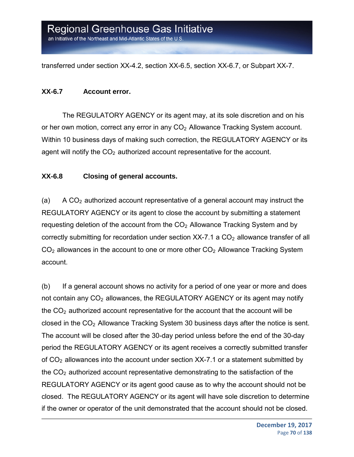transferred under section XX-4.2, section XX-6.5, section XX-6.7, or Subpart XX-7.

#### **XX-6.7 Account error.**

The REGULATORY AGENCY or its agent may, at its sole discretion and on his or her own motion, correct any error in any  $CO<sub>2</sub>$  Allowance Tracking System account. Within 10 business days of making such correction, the REGULATORY AGENCY or its agent will notify the  $CO<sub>2</sub>$  authorized account representative for the account.

#### **XX-6.8 Closing of general accounts.**

(a) A  $CO<sub>2</sub>$  authorized account representative of a general account may instruct the REGULATORY AGENCY or its agent to close the account by submitting a statement requesting deletion of the account from the  $CO<sub>2</sub>$  Allowance Tracking System and by correctly submitting for recordation under section  $XX$ -7.1 a  $CO<sub>2</sub>$  allowance transfer of all  $CO<sub>2</sub>$  allowances in the account to one or more other  $CO<sub>2</sub>$  Allowance Tracking System account.

(b) If a general account shows no activity for a period of one year or more and does not contain any  $CO<sub>2</sub>$  allowances, the REGULATORY AGENCY or its agent may notify the  $CO<sub>2</sub>$  authorized account representative for the account that the account will be closed in the  $CO<sub>2</sub>$  Allowance Tracking System 30 business days after the notice is sent. The account will be closed after the 30-day period unless before the end of the 30-day period the REGULATORY AGENCY or its agent receives a correctly submitted transfer of  $CO<sub>2</sub>$  allowances into the account under section XX-7.1 or a statement submitted by the  $CO<sub>2</sub>$  authorized account representative demonstrating to the satisfaction of the REGULATORY AGENCY or its agent good cause as to why the account should not be closed. The REGULATORY AGENCY or its agent will have sole discretion to determine if the owner or operator of the unit demonstrated that the account should not be closed.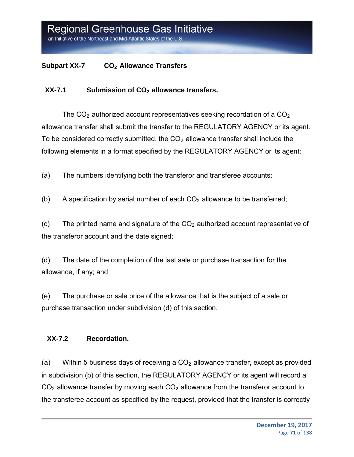#### **Subpart XX-7** CO<sub>2</sub> Allowance Transfers

#### XX-7.1 Submission of CO<sub>2</sub> allowance transfers.

The  $CO<sub>2</sub>$  authorized account representatives seeking recordation of a  $CO<sub>2</sub>$ allowance transfer shall submit the transfer to the REGULATORY AGENCY or its agent. To be considered correctly submitted, the  $CO<sub>2</sub>$  allowance transfer shall include the following elements in a format specified by the REGULATORY AGENCY or its agent:

(a) The numbers identifying both the transferor and transferee accounts;

(b) A specification by serial number of each  $CO<sub>2</sub>$  allowance to be transferred;

(c) The printed name and signature of the  $CO<sub>2</sub>$  authorized account representative of the transferor account and the date signed;

(d) The date of the completion of the last sale or purchase transaction for the allowance, if any; and

(e) The purchase or sale price of the allowance that is the subject of a sale or purchase transaction under subdivision (d) of this section.

#### **XX-7.2 Recordation.**

(a) Within 5 business days of receiving a  $CO<sub>2</sub>$  allowance transfer, except as provided in subdivision (b) of this section, the REGULATORY AGENCY or its agent will record a  $CO<sub>2</sub>$  allowance transfer by moving each  $CO<sub>2</sub>$  allowance from the transferor account to the transferee account as specified by the request, provided that the transfer is correctly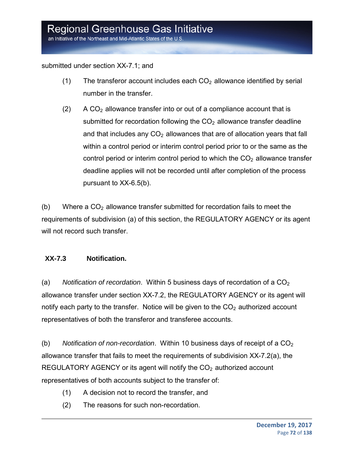#### submitted under section XX-7.1; and

- (1) The transferor account includes each  $CO<sub>2</sub>$  allowance identified by serial number in the transfer.
- $(2)$  A CO<sub>2</sub> allowance transfer into or out of a compliance account that is submitted for recordation following the  $CO<sub>2</sub>$  allowance transfer deadline and that includes any  $CO<sub>2</sub>$  allowances that are of allocation years that fall within a control period or interim control period prior to or the same as the control period or interim control period to which the  $CO<sub>2</sub>$  allowance transfer deadline applies will not be recorded until after completion of the process pursuant to XX-6.5(b).

(b) Where a  $CO<sub>2</sub>$  allowance transfer submitted for recordation fails to meet the requirements of subdivision (a) of this section, the REGULATORY AGENCY or its agent will not record such transfer.

#### **XX-7.3 Notification.**

(a) Notification of recordation. Within 5 business days of recordation of a CO<sub>2</sub> allowance transfer under section XX-7.2, the REGULATORY AGENCY or its agent will notify each party to the transfer. Notice will be given to the  $CO<sub>2</sub>$  authorized account representatives of both the transferor and transferee accounts.

(b) Notification of non-recordation. Within 10 business days of receipt of a  $CO<sub>2</sub>$ allowance transfer that fails to meet the requirements of subdivision XX-7.2(a), the REGULATORY AGENCY or its agent will notify the  $CO<sub>2</sub>$  authorized account representatives of both accounts subject to the transfer of:

- (1) A decision not to record the transfer, and
- (2) The reasons for such non-recordation.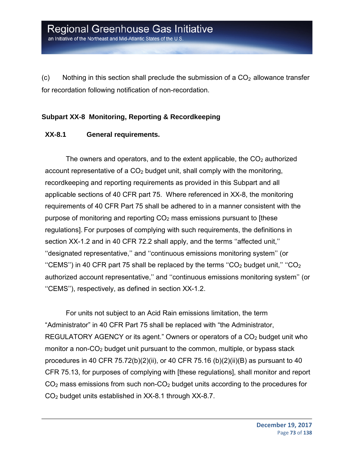(c) Nothing in this section shall preclude the submission of a  $CO<sub>2</sub>$  allowance transfer for recordation following notification of non-recordation.

#### **Subpart XX-8 Monitoring, Reporting & Recordkeeping**

#### **XX-8.1 General requirements.**

The owners and operators, and to the extent applicable, the  $CO<sub>2</sub>$  authorized account representative of a  $CO<sub>2</sub>$  budget unit, shall comply with the monitoring, recordkeeping and reporting requirements as provided in this Subpart and all applicable sections of 40 CFR part 75. Where referenced in XX-8, the monitoring requirements of 40 CFR Part 75 shall be adhered to in a manner consistent with the purpose of monitoring and reporting CO2 mass emissions pursuant to [these regulations]. For purposes of complying with such requirements, the definitions in section XX-1.2 and in 40 CFR 72.2 shall apply, and the terms ''affected unit,'' ''designated representative,'' and ''continuous emissions monitoring system'' (or "CEMS") in 40 CFR part 75 shall be replaced by the terms "CO<sub>2</sub> budget unit," "CO<sub>2</sub> authorized account representative,'' and ''continuous emissions monitoring system'' (or ''CEMS''), respectively, as defined in section XX-1.2.

For units not subject to an Acid Rain emissions limitation, the term "Administrator" in 40 CFR Part 75 shall be replaced with "the Administrator, REGULATORY AGENCY or its agent." Owners or operators of a  $CO<sub>2</sub>$  budget unit who monitor a non-CO<sub>2</sub> budget unit pursuant to the common, multiple, or bypass stack procedures in 40 CFR 75.72(b)(2)(ii), or 40 CFR 75.16 (b)(2)(ii)(B) as pursuant to 40 CFR 75.13, for purposes of complying with [these regulations], shall monitor and report  $CO<sub>2</sub>$  mass emissions from such non- $CO<sub>2</sub>$  budget units according to the procedures for CO2 budget units established in XX-8.1 through XX-8.7.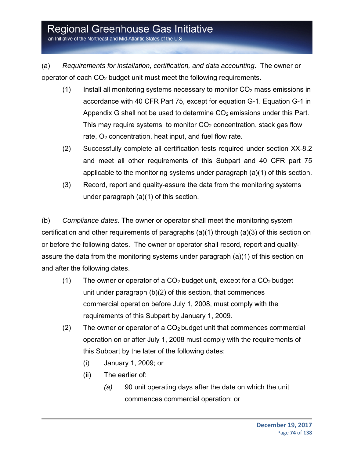an Initiative of the Northeast and Mid-Atlantic States of the U.S.

(a) *Requirements for installation, certification, and data accounting*. The owner or operator of each  $CO<sub>2</sub>$  budget unit must meet the following requirements.

- (1) Install all monitoring systems necessary to monitor  $CO<sub>2</sub>$  mass emissions in accordance with 40 CFR Part 75, except for equation G-1. Equation G-1 in Appendix G shall not be used to determine  $CO<sub>2</sub>$  emissions under this Part. This may require systems to monitor  $CO<sub>2</sub>$  concentration, stack gas flow rate,  $O<sub>2</sub>$  concentration, heat input, and fuel flow rate.
- (2) Successfully complete all certification tests required under section XX-8.2 and meet all other requirements of this Subpart and 40 CFR part 75 applicable to the monitoring systems under paragraph (a)(1) of this section.
- (3) Record, report and quality-assure the data from the monitoring systems under paragraph (a)(1) of this section.

(b) *Compliance dates*. The owner or operator shall meet the monitoring system certification and other requirements of paragraphs (a)(1) through (a)(3) of this section on or before the following dates. The owner or operator shall record, report and qualityassure the data from the monitoring systems under paragraph (a)(1) of this section on and after the following dates.

- (1) The owner or operator of a  $CO<sub>2</sub>$  budget unit, except for a  $CO<sub>2</sub>$  budget unit under paragraph (b)(2) of this section, that commences commercial operation before July 1, 2008, must comply with the requirements of this Subpart by January 1, 2009.
- (2) The owner or operator of a  $CO<sub>2</sub>$  budget unit that commences commercial operation on or after July 1, 2008 must comply with the requirements of this Subpart by the later of the following dates:
	- (i) January 1, 2009; or
	- (ii) The earlier of:
		- *(a)* 90 unit operating days after the date on which the unit commences commercial operation; or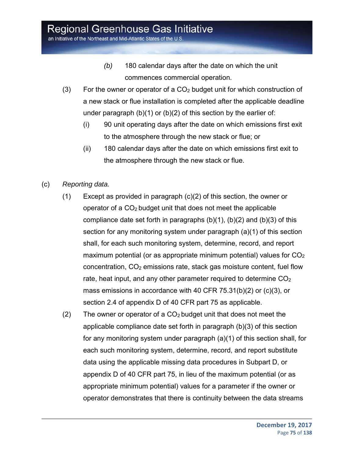an Initiative of the Northeast and Mid-Atlantic States of the U.S.

- *(b)* 180 calendar days after the date on which the unit commences commercial operation.
- (3) For the owner or operator of a  $CO<sub>2</sub>$  budget unit for which construction of a new stack or flue installation is completed after the applicable deadline under paragraph  $(b)(1)$  or  $(b)(2)$  of this section by the earlier of:
	- (i) 90 unit operating days after the date on which emissions first exit to the atmosphere through the new stack or flue; or
	- (ii) 180 calendar days after the date on which emissions first exit to the atmosphere through the new stack or flue.
- (c) *Reporting data.*
	- (1) Except as provided in paragraph (c)(2) of this section, the owner or operator of a  $CO<sub>2</sub>$  budget unit that does not meet the applicable compliance date set forth in paragraphs  $(b)(1)$ ,  $(b)(2)$  and  $(b)(3)$  of this section for any monitoring system under paragraph (a)(1) of this section shall, for each such monitoring system, determine, record, and report maximum potential (or as appropriate minimum potential) values for  $CO<sub>2</sub>$  $concentration, CO<sub>2</sub> emissions rate, stack gas moisture content, fuel flow$ rate, heat input, and any other parameter required to determine  $CO<sub>2</sub>$ mass emissions in accordance with 40 CFR 75.31(b)(2) or (c)(3), or section 2.4 of appendix D of 40 CFR part 75 as applicable.
	- (2) The owner or operator of a  $CO<sub>2</sub>$  budget unit that does not meet the applicable compliance date set forth in paragraph (b)(3) of this section for any monitoring system under paragraph (a)(1) of this section shall, for each such monitoring system, determine, record, and report substitute data using the applicable missing data procedures in Subpart D, or appendix D of 40 CFR part 75, in lieu of the maximum potential (or as appropriate minimum potential) values for a parameter if the owner or operator demonstrates that there is continuity between the data streams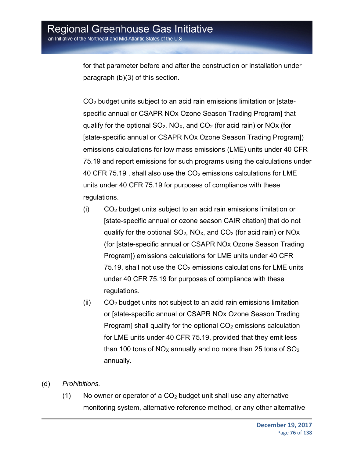for that parameter before and after the construction or installation under paragraph (b)(3) of this section.

CO2 budget units subject to an acid rain emissions limitation or [statespecific annual or CSAPR NOx Ozone Season Trading Program] that qualify for the optional  $SO_2$ ,  $NO_{X}$ , and  $CO_2$  (for acid rain) or  $NO_{X}$  (for [state-specific annual or CSAPR NOx Ozone Season Trading Program]) emissions calculations for low mass emissions (LME) units under 40 CFR 75.19 and report emissions for such programs using the calculations under 40 CFR 75.19, shall also use the  $CO<sub>2</sub>$  emissions calculations for LME units under 40 CFR 75.19 for purposes of compliance with these regulations.

- (i) CO2 budget units subject to an acid rain emissions limitation or [state-specific annual or ozone season CAIR citation] that do not qualify for the optional  $SO_2$ ,  $NO<sub>X</sub>$ , and  $CO_2$  (for acid rain) or  $NO<sub>X</sub>$ (for [state-specific annual or CSAPR NOx Ozone Season Trading Program]) emissions calculations for LME units under 40 CFR  $75.19$ , shall not use the  $CO<sub>2</sub>$  emissions calculations for LME units under 40 CFR 75.19 for purposes of compliance with these regulations.
- $(ii)$   $CO<sub>2</sub>$  budget units not subject to an acid rain emissions limitation or [state-specific annual or CSAPR NOx Ozone Season Trading Program] shall qualify for the optional  $CO<sub>2</sub>$  emissions calculation for LME units under 40 CFR 75.19, provided that they emit less than 100 tons of  $NO<sub>X</sub>$  annually and no more than 25 tons of  $SO<sub>2</sub>$ annually.
- (d) *Prohibitions.*
	- (1) No owner or operator of a  $CO<sub>2</sub>$  budget unit shall use any alternative monitoring system, alternative reference method, or any other alternative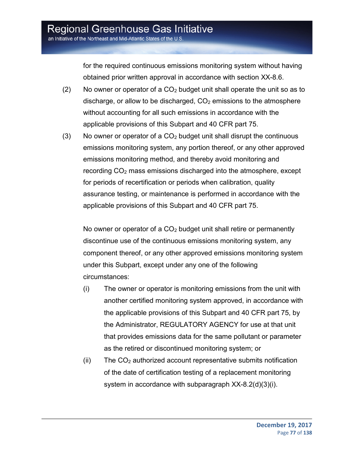for the required continuous emissions monitoring system without having obtained prior written approval in accordance with section XX-8.6.

- (2) No owner or operator of a  $CO<sub>2</sub>$  budget unit shall operate the unit so as to discharge, or allow to be discharged,  $CO<sub>2</sub>$  emissions to the atmosphere without accounting for all such emissions in accordance with the applicable provisions of this Subpart and 40 CFR part 75.
- (3) No owner or operator of a  $CO<sub>2</sub>$  budget unit shall disrupt the continuous emissions monitoring system, any portion thereof, or any other approved emissions monitoring method, and thereby avoid monitoring and recording CO<sub>2</sub> mass emissions discharged into the atmosphere, except for periods of recertification or periods when calibration, quality assurance testing, or maintenance is performed in accordance with the applicable provisions of this Subpart and 40 CFR part 75.

No owner or operator of a  $CO<sub>2</sub>$  budget unit shall retire or permanently discontinue use of the continuous emissions monitoring system, any component thereof, or any other approved emissions monitoring system under this Subpart, except under any one of the following circumstances:

- (i) The owner or operator is monitoring emissions from the unit with another certified monitoring system approved, in accordance with the applicable provisions of this Subpart and 40 CFR part 75, by the Administrator, REGULATORY AGENCY for use at that unit that provides emissions data for the same pollutant or parameter as the retired or discontinued monitoring system; or
- $(i)$  The  $CO<sub>2</sub>$  authorized account representative submits notification of the date of certification testing of a replacement monitoring system in accordance with subparagraph XX-8.2(d)(3)(i).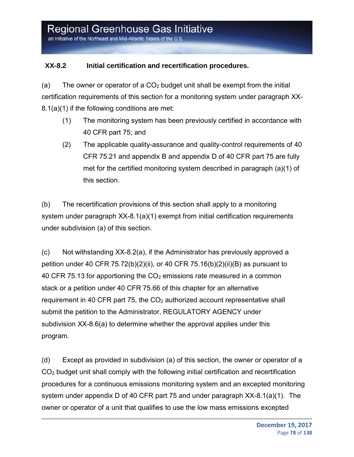#### **XX-8.2 Initial certification and recertification procedures.**

(a) The owner or operator of a  $CO<sub>2</sub>$  budget unit shall be exempt from the initial certification requirements of this section for a monitoring system under paragraph XX-8.1(a)(1) if the following conditions are met:

- (1) The monitoring system has been previously certified in accordance with 40 CFR part 75; and
- (2) The applicable quality-assurance and quality-control requirements of 40 CFR 75.21 and appendix B and appendix D of 40 CFR part 75 are fully met for the certified monitoring system described in paragraph (a)(1) of this section.

(b) The recertification provisions of this section shall apply to a monitoring system under paragraph XX-8.1(a)(1) exempt from initial certification requirements under subdivision (a) of this section.

(c) Not withstanding XX-8.2(a), if the Administrator has previously approved a petition under 40 CFR 75.72(b)(2)(ii), or 40 CFR 75.16(b)(2)(ii)(B) as pursuant to 40 CFR 75.13 for apportioning the  $CO<sub>2</sub>$  emissions rate measured in a common stack or a petition under 40 CFR 75.66 of this chapter for an alternative requirement in 40 CFR part 75, the  $CO<sub>2</sub>$  authorized account representative shall submit the petition to the Administrator, REGULATORY AGENCY under subdivision XX-8.6(a) to determine whether the approval applies under this program.

(d) Except as provided in subdivision (a) of this section, the owner or operator of a CO2 budget unit shall comply with the following initial certification and recertification procedures for a continuous emissions monitoring system and an excepted monitoring system under appendix D of 40 CFR part 75 and under paragraph XX-8.1(a)(1). The owner or operator of a unit that qualifies to use the low mass emissions excepted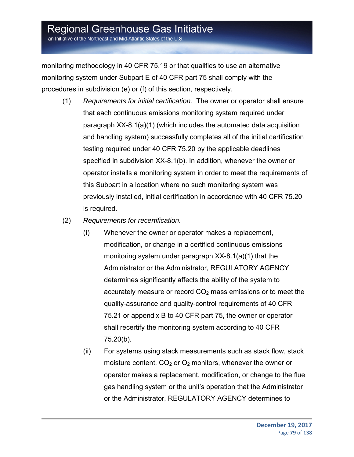an Initiative of the Northeast and Mid-Atlantic States of the U.S.

monitoring methodology in 40 CFR 75.19 or that qualifies to use an alternative monitoring system under Subpart E of 40 CFR part 75 shall comply with the procedures in subdivision (e) or (f) of this section, respectively.

- (1) *Requirements for initial certification.* The owner or operator shall ensure that each continuous emissions monitoring system required under paragraph XX-8.1(a)(1) (which includes the automated data acquisition and handling system) successfully completes all of the initial certification testing required under 40 CFR 75.20 by the applicable deadlines specified in subdivision XX-8.1(b). In addition, whenever the owner or operator installs a monitoring system in order to meet the requirements of this Subpart in a location where no such monitoring system was previously installed, initial certification in accordance with 40 CFR 75.20 is required.
- (2) *Requirements for recertification.*
	- (i) Whenever the owner or operator makes a replacement, modification, or change in a certified continuous emissions monitoring system under paragraph XX-8.1(a)(1) that the Administrator or the Administrator, REGULATORY AGENCY determines significantly affects the ability of the system to accurately measure or record  $CO<sub>2</sub>$  mass emissions or to meet the quality-assurance and quality-control requirements of 40 CFR 75.21 or appendix B to 40 CFR part 75, the owner or operator shall recertify the monitoring system according to 40 CFR 75.20(b).
	- (ii) For systems using stack measurements such as stack flow, stack moisture content,  $CO<sub>2</sub>$  or  $O<sub>2</sub>$  monitors, whenever the owner or operator makes a replacement, modification, or change to the flue gas handling system or the unit's operation that the Administrator or the Administrator, REGULATORY AGENCY determines to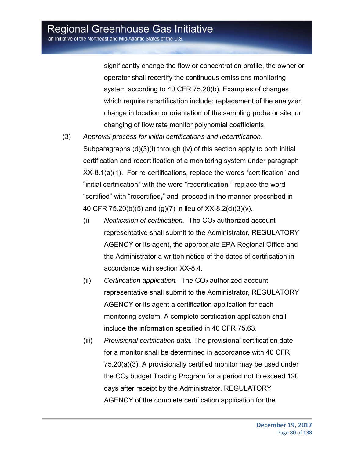significantly change the flow or concentration profile, the owner or operator shall recertify the continuous emissions monitoring system according to 40 CFR 75.20(b). Examples of changes which require recertification include: replacement of the analyzer, change in location or orientation of the sampling probe or site, or changing of flow rate monitor polynomial coefficients.

- (3) *Approval process for initial certifications and recertification*. Subparagraphs (d)(3)(i) through (iv) of this section apply to both initial certification and recertification of a monitoring system under paragraph XX-8.1(a)(1). For re-certifications, replace the words "certification" and "initial certification" with the word "recertification," replace the word "certified" with "recertified," and proceed in the manner prescribed in 40 CFR 75.20(b)(5) and (g)(7) in lieu of XX-8.2(d)(3)(v).
	- (i) Notification of certification. The CO<sub>2</sub> authorized account representative shall submit to the Administrator, REGULATORY AGENCY or its agent, the appropriate EPA Regional Office and the Administrator a written notice of the dates of certification in accordance with section XX-8.4.
	- (ii) *Certification application.* The CO<sub>2</sub> authorized account representative shall submit to the Administrator, REGULATORY AGENCY or its agent a certification application for each monitoring system. A complete certification application shall include the information specified in 40 CFR 75.63.
	- (iii) *Provisional certification data.* The provisional certification date for a monitor shall be determined in accordance with 40 CFR 75.20(a)(3). A provisionally certified monitor may be used under the CO2 budget Trading Program for a period not to exceed 120 days after receipt by the Administrator, REGULATORY AGENCY of the complete certification application for the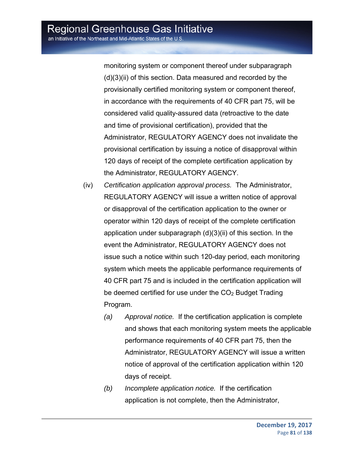monitoring system or component thereof under subparagraph (d)(3)(ii) of this section. Data measured and recorded by the provisionally certified monitoring system or component thereof, in accordance with the requirements of 40 CFR part 75, will be considered valid quality-assured data (retroactive to the date and time of provisional certification), provided that the Administrator, REGULATORY AGENCY does not invalidate the provisional certification by issuing a notice of disapproval within 120 days of receipt of the complete certification application by the Administrator, REGULATORY AGENCY.

- (iv) *Certification application approval process.* The Administrator, REGULATORY AGENCY will issue a written notice of approval or disapproval of the certification application to the owner or operator within 120 days of receipt of the complete certification application under subparagraph (d)(3)(ii) of this section. In the event the Administrator, REGULATORY AGENCY does not issue such a notice within such 120-day period, each monitoring system which meets the applicable performance requirements of 40 CFR part 75 and is included in the certification application will be deemed certified for use under the  $CO<sub>2</sub>$  Budget Trading Program.
	- *(a) Approval notice.* If the certification application is complete and shows that each monitoring system meets the applicable performance requirements of 40 CFR part 75, then the Administrator, REGULATORY AGENCY will issue a written notice of approval of the certification application within 120 days of receipt.
	- *(b) Incomplete application notice.* If the certification application is not complete, then the Administrator,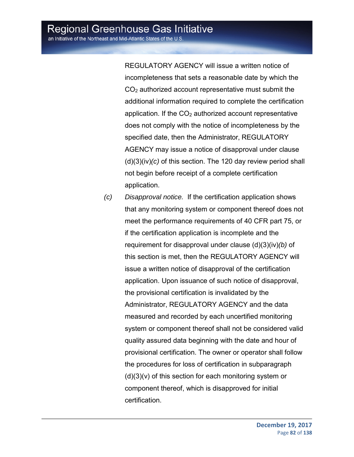REGULATORY AGENCY will issue a written notice of incompleteness that sets a reasonable date by which the  $CO<sub>2</sub>$  authorized account representative must submit the additional information required to complete the certification application. If the  $CO<sub>2</sub>$  authorized account representative does not comply with the notice of incompleteness by the specified date, then the Administrator, REGULATORY AGENCY may issue a notice of disapproval under clause (d)(3)(iv)*(c)* of this section. The 120 day review period shall not begin before receipt of a complete certification application.

*(c) Disapproval notice.* If the certification application shows that any monitoring system or component thereof does not meet the performance requirements of 40 CFR part 75, or if the certification application is incomplete and the requirement for disapproval under clause (d)(3)(iv)*(b)* of this section is met, then the REGULATORY AGENCY will issue a written notice of disapproval of the certification application. Upon issuance of such notice of disapproval, the provisional certification is invalidated by the Administrator, REGULATORY AGENCY and the data measured and recorded by each uncertified monitoring system or component thereof shall not be considered valid quality assured data beginning with the date and hour of provisional certification. The owner or operator shall follow the procedures for loss of certification in subparagraph (d)(3)(v) of this section for each monitoring system or component thereof, which is disapproved for initial certification.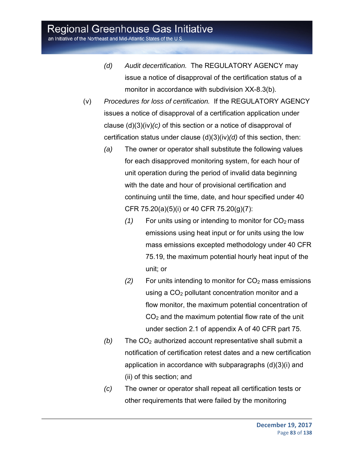an Initiative of the Northeast and Mid-Atlantic States of the U.S.

- *(d) Audit decertification.* The REGULATORY AGENCY may issue a notice of disapproval of the certification status of a monitor in accordance with subdivision XX-8.3(b).
- (v) *Procedures for loss of certification.* If the REGULATORY AGENCY issues a notice of disapproval of a certification application under clause (d)(3)(iv)*(c)* of this section or a notice of disapproval of certification status under clause (d)(3)(iv)*(d)* of this section, then:
	- *(a)* The owner or operator shall substitute the following values for each disapproved monitoring system, for each hour of unit operation during the period of invalid data beginning with the date and hour of provisional certification and continuing until the time, date, and hour specified under 40 CFR 75.20(a)(5)(i) or 40 CFR 75.20(g)(7):
		- $(1)$  For units using or intending to monitor for  $CO<sub>2</sub>$  mass emissions using heat input or for units using the low mass emissions excepted methodology under 40 CFR 75.19, the maximum potential hourly heat input of the unit; or
		- *(2)* For units intending to monitor for CO2 mass emissions using a  $CO<sub>2</sub>$  pollutant concentration monitor and a flow monitor, the maximum potential concentration of  $CO<sub>2</sub>$  and the maximum potential flow rate of the unit under section 2.1 of appendix A of 40 CFR part 75.
	- *(b)* The CO<sub>2</sub> authorized account representative shall submit a notification of certification retest dates and a new certification application in accordance with subparagraphs (d)(3)(i) and (ii) of this section; and
	- *(c)* The owner or operator shall repeat all certification tests or other requirements that were failed by the monitoring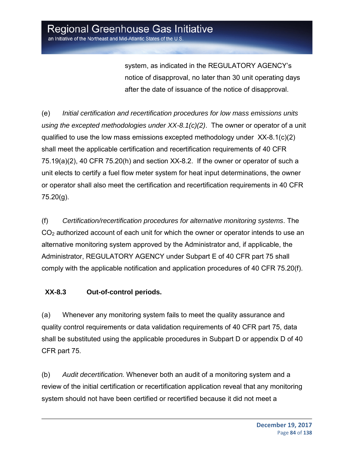system, as indicated in the REGULATORY AGENCY's notice of disapproval, no later than 30 unit operating days after the date of issuance of the notice of disapproval.

(e) *Initial certification and recertification procedures for low mass emissions units using the excepted methodologies under XX-8.1(c)(2)*. The owner or operator of a unit qualified to use the low mass emissions excepted methodology under  $XX-8.1(c)(2)$ shall meet the applicable certification and recertification requirements of 40 CFR 75.19(a)(2), 40 CFR 75.20(h) and section XX-8.2. If the owner or operator of such a unit elects to certify a fuel flow meter system for heat input determinations, the owner or operator shall also meet the certification and recertification requirements in 40 CFR 75.20(g).

(f) *Certification/recertification procedures for alternative monitoring systems*. The CO<sub>2</sub> authorized account of each unit for which the owner or operator intends to use an alternative monitoring system approved by the Administrator and, if applicable, the Administrator, REGULATORY AGENCY under Subpart E of 40 CFR part 75 shall comply with the applicable notification and application procedures of 40 CFR 75.20(f).

### **XX-8.3 Out-of-control periods.**

(a) Whenever any monitoring system fails to meet the quality assurance and quality control requirements or data validation requirements of 40 CFR part 75, data shall be substituted using the applicable procedures in Subpart D or appendix D of 40 CFR part 75.

(b) *Audit decertification.* Whenever both an audit of a monitoring system and a review of the initial certification or recertification application reveal that any monitoring system should not have been certified or recertified because it did not meet a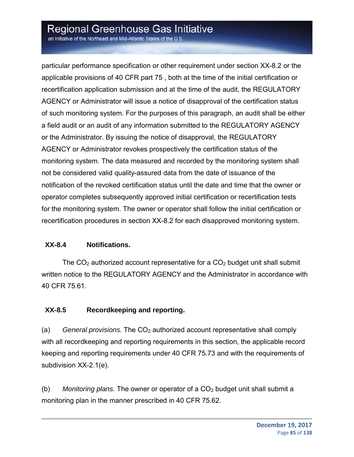an Initiative of the Northeast and Mid-Atlantic States of the U.S

particular performance specification or other requirement under section XX-8.2 or the applicable provisions of 40 CFR part 75 , both at the time of the initial certification or recertification application submission and at the time of the audit, the REGULATORY AGENCY or Administrator will issue a notice of disapproval of the certification status of such monitoring system. For the purposes of this paragraph, an audit shall be either a field audit or an audit of any information submitted to the REGULATORY AGENCY or the Administrator. By issuing the notice of disapproval, the REGULATORY AGENCY or Administrator revokes prospectively the certification status of the monitoring system. The data measured and recorded by the monitoring system shall not be considered valid quality-assured data from the date of issuance of the notification of the revoked certification status until the date and time that the owner or operator completes subsequently approved initial certification or recertification tests for the monitoring system. The owner or operator shall follow the initial certification or recertification procedures in section XX-8.2 for each disapproved monitoring system.

#### **XX-8.4 Notifications.**

The  $CO<sub>2</sub>$  authorized account representative for a  $CO<sub>2</sub>$  budget unit shall submit written notice to the REGULATORY AGENCY and the Administrator in accordance with 40 CFR 75.61.

#### **XX-8.5 Recordkeeping and reporting.**

(a) *General provisions.* The CO2 authorized account representative shall comply with all recordkeeping and reporting requirements in this section, the applicable record keeping and reporting requirements under 40 CFR 75.73 and with the requirements of subdivision XX-2.1(e).

(b) *Monitoring plans.* The owner or operator of a CO2 budget unit shall submit a monitoring plan in the manner prescribed in 40 CFR 75.62.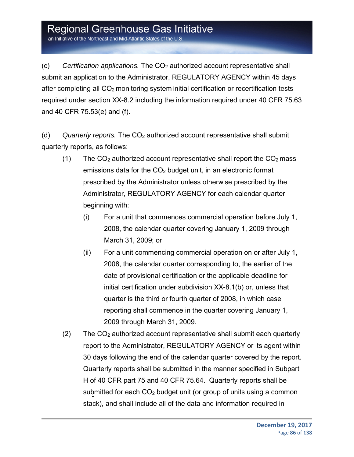an Initiative of the Northeast and Mid-Atlantic States of the U.S.

(c) *Certification applications.* The CO2 authorized account representative shall submit an application to the Administrator, REGULATORY AGENCY within 45 days after completing all CO<sub>2</sub> monitoring system initial certification or recertification tests required under section XX-8.2 including the information required under 40 CFR 75.63 and 40 CFR 75.53(e) and (f).

(d) *Quarterly reports.* The CO2 authorized account representative shall submit quarterly reports, as follows:

- (1) The  $CO<sub>2</sub>$  authorized account representative shall report the  $CO<sub>2</sub>$  mass emissions data for the  $CO<sub>2</sub>$  budget unit, in an electronic format prescribed by the Administrator unless otherwise prescribed by the Administrator, REGULATORY AGENCY for each calendar quarter beginning with:
	- (i) For a unit that commences commercial operation before July 1, 2008, the calendar quarter covering January 1, 2009 through March 31, 2009; or
	- (ii) For a unit commencing commercial operation on or after July 1, 2008, the calendar quarter corresponding to, the earlier of the date of provisional certification or the applicable deadline for initial certification under subdivision XX-8.1(b) or, unless that quarter is the third or fourth quarter of 2008, in which case reporting shall commence in the quarter covering January 1, 2009 through March 31, 2009.
- $(2)$  The CO<sub>2</sub> authorized account representative shall submit each quarterly report to the Administrator, REGULATORY AGENCY or its agent within 30 days following the end of the calendar quarter covered by the report. Quarterly reports shall be submitted in the manner specified in Subpart H of 40 CFR part 75 and 40 CFR 75.64. Quarterly reports shall be submitted for each  $CO<sub>2</sub>$  budget unit (or group of units using a common stack), and shall include all of the data and information required in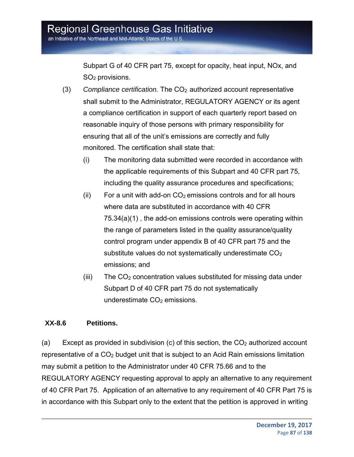Subpart G of 40 CFR part 75, except for opacity, heat input, NOx, and SO2 provisions.

- (3) *Compliance certification.* The CO<sub>2</sub> authorized account representative shall submit to the Administrator, REGULATORY AGENCY or its agent a compliance certification in support of each quarterly report based on reasonable inquiry of those persons with primary responsibility for ensuring that all of the unit's emissions are correctly and fully monitored. The certification shall state that:
	- (i) The monitoring data submitted were recorded in accordance with the applicable requirements of this Subpart and 40 CFR part 75, including the quality assurance procedures and specifications;
	- (ii) For a unit with add-on  $CO<sub>2</sub>$  emissions controls and for all hours where data are substituted in accordance with 40 CFR 75.34(a)(1) , the add-on emissions controls were operating within the range of parameters listed in the quality assurance/quality control program under appendix B of 40 CFR part 75 and the substitute values do not systematically underestimate  $CO<sub>2</sub>$ emissions; and
	- $(iii)$  The CO<sub>2</sub> concentration values substituted for missing data under Subpart D of 40 CFR part 75 do not systematically underestimate CO<sub>2</sub> emissions.

#### **XX-8.6 Petitions.**

(a) Except as provided in subdivision (c) of this section, the  $CO<sub>2</sub>$  authorized account representative of a  $CO<sub>2</sub>$  budget unit that is subject to an Acid Rain emissions limitation may submit a petition to the Administrator under 40 CFR 75.66 and to the REGULATORY AGENCY requesting approval to apply an alternative to any requirement of 40 CFR Part 75. Application of an alternative to any requirement of 40 CFR Part 75 is in accordance with this Subpart only to the extent that the petition is approved in writing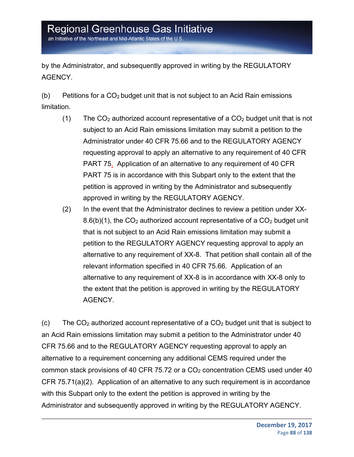an Initiative of the Northeast and Mid-Atlantic States of the U.S.

by the Administrator, and subsequently approved in writing by the REGULATORY AGENCY.

(b) Petitions for a  $CO<sub>2</sub>$  budget unit that is not subject to an Acid Rain emissions limitation.

- (1) The  $CO<sub>2</sub>$  authorized account representative of a  $CO<sub>2</sub>$  budget unit that is not subject to an Acid Rain emissions limitation may submit a petition to the Administrator under 40 CFR 75.66 and to the REGULATORY AGENCY requesting approval to apply an alternative to any requirement of 40 CFR PART 75. Application of an alternative to any requirement of 40 CFR PART 75 is in accordance with this Subpart only to the extent that the petition is approved in writing by the Administrator and subsequently approved in writing by the REGULATORY AGENCY.
- (2) In the event that the Administrator declines to review a petition under XX-8.6(b)(1), the  $CO<sub>2</sub>$  authorized account representative of a  $CO<sub>2</sub>$  budget unit that is not subject to an Acid Rain emissions limitation may submit a petition to the REGULATORY AGENCY requesting approval to apply an alternative to any requirement of XX-8. That petition shall contain all of the relevant information specified in 40 CFR 75.66. Application of an alternative to any requirement of XX-8 is in accordance with XX-8 only to the extent that the petition is approved in writing by the REGULATORY AGENCY.

(c) The  $CO<sub>2</sub>$  authorized account representative of a  $CO<sub>2</sub>$  budget unit that is subject to an Acid Rain emissions limitation may submit a petition to the Administrator under 40 CFR 75.66 and to the REGULATORY AGENCY requesting approval to apply an alternative to a requirement concerning any additional CEMS required under the common stack provisions of 40 CFR 75.72 or a  $CO<sub>2</sub>$  concentration CEMS used under 40 CFR 75.71(a)(2). Application of an alternative to any such requirement is in accordance with this Subpart only to the extent the petition is approved in writing by the Administrator and subsequently approved in writing by the REGULATORY AGENCY.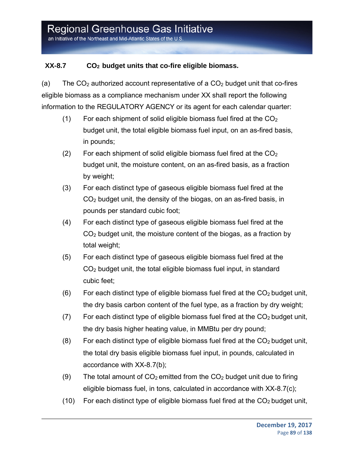### XX-8.7 CO<sub>2</sub> budget units that co-fire eligible biomass.

(a) The  $CO<sub>2</sub>$  authorized account representative of a  $CO<sub>2</sub>$  budget unit that co-fires eligible biomass as a compliance mechanism under XX shall report the following information to the REGULATORY AGENCY or its agent for each calendar quarter:

- (1) For each shipment of solid eligible biomass fuel fired at the  $CO<sub>2</sub>$ budget unit, the total eligible biomass fuel input, on an as-fired basis, in pounds;
- (2) For each shipment of solid eligible biomass fuel fired at the  $CO<sub>2</sub>$ budget unit, the moisture content, on an as-fired basis, as a fraction by weight;
- (3) For each distinct type of gaseous eligible biomass fuel fired at the  $CO<sub>2</sub>$  budget unit, the density of the biogas, on an as-fired basis, in pounds per standard cubic foot;
- (4) For each distinct type of gaseous eligible biomass fuel fired at the CO2 budget unit, the moisture content of the biogas, as a fraction by total weight;
- (5) For each distinct type of gaseous eligible biomass fuel fired at the CO2 budget unit, the total eligible biomass fuel input, in standard cubic feet;
- (6) For each distinct type of eligible biomass fuel fired at the  $CO<sub>2</sub>$  budget unit, the dry basis carbon content of the fuel type, as a fraction by dry weight;
- (7) For each distinct type of eligible biomass fuel fired at the  $CO<sub>2</sub>$  budget unit, the dry basis higher heating value, in MMBtu per dry pound;
- (8) For each distinct type of eligible biomass fuel fired at the  $CO<sub>2</sub>$  budget unit, the total dry basis eligible biomass fuel input, in pounds, calculated in accordance with XX-8.7(b);
- (9) The total amount of  $CO<sub>2</sub>$  emitted from the  $CO<sub>2</sub>$  budget unit due to firing eligible biomass fuel, in tons, calculated in accordance with XX-8.7(c);
- (10) For each distinct type of eligible biomass fuel fired at the  $CO<sub>2</sub>$  budget unit,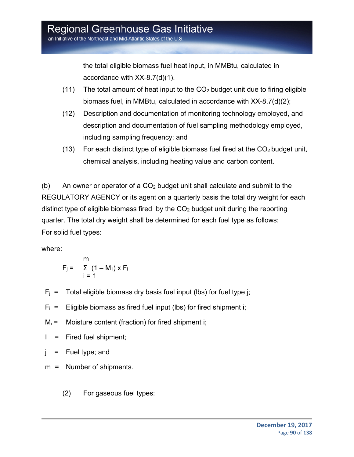the total eligible biomass fuel heat input, in MMBtu, calculated in accordance with XX-8.7(d)(1).

- (11) The total amount of heat input to the  $CO<sub>2</sub>$  budget unit due to firing eligible biomass fuel, in MMBtu, calculated in accordance with XX-8.7(d)(2);
- (12) Description and documentation of monitoring technology employed, and description and documentation of fuel sampling methodology employed, including sampling frequency; and
- (13) For each distinct type of eligible biomass fuel fired at the  $CO<sub>2</sub>$  budget unit, chemical analysis, including heating value and carbon content.

(b) An owner or operator of a  $CO<sub>2</sub>$  budget unit shall calculate and submit to the REGULATORY AGENCY or its agent on a quarterly basis the total dry weight for each distinct type of eligible biomass fired by the  $CO<sub>2</sub>$  budget unit during the reporting quarter. The total dry weight shall be determined for each fuel type as follows: For solid fuel types:

where:

$$
F_j = \sum_{i=1}^{m} (1 - M_i) \times F_i
$$

- $F_i$  = Total eligible biomass dry basis fuel input (lbs) for fuel type j;
- $F_i$  = Eligible biomass as fired fuel input (lbs) for fired shipment i;
- $M_i$  = Moisture content (fraction) for fired shipment i;
- $I =$  Fired fuel shipment;

 $j =$  Fuel type; and

- m = Number of shipments.
	- (2) For gaseous fuel types: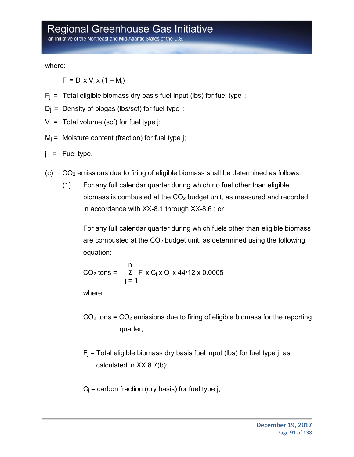an Initiative of the Northeast and Mid-Atlantic States of the U.S

where:

 $F_i = D_i \times V_i \times (1 - M_i)$ 

- $F_i$  = Total eligible biomass dry basis fuel input (lbs) for fuel type j;
- $D_i$  = Density of biogas (lbs/scf) for fuel type j;
- $V_i$  = Total volume (scf) for fuel type j;
- $M_i$  = Moisture content (fraction) for fuel type i;
- j = Fuel type.
- $(C)$   $CO<sub>2</sub>$  emissions due to firing of eligible biomass shall be determined as follows:
	- (1) For any full calendar quarter during which no fuel other than eligible biomass is combusted at the CO<sub>2</sub> budget unit, as measured and recorded in accordance with XX-8.1 through XX-8.6 ; or

For any full calendar quarter during which fuels other than eligible biomass are combusted at the  $CO<sub>2</sub>$  budget unit, as determined using the following equation:

$$
CO2 tons = \sum_{j=1}^{n} F_j x C_j x O_j x 44/12 x 0.0005
$$

where:

- $CO<sub>2</sub>$  tons =  $CO<sub>2</sub>$  emissions due to firing of eligible biomass for the reporting quarter;
- $F_i$  = Total eligible biomass dry basis fuel input (lbs) for fuel type j, as calculated in XX 8.7(b);
- $C_i$  = carbon fraction (dry basis) for fuel type j;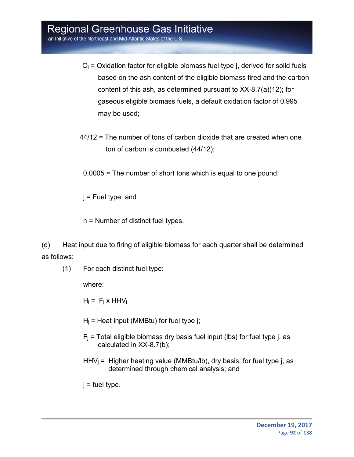- $O_i$  = Oxidation factor for eligible biomass fuel type j, derived for solid fuels based on the ash content of the eligible biomass fired and the carbon content of this ash, as determined pursuant to XX-8.7(a)(12); for gaseous eligible biomass fuels, a default oxidation factor of 0.995 may be used;
- 44/12 = The number of tons of carbon dioxide that are created when one ton of carbon is combusted (44/12);
- 0.0005 = The number of short tons which is equal to one pound;

 $j$  = Fuel type; and

n = Number of distinct fuel types.

(d) Heat input due to firing of eligible biomass for each quarter shall be determined as follows:

(1) For each distinct fuel type:

where:

 $H_i = F_i x HHV_i$ 

- $H_i$  = Heat input (MMBtu) for fuel type j;
- $F_i$  = Total eligible biomass dry basis fuel input (lbs) for fuel type j, as calculated in XX-8.7(b);
- $HHV_i = Higher heating value (MMBtu/lb)$ , dry basis, for fuel type j, as determined through chemical analysis; and

 $j$  = fuel type.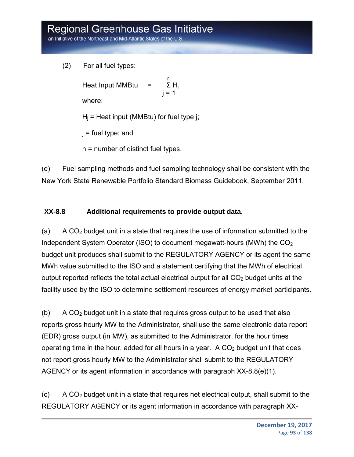an Initiative of the Northeast and Mid-Atlantic States of the U.S

(2) For all fuel types:

na ann an t-ainm an t-ainm an t-ainm an t-ainm an t-ainm an t-ainm an t-ainm an t-ainm an t-ainm an t-ainm an Heat Input MMBtu =  $\Sigma H_i$ j = 1 where:

 $H_i$  = Heat input (MMBtu) for fuel type j;

 $j$  = fuel type; and

n = number of distinct fuel types.

(e) Fuel sampling methods and fuel sampling technology shall be consistent with the New York State Renewable Portfolio Standard Biomass Guidebook, September 2011.

### **XX-8.8 Additional requirements to provide output data.**

(a) A  $CO<sub>2</sub>$  budget unit in a state that requires the use of information submitted to the Independent System Operator (ISO) to document megawatt-hours (MWh) the  $CO<sub>2</sub>$ budget unit produces shall submit to the REGULATORY AGENCY or its agent the same MWh value submitted to the ISO and a statement certifying that the MWh of electrical output reported reflects the total actual electrical output for all  $CO<sub>2</sub>$  budget units at the facility used by the ISO to determine settlement resources of energy market participants.

(b) A  $CO<sub>2</sub>$  budget unit in a state that requires gross output to be used that also reports gross hourly MW to the Administrator, shall use the same electronic data report (EDR) gross output (in MW), as submitted to the Administrator, for the hour times operating time in the hour, added for all hours in a year. A  $CO<sub>2</sub>$  budget unit that does not report gross hourly MW to the Administrator shall submit to the REGULATORY AGENCY or its agent information in accordance with paragraph XX-8.8(e)(1).

 $(0)$  A CO<sub>2</sub> budget unit in a state that requires net electrical output, shall submit to the REGULATORY AGENCY or its agent information in accordance with paragraph XX-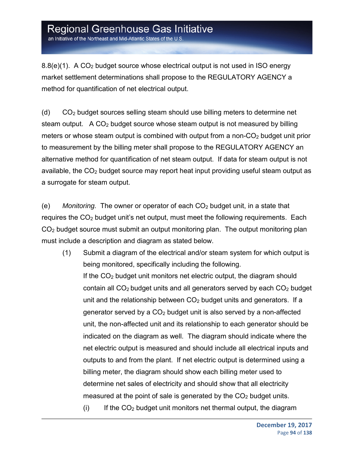an Initiative of the Northeast and Mid-Atlantic States of the U.S.

 $8.8(e)(1)$ . A CO<sub>2</sub> budget source whose electrical output is not used in ISO energy market settlement determinations shall propose to the REGULATORY AGENCY a method for quantification of net electrical output.

(d) CO2 budget sources selling steam should use billing meters to determine net steam output. A CO<sub>2</sub> budget source whose steam output is not measured by billing meters or whose steam output is combined with output from a non- $CO<sub>2</sub>$  budget unit prior to measurement by the billing meter shall propose to the REGULATORY AGENCY an alternative method for quantification of net steam output. If data for steam output is not available, the  $CO<sub>2</sub>$  budget source may report heat input providing useful steam output as a surrogate for steam output.

(e) *Monitoring.* The owner or operator of each CO2 budget unit, in a state that requires the  $CO<sub>2</sub>$  budget unit's net output, must meet the following requirements. Each CO2 budget source must submit an output monitoring plan. The output monitoring plan must include a description and diagram as stated below.

- (1) Submit a diagram of the electrical and/or steam system for which output is being monitored, specifically including the following. If the  $CO<sub>2</sub>$  budget unit monitors net electric output, the diagram should contain all  $CO<sub>2</sub>$  budget units and all generators served by each  $CO<sub>2</sub>$  budget unit and the relationship between  $CO<sub>2</sub>$  budget units and generators. If a generator served by a  $CO<sub>2</sub>$  budget unit is also served by a non-affected unit, the non-affected unit and its relationship to each generator should be indicated on the diagram as well. The diagram should indicate where the net electric output is measured and should include all electrical inputs and outputs to and from the plant. If net electric output is determined using a billing meter, the diagram should show each billing meter used to determine net sales of electricity and should show that all electricity measured at the point of sale is generated by the  $CO<sub>2</sub>$  budget units.
	- $(i)$  If the  $CO<sub>2</sub>$  budget unit monitors net thermal output, the diagram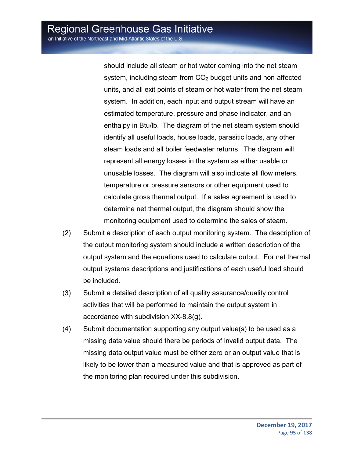should include all steam or hot water coming into the net steam system, including steam from  $CO<sub>2</sub>$  budget units and non-affected units, and all exit points of steam or hot water from the net steam system. In addition, each input and output stream will have an estimated temperature, pressure and phase indicator, and an enthalpy in Btu/lb. The diagram of the net steam system should identify all useful loads, house loads, parasitic loads, any other steam loads and all boiler feedwater returns. The diagram will represent all energy losses in the system as either usable or unusable losses. The diagram will also indicate all flow meters, temperature or pressure sensors or other equipment used to calculate gross thermal output. If a sales agreement is used to determine net thermal output, the diagram should show the monitoring equipment used to determine the sales of steam.

- (2) Submit a description of each output monitoring system. The description of the output monitoring system should include a written description of the output system and the equations used to calculate output. For net thermal output systems descriptions and justifications of each useful load should be included.
- (3) Submit a detailed description of all quality assurance/quality control activities that will be performed to maintain the output system in accordance with subdivision XX-8.8(g).
- (4) Submit documentation supporting any output value(s) to be used as a missing data value should there be periods of invalid output data. The missing data output value must be either zero or an output value that is likely to be lower than a measured value and that is approved as part of the monitoring plan required under this subdivision.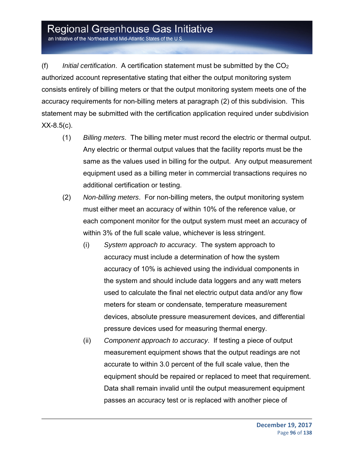an Initiative of the Northeast and Mid-Atlantic States of the U.S.

(f) *Initial certification*. A certification statement must be submitted by the CO2 authorized account representative stating that either the output monitoring system consists entirely of billing meters or that the output monitoring system meets one of the accuracy requirements for non-billing meters at paragraph (2) of this subdivision. This statement may be submitted with the certification application required under subdivision  $XX-8.5(c)$ .

- (1) *Billing meters*. The billing meter must record the electric or thermal output. Any electric or thermal output values that the facility reports must be the same as the values used in billing for the output. Any output measurement equipment used as a billing meter in commercial transactions requires no additional certification or testing.
- (2) *Non-billing meters*. For non-billing meters, the output monitoring system must either meet an accuracy of within 10% of the reference value, or each component monitor for the output system must meet an accuracy of within 3% of the full scale value, whichever is less stringent.
	- (i) *System approach to accuracy*. The system approach to accuracy must include a determination of how the system accuracy of 10% is achieved using the individual components in the system and should include data loggers and any watt meters used to calculate the final net electric output data and/or any flow meters for steam or condensate, temperature measurement devices, absolute pressure measurement devices, and differential pressure devices used for measuring thermal energy.
	- (ii) *Component approach to accuracy*. If testing a piece of output measurement equipment shows that the output readings are not accurate to within 3.0 percent of the full scale value, then the equipment should be repaired or replaced to meet that requirement. Data shall remain invalid until the output measurement equipment passes an accuracy test or is replaced with another piece of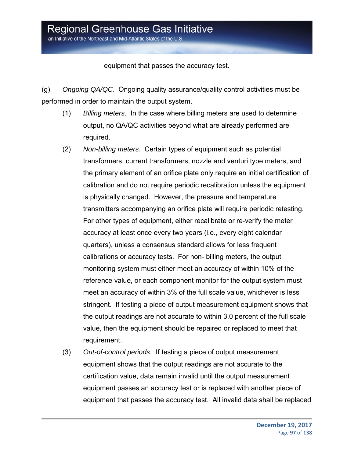equipment that passes the accuracy test.

(g) *Ongoing QA/QC*. Ongoing quality assurance/quality control activities must be performed in order to maintain the output system.

- (1) *Billing meters*. In the case where billing meters are used to determine output, no QA/QC activities beyond what are already performed are required.
- (2) *Non-billing meters*. Certain types of equipment such as potential transformers, current transformers, nozzle and venturi type meters, and the primary element of an orifice plate only require an initial certification of calibration and do not require periodic recalibration unless the equipment is physically changed. However, the pressure and temperature transmitters accompanying an orifice plate will require periodic retesting. For other types of equipment, either recalibrate or re-verify the meter accuracy at least once every two years (i.e., every eight calendar quarters), unless a consensus standard allows for less frequent calibrations or accuracy tests. For non- billing meters, the output monitoring system must either meet an accuracy of within 10% of the reference value, or each component monitor for the output system must meet an accuracy of within 3% of the full scale value, whichever is less stringent. If testing a piece of output measurement equipment shows that the output readings are not accurate to within 3.0 percent of the full scale value, then the equipment should be repaired or replaced to meet that requirement.
- (3) *Out-of-control periods*. If testing a piece of output measurement equipment shows that the output readings are not accurate to the certification value, data remain invalid until the output measurement equipment passes an accuracy test or is replaced with another piece of equipment that passes the accuracy test. All invalid data shall be replaced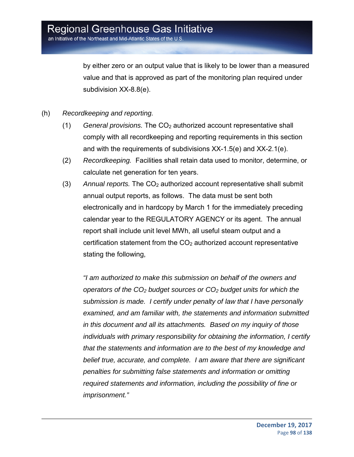by either zero or an output value that is likely to be lower than a measured value and that is approved as part of the monitoring plan required under subdivision XX-8.8(e).

- (h) *Recordkeeping and reporting.*
	- (1) *General provisions.* The CO2 authorized account representative shall comply with all recordkeeping and reporting requirements in this section and with the requirements of subdivisions XX-1.5(e) and XX-2.1(e).
	- (2) *Recordkeeping.* Facilities shall retain data used to monitor, determine, or calculate net generation for ten years.
	- (3) *Annual reports.* The CO2 authorized account representative shall submit annual output reports, as follows. The data must be sent both electronically and in hardcopy by March 1 for the immediately preceding calendar year to the REGULATORY AGENCY or its agent. The annual report shall include unit level MWh, all useful steam output and a certification statement from the  $CO<sub>2</sub>$  authorized account representative stating the following,

*"I am authorized to make this submission on behalf of the owners and operators of the CO2 budget sources or CO2 budget units for which the submission is made. I certify under penalty of law that I have personally examined, and am familiar with, the statements and information submitted in this document and all its attachments. Based on my inquiry of those individuals with primary responsibility for obtaining the information, I certify that the statements and information are to the best of my knowledge and belief true, accurate, and complete. I am aware that there are significant penalties for submitting false statements and information or omitting required statements and information, including the possibility of fine or imprisonment."*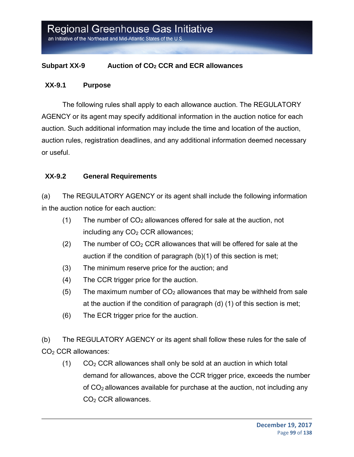#### **Subpart XX-9 Auction of CO2 CCR and ECR allowances**

#### **XX-9.1 Purpose**

The following rules shall apply to each allowance auction. The REGULATORY AGENCY or its agent may specify additional information in the auction notice for each auction. Such additional information may include the time and location of the auction, auction rules, registration deadlines, and any additional information deemed necessary or useful.

#### **XX-9.2 General Requirements**

(a) The REGULATORY AGENCY or its agent shall include the following information in the auction notice for each auction:

- (1) The number of  $CO<sub>2</sub>$  allowances offered for sale at the auction, not including any  $CO<sub>2</sub> CCR$  allowances;
- (2) The number of  $CO<sub>2</sub> CCR$  allowances that will be offered for sale at the auction if the condition of paragraph (b)(1) of this section is met;
- (3) The minimum reserve price for the auction; and
- (4) The CCR trigger price for the auction.
- (5) The maximum number of  $CO<sub>2</sub>$  allowances that may be withheld from sale at the auction if the condition of paragraph (d) (1) of this section is met;
- (6) The ECR trigger price for the auction.

(b) The REGULATORY AGENCY or its agent shall follow these rules for the sale of  $CO<sub>2</sub> CCR$  allowances:

 $(1)$   $CO<sub>2</sub> CCR$  allowances shall only be sold at an auction in which total demand for allowances, above the CCR trigger price, exceeds the number of  $CO<sub>2</sub>$  allowances available for purchase at the auction, not including any CO2 CCR allowances.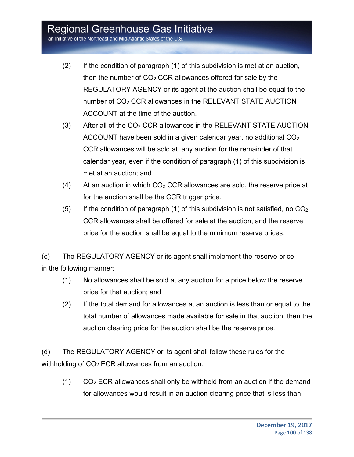an Initiative of the Northeast and Mid-Atlantic States of the U.S

- (2) If the condition of paragraph (1) of this subdivision is met at an auction, then the number of  $CO<sub>2</sub> CCR$  allowances offered for sale by the REGULATORY AGENCY or its agent at the auction shall be equal to the number of CO<sub>2</sub> CCR allowances in the RELEVANT STATE AUCTION ACCOUNT at the time of the auction.
- $(3)$  After all of the CO<sub>2</sub> CCR allowances in the RELEVANT STATE AUCTION ACCOUNT have been sold in a given calendar year, no additional CO2 CCR allowances will be sold at any auction for the remainder of that calendar year, even if the condition of paragraph (1) of this subdivision is met at an auction; and
- (4) At an auction in which  $CO<sub>2</sub> CCR$  allowances are sold, the reserve price at for the auction shall be the CCR trigger price.
- (5) If the condition of paragraph (1) of this subdivision is not satisfied, no  $CO<sub>2</sub>$ CCR allowances shall be offered for sale at the auction, and the reserve price for the auction shall be equal to the minimum reserve prices.

(c) The REGULATORY AGENCY or its agent shall implement the reserve price in the following manner:

- (1) No allowances shall be sold at any auction for a price below the reserve price for that auction; and
- (2) If the total demand for allowances at an auction is less than or equal to the total number of allowances made available for sale in that auction, then the auction clearing price for the auction shall be the reserve price.

(d) The REGULATORY AGENCY or its agent shall follow these rules for the withholding of  $CO<sub>2</sub> ECR$  allowances from an auction:

 $(1)$  CO<sub>2</sub> ECR allowances shall only be withheld from an auction if the demand for allowances would result in an auction clearing price that is less than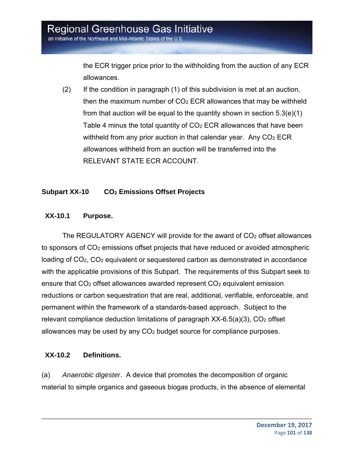the ECR trigger price prior to the withholding from the auction of any ECR allowances.

(2) If the condition in paragraph (1) of this subdivision is met at an auction, then the maximum number of  $CO<sub>2</sub> ECR$  allowances that may be withheld from that auction will be equal to the quantity shown in section  $5.3(e)(1)$ Table 4 minus the total quantity of  $CO<sub>2</sub> ECR$  allowances that have been withheld from any prior auction in that calendar year. Any  $CO<sub>2</sub> ECR$ allowances withheld from an auction will be transferred into the RELEVANT STATE ECR ACCOUNT.

### **Subpart XX-10 CO2 Emissions Offset Projects**

#### **XX-10.1 Purpose.**

The REGULATORY AGENCY will provide for the award of  $CO<sub>2</sub>$  offset allowances to sponsors of CO2 emissions offset projects that have reduced or avoided atmospheric loading of CO<sub>2</sub>, CO<sub>2</sub> equivalent or sequestered carbon as demonstrated in accordance with the applicable provisions of this Subpart. The requirements of this Subpart seek to ensure that CO<sub>2</sub> offset allowances awarded represent CO<sub>2</sub> equivalent emission reductions or carbon sequestration that are real, additional, verifiable, enforceable, and permanent within the framework of a standards-based approach. Subject to the relevant compliance deduction limitations of paragraph  $XX-6.5(a)(3)$ ,  $CO<sub>2</sub>$  offset allowances may be used by any CO2 budget source for compliance purposes.

### **XX-10.2 Definitions.**

(a) *Anaerobic digester*. A device that promotes the decomposition of organic material to simple organics and gaseous biogas products, in the absence of elemental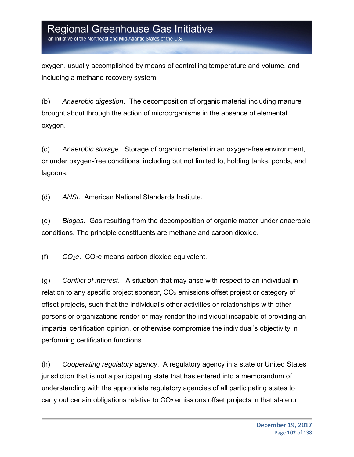an Initiative of the Northeast and Mid-Atlantic States of the U.S

oxygen, usually accomplished by means of controlling temperature and volume, and including a methane recovery system.

(b) *Anaerobic digestion*. The decomposition of organic material including manure brought about through the action of microorganisms in the absence of elemental oxygen.

(c) *Anaerobic storage*. Storage of organic material in an oxygen-free environment, or under oxygen-free conditions, including but not limited to, holding tanks, ponds, and lagoons.

(d) *ANSI*. American National Standards Institute.

(e) *Biogas*. Gas resulting from the decomposition of organic matter under anaerobic conditions. The principle constituents are methane and carbon dioxide.

(f) *CO2e*. CO2e means carbon dioxide equivalent.

(g) *Conflict of interest*. A situation that may arise with respect to an individual in relation to any specific project sponsor, CO2 emissions offset project or category of offset projects, such that the individual's other activities or relationships with other persons or organizations render or may render the individual incapable of providing an impartial certification opinion, or otherwise compromise the individual's objectivity in performing certification functions.

(h) *Cooperating regulatory agency*. A regulatory agency in a state or United States jurisdiction that is not a participating state that has entered into a memorandum of understanding with the appropriate regulatory agencies of all participating states to carry out certain obligations relative to CO2 emissions offset projects in that state or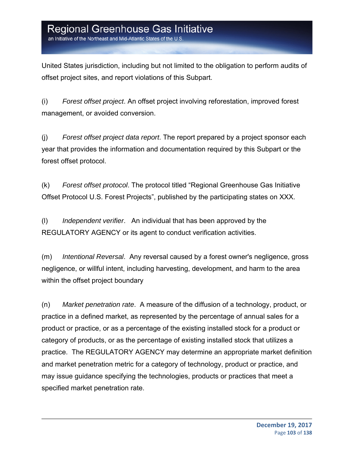an Initiative of the Northeast and Mid-Atlantic States of the U.S

United States jurisdiction, including but not limited to the obligation to perform audits of offset project sites, and report violations of this Subpart.

(i) *Forest offset project*. An offset project involving reforestation, improved forest management, or avoided conversion.

(j) *Forest offset project data report*. The report prepared by a project sponsor each year that provides the information and documentation required by this Subpart or the forest offset protocol.

(k) *Forest offset protocol*. The protocol titled "Regional Greenhouse Gas Initiative Offset Protocol U.S. Forest Projects", published by the participating states on XXX.

(l) *Independent verifier*. An individual that has been approved by the REGULATORY AGENCY or its agent to conduct verification activities.

(m) *Intentional Reversal*. Any reversal caused by a forest owner's negligence, gross negligence, or willful intent, including harvesting, development, and harm to the area within the offset project boundary

(n) *Market penetration rate*. A measure of the diffusion of a technology, product, or practice in a defined market, as represented by the percentage of annual sales for a product or practice, or as a percentage of the existing installed stock for a product or category of products, or as the percentage of existing installed stock that utilizes a practice. The REGULATORY AGENCY may determine an appropriate market definition and market penetration metric for a category of technology, product or practice, and may issue guidance specifying the technologies, products or practices that meet a specified market penetration rate.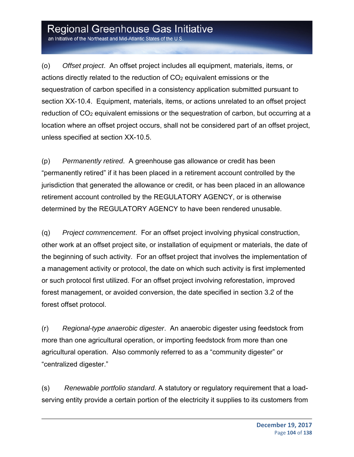an Initiative of the Northeast and Mid-Atlantic States of the U.S.

(o) *Offset project*. An offset project includes all equipment, materials, items, or actions directly related to the reduction of  $CO<sub>2</sub>$  equivalent emissions or the sequestration of carbon specified in a consistency application submitted pursuant to section XX-10.4. Equipment, materials, items, or actions unrelated to an offset project reduction of CO<sub>2</sub> equivalent emissions or the sequestration of carbon, but occurring at a location where an offset project occurs, shall not be considered part of an offset project, unless specified at section XX-10.5.

(p) *Permanently retired*. A greenhouse gas allowance or credit has been "permanently retired" if it has been placed in a retirement account controlled by the jurisdiction that generated the allowance or credit, or has been placed in an allowance retirement account controlled by the REGULATORY AGENCY, or is otherwise determined by the REGULATORY AGENCY to have been rendered unusable.

(q) *Project commencement*. For an offset project involving physical construction, other work at an offset project site, or installation of equipment or materials, the date of the beginning of such activity. For an offset project that involves the implementation of a management activity or protocol, the date on which such activity is first implemented or such protocol first utilized. For an offset project involving reforestation, improved forest management, or avoided conversion, the date specified in section 3.2 of the forest offset protocol.

(r) *Regional-type anaerobic digester*. An anaerobic digester using feedstock from more than one agricultural operation, or importing feedstock from more than one agricultural operation. Also commonly referred to as a "community digester" or "centralized digester."

(s) *Renewable portfolio standard*. A statutory or regulatory requirement that a loadserving entity provide a certain portion of the electricity it supplies to its customers from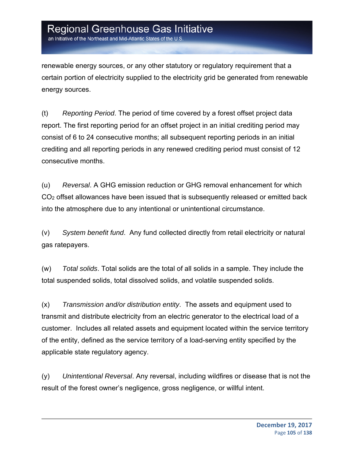an Initiative of the Northeast and Mid-Atlantic States of the U.S

renewable energy sources, or any other statutory or regulatory requirement that a certain portion of electricity supplied to the electricity grid be generated from renewable energy sources.

(t) *Reporting Period*. The period of time covered by a forest offset project data report. The first reporting period for an offset project in an initial crediting period may consist of 6 to 24 consecutive months; all subsequent reporting periods in an initial crediting and all reporting periods in any renewed crediting period must consist of 12 consecutive months.

(u) *Reversal*. A GHG emission reduction or GHG removal enhancement for which CO2 offset allowances have been issued that is subsequently released or emitted back into the atmosphere due to any intentional or unintentional circumstance.

(v) *System benefit fund*. Any fund collected directly from retail electricity or natural gas ratepayers.

(w) *Total solids*. Total solids are the total of all solids in a sample. They include the total suspended solids, total dissolved solids, and volatile suspended solids.

(x) *Transmission and/or distribution entity*. The assets and equipment used to transmit and distribute electricity from an electric generator to the electrical load of a customer. Includes all related assets and equipment located within the service territory of the entity, defined as the service territory of a load-serving entity specified by the applicable state regulatory agency.

(y) *Unintentional Reversal*. Any reversal, including wildfires or disease that is not the result of the forest owner's negligence, gross negligence, or willful intent.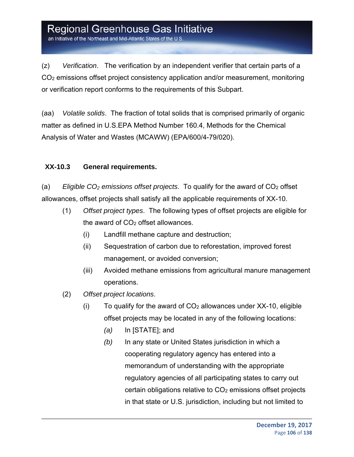an Initiative of the Northeast and Mid-Atlantic States of the U.S

(z) *Verification*. The verification by an independent verifier that certain parts of a CO2 emissions offset project consistency application and/or measurement, monitoring or verification report conforms to the requirements of this Subpart.

(aa) *Volatile solids*. The fraction of total solids that is comprised primarily of organic matter as defined in U.S.EPA Method Number 160.4, Methods for the Chemical Analysis of Water and Wastes (MCAWW) (EPA/600/4-79/020).

### **XX-10.3 General requirements.**

(a) *Eligible CO<sub>2</sub> emissions offset projects*. To qualify for the award of CO<sub>2</sub> offset allowances, offset projects shall satisfy all the applicable requirements of XX-10.

- (1) *Offset project types*. The following types of offset projects are eligible for the award of CO<sub>2</sub> offset allowances.
	- (i) Landfill methane capture and destruction;
	- (ii) Sequestration of carbon due to reforestation, improved forest management, or avoided conversion;
	- (iii) Avoided methane emissions from agricultural manure management operations.
- (2) *Offset project locations*.
	- $(i)$  To qualify for the award of  $CO<sub>2</sub>$  allowances under XX-10, eligible offset projects may be located in any of the following locations:
		- *(a)* In [STATE]; and
		- *(b)* In any state or United States jurisdiction in which a cooperating regulatory agency has entered into a memorandum of understanding with the appropriate regulatory agencies of all participating states to carry out certain obligations relative to CO2 emissions offset projects in that state or U.S. jurisdiction, including but not limited to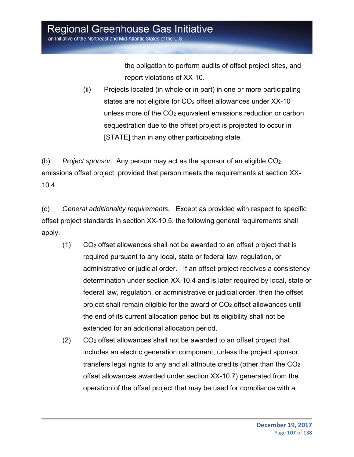the obligation to perform audits of offset project sites, and report violations of XX-10.

(ii) Projects located (in whole or in part) in one or more participating states are not eligible for CO<sub>2</sub> offset allowances under XX-10 unless more of the CO2 equivalent emissions reduction or carbon sequestration due to the offset project is projected to occur in [STATE] than in any other participating state.

(b) *Project sponsor*. Any person may act as the sponsor of an eligible CO2 emissions offset project, provided that person meets the requirements at section XX-10.4.

(c) *General additionality requirements.* Except as provided with respect to specific offset project standards in section XX-10.5, the following general requirements shall apply.

- (1) CO2 offset allowances shall not be awarded to an offset project that is required pursuant to any local, state or federal law, regulation, or administrative or judicial order. If an offset project receives a consistency determination under section XX-10.4 and is later required by local, state or federal law, regulation, or administrative or judicial order, then the offset project shall remain eligible for the award of CO2 offset allowances until the end of its current allocation period but its eligibility shall not be extended for an additional allocation period.
- $(2)$  CO<sub>2</sub> offset allowances shall not be awarded to an offset project that includes an electric generation component, unless the project sponsor transfers legal rights to any and all attribute credits (other than the CO2 offset allowances awarded under section XX-10.7) generated from the operation of the offset project that may be used for compliance with a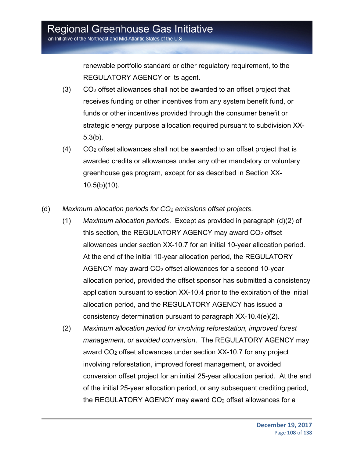renewable portfolio standard or other regulatory requirement, to the REGULATORY AGENCY or its agent.

- $(3)$  CO<sub>2</sub> offset allowances shall not be awarded to an offset project that receives funding or other incentives from any system benefit fund, or funds or other incentives provided through the consumer benefit or strategic energy purpose allocation required pursuant to subdivision XX-5.3(b).
- $(4)$  CO<sub>2</sub> offset allowances shall not be awarded to an offset project that is awarded credits or allowances under any other mandatory or voluntary greenhouse gas program, except for as described in Section XX-10.5(b)(10).
- (d) *Maximum allocation periods for CO2 emissions offset projects*.
	- (1) *Maximum allocation periods*. Except as provided in paragraph (d)(2) of this section, the REGULATORY AGENCY may award CO2 offset allowances under section XX-10.7 for an initial 10-year allocation period. At the end of the initial 10-year allocation period, the REGULATORY AGENCY may award CO<sub>2</sub> offset allowances for a second 10-year allocation period, provided the offset sponsor has submitted a consistency application pursuant to section XX-10.4 prior to the expiration of the initial allocation period, and the REGULATORY AGENCY has issued a consistency determination pursuant to paragraph XX-10.4(e)(2).
	- (2) *Maximum allocation period for involving reforestation, improved forest management, or avoided conversion*. The REGULATORY AGENCY may award CO2 offset allowances under section XX-10.7 for any project involving reforestation, improved forest management, or avoided conversion offset project for an initial 25-year allocation period. At the end of the initial 25-year allocation period, or any subsequent crediting period, the REGULATORY AGENCY may award CO2 offset allowances for a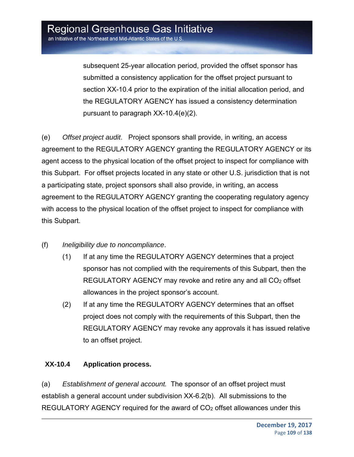subsequent 25-year allocation period, provided the offset sponsor has submitted a consistency application for the offset project pursuant to section XX-10.4 prior to the expiration of the initial allocation period, and the REGULATORY AGENCY has issued a consistency determination pursuant to paragraph XX-10.4(e)(2).

(e) *Offset project audit*. Project sponsors shall provide, in writing, an access agreement to the REGULATORY AGENCY granting the REGULATORY AGENCY or its agent access to the physical location of the offset project to inspect for compliance with this Subpart. For offset projects located in any state or other U.S. jurisdiction that is not a participating state, project sponsors shall also provide, in writing, an access agreement to the REGULATORY AGENCY granting the cooperating regulatory agency with access to the physical location of the offset project to inspect for compliance with this Subpart.

- (f) *Ineligibility due to noncompliance*.
	- (1) If at any time the REGULATORY AGENCY determines that a project sponsor has not complied with the requirements of this Subpart, then the REGULATORY AGENCY may revoke and retire any and all CO<sub>2</sub> offset allowances in the project sponsor's account.
	- (2) If at any time the REGULATORY AGENCY determines that an offset project does not comply with the requirements of this Subpart, then the REGULATORY AGENCY may revoke any approvals it has issued relative to an offset project.

#### **XX-10.4 Application process.**

(a) *Establishment of general account.* The sponsor of an offset project must establish a general account under subdivision XX-6.2(b). All submissions to the REGULATORY AGENCY required for the award of CO<sub>2</sub> offset allowances under this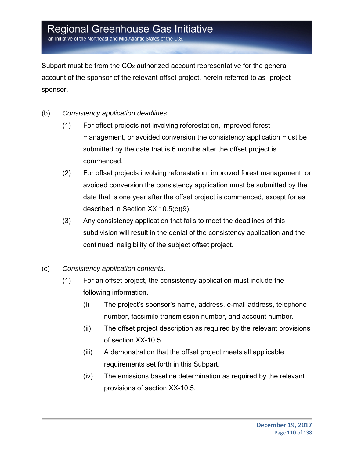an Initiative of the Northeast and Mid-Atlantic States of the U.S

Subpart must be from the CO2 authorized account representative for the general account of the sponsor of the relevant offset project, herein referred to as "project sponsor."

- (b) *Consistency application deadlines.*
	- (1) For offset projects not involving reforestation, improved forest management, or avoided conversion the consistency application must be submitted by the date that is 6 months after the offset project is commenced.
	- (2) For offset projects involving reforestation, improved forest management, or avoided conversion the consistency application must be submitted by the date that is one year after the offset project is commenced, except for as described in Section XX 10.5(c)(9).
	- (3) Any consistency application that fails to meet the deadlines of this subdivision will result in the denial of the consistency application and the continued ineligibility of the subject offset project.
- (c) *Consistency application contents*.
	- (1) For an offset project, the consistency application must include the following information.
		- (i) The project's sponsor's name, address, e-mail address, telephone number, facsimile transmission number, and account number.
		- (ii) The offset project description as required by the relevant provisions of section XX-10.5.
		- (iii) A demonstration that the offset project meets all applicable requirements set forth in this Subpart.
		- (iv) The emissions baseline determination as required by the relevant provisions of section XX-10.5.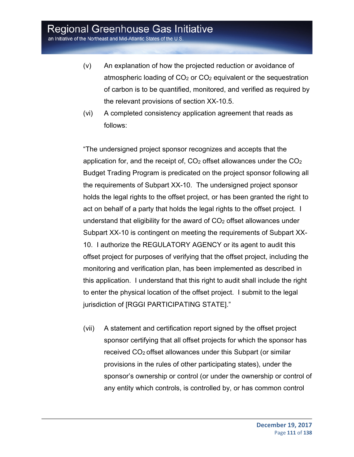an Initiative of the Northeast and Mid-Atlantic States of the U.S.

- (v) An explanation of how the projected reduction or avoidance of atmospheric loading of  $CO<sub>2</sub>$  or  $CO<sub>2</sub>$  equivalent or the sequestration of carbon is to be quantified, monitored, and verified as required by the relevant provisions of section XX-10.5.
- (vi) A completed consistency application agreement that reads as follows:

"The undersigned project sponsor recognizes and accepts that the application for, and the receipt of,  $CO<sub>2</sub>$  offset allowances under the  $CO<sub>2</sub>$ Budget Trading Program is predicated on the project sponsor following all the requirements of Subpart XX-10. The undersigned project sponsor holds the legal rights to the offset project, or has been granted the right to act on behalf of a party that holds the legal rights to the offset project. I understand that eligibility for the award of  $CO<sub>2</sub>$  offset allowances under Subpart XX-10 is contingent on meeting the requirements of Subpart XX-10. I authorize the REGULATORY AGENCY or its agent to audit this offset project for purposes of verifying that the offset project, including the monitoring and verification plan, has been implemented as described in this application. I understand that this right to audit shall include the right to enter the physical location of the offset project. I submit to the legal jurisdiction of [RGGI PARTICIPATING STATE]."

(vii) A statement and certification report signed by the offset project sponsor certifying that all offset projects for which the sponsor has received CO2 offset allowances under this Subpart (or similar provisions in the rules of other participating states), under the sponsor's ownership or control (or under the ownership or control of any entity which controls, is controlled by, or has common control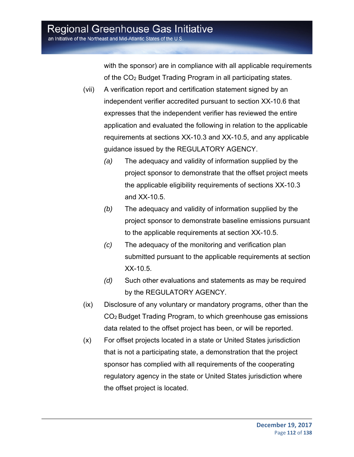with the sponsor) are in compliance with all applicable requirements of the CO2 Budget Trading Program in all participating states.

- (vii) A verification report and certification statement signed by an independent verifier accredited pursuant to section XX-10.6 that expresses that the independent verifier has reviewed the entire application and evaluated the following in relation to the applicable requirements at sections XX-10.3 and XX-10.5, and any applicable guidance issued by the REGULATORY AGENCY.
	- *(a)* The adequacy and validity of information supplied by the project sponsor to demonstrate that the offset project meets the applicable eligibility requirements of sections XX-10.3 and XX-10.5.
	- *(b)* The adequacy and validity of information supplied by the project sponsor to demonstrate baseline emissions pursuant to the applicable requirements at section XX-10.5.
	- *(c)* The adequacy of the monitoring and verification plan submitted pursuant to the applicable requirements at section XX-10.5.
	- *(d)* Such other evaluations and statements as may be required by the REGULATORY AGENCY.
- (ix) Disclosure of any voluntary or mandatory programs, other than the CO2 Budget Trading Program, to which greenhouse gas emissions data related to the offset project has been, or will be reported.
- (x) For offset projects located in a state or United States jurisdiction that is not a participating state, a demonstration that the project sponsor has complied with all requirements of the cooperating regulatory agency in the state or United States jurisdiction where the offset project is located.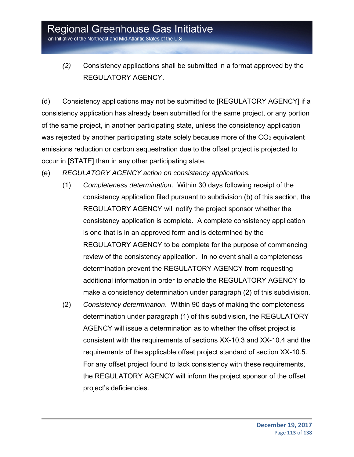*(2)* Consistency applications shall be submitted in a format approved by the REGULATORY AGENCY.

(d) Consistency applications may not be submitted to [REGULATORY AGENCY] if a consistency application has already been submitted for the same project, or any portion of the same project, in another participating state, unless the consistency application was rejected by another participating state solely because more of the  $CO<sub>2</sub>$  equivalent emissions reduction or carbon sequestration due to the offset project is projected to occur in [STATE] than in any other participating state.

(e) *REGULATORY AGENCY action on consistency applications.*

- (1) *Completeness determination*. Within 30 days following receipt of the consistency application filed pursuant to subdivision (b) of this section, the REGULATORY AGENCY will notify the project sponsor whether the consistency application is complete. A complete consistency application is one that is in an approved form and is determined by the REGULATORY AGENCY to be complete for the purpose of commencing review of the consistency application. In no event shall a completeness determination prevent the REGULATORY AGENCY from requesting additional information in order to enable the REGULATORY AGENCY to make a consistency determination under paragraph (2) of this subdivision.
- (2) *Consistency determination*. Within 90 days of making the completeness determination under paragraph (1) of this subdivision, the REGULATORY AGENCY will issue a determination as to whether the offset project is consistent with the requirements of sections XX-10.3 and XX-10.4 and the requirements of the applicable offset project standard of section XX-10.5. For any offset project found to lack consistency with these requirements, the REGULATORY AGENCY will inform the project sponsor of the offset project's deficiencies.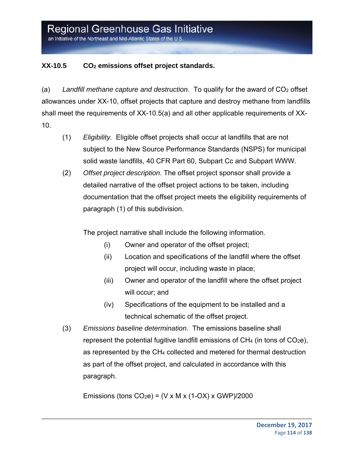an Initiative of the Northeast and Mid-Atlantic States of the U.S

### XX-10.5 CO<sub>2</sub> emissions offset project standards.

(a) Landfill methane capture and destruction. To qualify for the award of  $CO<sub>2</sub>$  offset allowances under XX-10, offset projects that capture and destroy methane from landfills shall meet the requirements of XX-10.5(a) and all other applicable requirements of XX-10.

- (1) *Eligibility.* Eligible offset projects shall occur at landfills that are not subject to the New Source Performance Standards (NSPS) for municipal solid waste landfills, 40 CFR Part 60, Subpart Cc and Subpart WWW.
- (2) *Offset project description*. The offset project sponsor shall provide a detailed narrative of the offset project actions to be taken, including documentation that the offset project meets the eligibility requirements of paragraph (1) of this subdivision.

The project narrative shall include the following information.

- (i) Owner and operator of the offset project;
- (ii) Location and specifications of the landfill where the offset project will occur, including waste in place;
- (iii) Owner and operator of the landfill where the offset project will occur; and
- (iv) Specifications of the equipment to be installed and a technical schematic of the offset project.
- (3) *Emissions baseline determination*. The emissions baseline shall represent the potential fugitive landfill emissions of  $CH_4$  (in tons of  $CO_2e$ ), as represented by the CH4 collected and metered for thermal destruction as part of the offset project, and calculated in accordance with this paragraph.

Emissions (tons  $CO<sub>2</sub>e$ ) = (V x M x (1-OX) x GWP)/2000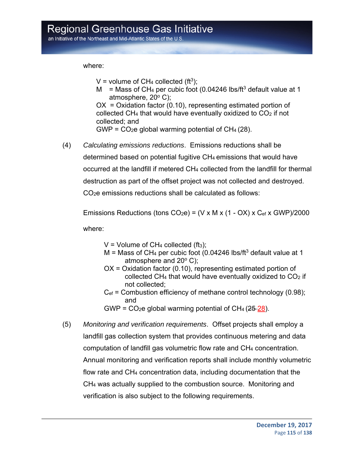where:

V = volume of CH<sub>4</sub> collected (ft<sup>3</sup>);

M = Mass of CH<sub>4</sub> per cubic foot (0.04246 lbs/ft<sup>3</sup> default value at 1 atmosphere,  $20^{\circ}$  C);

OX = Oxidation factor (0.10), representing estimated portion of collected CH4 that would have eventually oxidized to CO2 if not collected; and

 $GWP = CO<sub>2</sub>e$  global warming potential of  $CH<sub>4</sub> (28)$ .

(4) *Calculating emissions reductions*. Emissions reductions shall be determined based on potential fugitive CH4 emissions that would have occurred at the landfill if metered CH4 collected from the landfill for thermal destruction as part of the offset project was not collected and destroyed. CO<sub>2</sub>e emissions reductions shall be calculated as follows:

Emissions Reductions (tons  $CO<sub>2</sub>e$ ) = (V x M x (1 - OX) x  $C<sub>ef</sub>$  x GWP)/2000

where:

 $V =$  Volume of CH<sub>4</sub> collected (ft<sub>3</sub>):

- $M =$  Mass of CH<sub>4</sub> per cubic foot (0.04246 lbs/ft<sup>3</sup> default value at 1 atmosphere and  $20^{\circ}$  C);
- OX = Oxidation factor (0.10), representing estimated portion of collected CH<sub>4</sub> that would have eventually oxidized to  $CO<sub>2</sub>$  if not collected;
- $C_{\text{ef}}$  = Combustion efficiency of methane control technology (0.98); and
- GWP =  $CO<sub>2</sub>e$  global warming potential of  $CH<sub>4</sub>$  (25-28).
- (5) *Monitoring and verification requirements*. Offset projects shall employ a landfill gas collection system that provides continuous metering and data computation of landfill gas volumetric flow rate and CH4 concentration. Annual monitoring and verification reports shall include monthly volumetric flow rate and CH4 concentration data, including documentation that the CH4 was actually supplied to the combustion source. Monitoring and verification is also subject to the following requirements.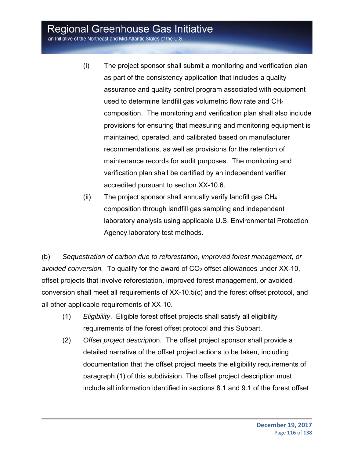an Initiative of the Northeast and Mid-Atlantic States of the U.S.

- (i) The project sponsor shall submit a monitoring and verification plan as part of the consistency application that includes a quality assurance and quality control program associated with equipment used to determine landfill gas volumetric flow rate and CH4 composition. The monitoring and verification plan shall also include provisions for ensuring that measuring and monitoring equipment is maintained, operated, and calibrated based on manufacturer recommendations, as well as provisions for the retention of maintenance records for audit purposes. The monitoring and verification plan shall be certified by an independent verifier accredited pursuant to section XX-10.6.
- (ii) The project sponsor shall annually verify landfill gas CH4 composition through landfill gas sampling and independent laboratory analysis using applicable U.S. Environmental Protection Agency laboratory test methods.

(b) *Sequestration of carbon due to reforestation, improved forest management, or avoided conversion.* To qualify for the award of CO<sub>2</sub> offset allowances under XX-10, offset projects that involve reforestation, improved forest management, or avoided conversion shall meet all requirements of XX-10.5(c) and the forest offset protocol, and all other applicable requirements of XX-10.

- (1) *Eligibility*. Eligible forest offset projects shall satisfy all eligibility requirements of the forest offset protocol and this Subpart.
- (2) *Offset project descripti*on. The offset project sponsor shall provide a detailed narrative of the offset project actions to be taken, including documentation that the offset project meets the eligibility requirements of paragraph (1) of this subdivision. The offset project description must include all information identified in sections 8.1 and 9.1 of the forest offset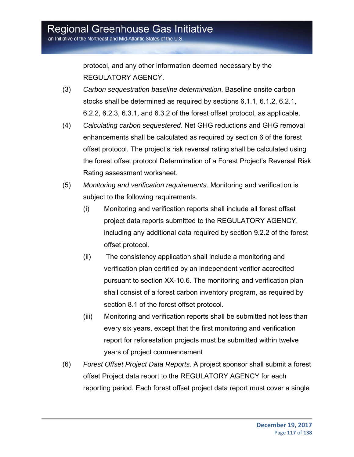protocol, and any other information deemed necessary by the REGULATORY AGENCY.

- (3) *Carbon sequestration baseline determination*. Baseline onsite carbon stocks shall be determined as required by sections 6.1.1, 6.1.2, 6.2.1, 6.2.2, 6.2.3, 6.3.1, and 6.3.2 of the forest offset protocol, as applicable.
- (4) *Calculating carbon sequestered*. Net GHG reductions and GHG removal enhancements shall be calculated as required by section 6 of the forest offset protocol. The project's risk reversal rating shall be calculated using the forest offset protocol Determination of a Forest Project's Reversal Risk Rating assessment worksheet.
- (5) *Monitoring and verification requirements*. Monitoring and verification is subject to the following requirements.
	- (i) Monitoring and verification reports shall include all forest offset project data reports submitted to the REGULATORY AGENCY, including any additional data required by section 9.2.2 of the forest offset protocol.
	- (ii) The consistency application shall include a monitoring and verification plan certified by an independent verifier accredited pursuant to section XX-10.6. The monitoring and verification plan shall consist of a forest carbon inventory program, as required by section 8.1 of the forest offset protocol.
	- (iii) Monitoring and verification reports shall be submitted not less than every six years, except that the first monitoring and verification report for reforestation projects must be submitted within twelve years of project commencement
- (6) *Forest Offset Project Data Reports*. A project sponsor shall submit a forest offset Project data report to the REGULATORY AGENCY for each reporting period. Each forest offset project data report must cover a single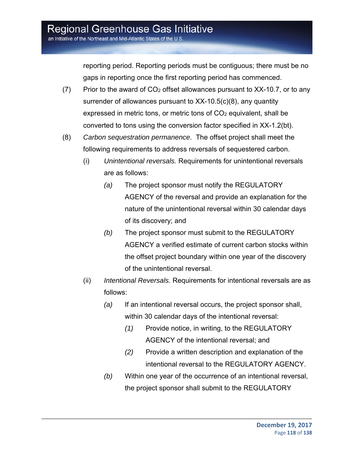an Initiative of the Northeast and Mid-Atlantic States of the U.S.

reporting period. Reporting periods must be contiguous; there must be no gaps in reporting once the first reporting period has commenced.

- $(7)$  Prior to the award of  $CO<sub>2</sub>$  offset allowances pursuant to XX-10.7, or to any surrender of allowances pursuant to XX-10.5(c)(8), any quantity expressed in metric tons, or metric tons of CO<sub>2</sub> equivalent, shall be converted to tons using the conversion factor specified in XX-1.2(bt).
- (8) *Carbon sequestration permanence*. The offset project shall meet the following requirements to address reversals of sequestered carbon.
	- (i) *Unintentional reversals.* Requirements for unintentional reversals are as follows:
		- *(a)* The project sponsor must notify the REGULATORY AGENCY of the reversal and provide an explanation for the nature of the unintentional reversal within 30 calendar days of its discovery; and
		- *(b)* The project sponsor must submit to the REGULATORY AGENCY a verified estimate of current carbon stocks within the offset project boundary within one year of the discovery of the unintentional reversal.
	- (ii) *Intentional Reversals.* Requirements for intentional reversals are as follows:
		- *(a)* If an intentional reversal occurs, the project sponsor shall, within 30 calendar days of the intentional reversal:
			- *(1)* Provide notice, in writing, to the REGULATORY AGENCY of the intentional reversal; and
			- *(2)* Provide a written description and explanation of the intentional reversal to the REGULATORY AGENCY.
		- *(b)* Within one year of the occurrence of an intentional reversal, the project sponsor shall submit to the REGULATORY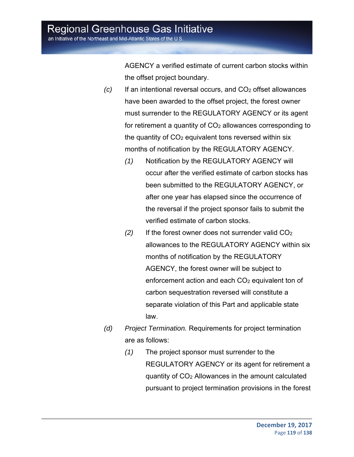an Initiative of the Northeast and Mid-Atlantic States of the U.S

AGENCY a verified estimate of current carbon stocks within the offset project boundary.

- *(c)* If an intentional reversal occurs, and CO<sub>2</sub> offset allowances have been awarded to the offset project, the forest owner must surrender to the REGULATORY AGENCY or its agent for retirement a quantity of  $CO<sub>2</sub>$  allowances corresponding to the quantity of  $CO<sub>2</sub>$  equivalent tons reversed within six months of notification by the REGULATORY AGENCY.
	- *(1)* Notification by the REGULATORY AGENCY will occur after the verified estimate of carbon stocks has been submitted to the REGULATORY AGENCY, or after one year has elapsed since the occurrence of the reversal if the project sponsor fails to submit the verified estimate of carbon stocks.
	- *(2)* If the forest owner does not surrender valid CO2 allowances to the REGULATORY AGENCY within six months of notification by the REGULATORY AGENCY, the forest owner will be subject to enforcement action and each CO<sub>2</sub> equivalent ton of carbon sequestration reversed will constitute a separate violation of this Part and applicable state law.
- *(d) Project Termination.* Requirements for project termination are as follows:
	- *(1)* The project sponsor must surrender to the REGULATORY AGENCY or its agent for retirement a quantity of CO2 Allowances in the amount calculated pursuant to project termination provisions in the forest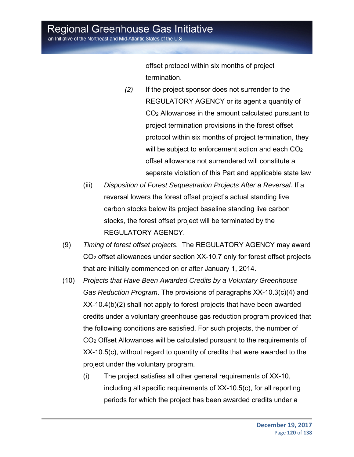an Initiative of the Northeast and Mid-Atlantic States of the U.S.

offset protocol within six months of project termination.

- *(2)* If the project sponsor does not surrender to the REGULATORY AGENCY or its agent a quantity of CO2 Allowances in the amount calculated pursuant to project termination provisions in the forest offset protocol within six months of project termination, they will be subject to enforcement action and each  $CO<sub>2</sub>$ offset allowance not surrendered will constitute a separate violation of this Part and applicable state law
- (iii) *Disposition of Forest Sequestration Projects After a Reversal.* If a reversal lowers the forest offset project's actual standing live carbon stocks below its project baseline standing live carbon stocks, the forest offset project will be terminated by the REGULATORY AGENCY.
- (9) *Timing of forest offset projects.* The REGULATORY AGENCY may award CO2 offset allowances under section XX-10.7 only for forest offset projects that are initially commenced on or after January 1, 2014.
- (10) *Projects that Have Been Awarded Credits by a Voluntary Greenhouse Gas Reduction Program*. The provisions of paragraphs XX-10.3(c)(4) and XX-10.4(b)(2) shall not apply to forest projects that have been awarded credits under a voluntary greenhouse gas reduction program provided that the following conditions are satisfied. For such projects, the number of CO2 Offset Allowances will be calculated pursuant to the requirements of XX-10.5(c), without regard to quantity of credits that were awarded to the project under the voluntary program.
	- (i) The project satisfies all other general requirements of XX-10, including all specific requirements of XX-10.5(c), for all reporting periods for which the project has been awarded credits under a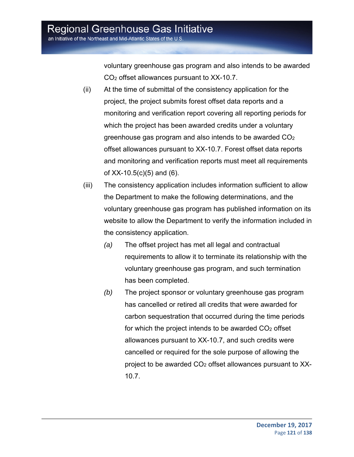voluntary greenhouse gas program and also intends to be awarded CO2 offset allowances pursuant to XX-10.7.

- (ii) At the time of submittal of the consistency application for the project, the project submits forest offset data reports and a monitoring and verification report covering all reporting periods for which the project has been awarded credits under a voluntary greenhouse gas program and also intends to be awarded  $CO<sub>2</sub>$ offset allowances pursuant to XX-10.7. Forest offset data reports and monitoring and verification reports must meet all requirements of XX-10.5(c)(5) and (6).
- (iii) The consistency application includes information sufficient to allow the Department to make the following determinations, and the voluntary greenhouse gas program has published information on its website to allow the Department to verify the information included in the consistency application.
	- *(a)* The offset project has met all legal and contractual requirements to allow it to terminate its relationship with the voluntary greenhouse gas program, and such termination has been completed.
	- *(b)* The project sponsor or voluntary greenhouse gas program has cancelled or retired all credits that were awarded for carbon sequestration that occurred during the time periods for which the project intends to be awarded  $CO<sub>2</sub>$  offset allowances pursuant to XX-10.7, and such credits were cancelled or required for the sole purpose of allowing the project to be awarded CO2 offset allowances pursuant to XX-10.7.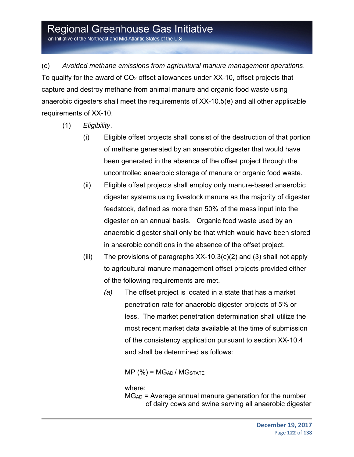an Initiative of the Northeast and Mid-Atlantic States of the U.S.

(c) *Avoided methane emissions from agricultural manure management operations*. To qualify for the award of  $CO<sub>2</sub>$  offset allowances under XX-10, offset projects that capture and destroy methane from animal manure and organic food waste using anaerobic digesters shall meet the requirements of XX-10.5(e) and all other applicable requirements of XX-10.

- (1) *Eligibility*.
	- (i) Eligible offset projects shall consist of the destruction of that portion of methane generated by an anaerobic digester that would have been generated in the absence of the offset project through the uncontrolled anaerobic storage of manure or organic food waste.
	- (ii) Eligible offset projects shall employ only manure-based anaerobic digester systems using livestock manure as the majority of digester feedstock, defined as more than 50% of the mass input into the digester on an annual basis. Organic food waste used by an anaerobic digester shall only be that which would have been stored in anaerobic conditions in the absence of the offset project.
	- (iii) The provisions of paragraphs  $XX-10.3(c)(2)$  and (3) shall not apply to agricultural manure management offset projects provided either of the following requirements are met.
		- *(a)* The offset project is located in a state that has a market penetration rate for anaerobic digester projects of 5% or less. The market penetration determination shall utilize the most recent market data available at the time of submission of the consistency application pursuant to section XX-10.4 and shall be determined as follows:

 $MP (%) = MGAD / MGSTATE$ 

where:

MGAD = Average annual manure generation for the number of dairy cows and swine serving all anaerobic digester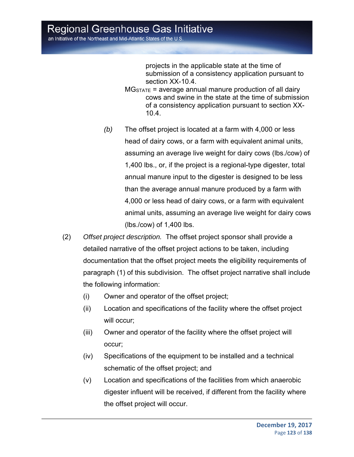projects in the applicable state at the time of submission of a consistency application pursuant to section XX-10.4.

- $MG_{STATE}$  = average annual manure production of all dairy cows and swine in the state at the time of submission of a consistency application pursuant to section XX-10.4.
- *(b)* The offset project is located at a farm with 4,000 or less head of dairy cows, or a farm with equivalent animal units, assuming an average live weight for dairy cows (lbs./cow) of 1,400 lbs., or, if the project is a regional-type digester, total annual manure input to the digester is designed to be less than the average annual manure produced by a farm with 4,000 or less head of dairy cows, or a farm with equivalent animal units, assuming an average live weight for dairy cows (lbs./cow) of 1,400 lbs.
- (2) *Offset project description.* The offset project sponsor shall provide a detailed narrative of the offset project actions to be taken, including documentation that the offset project meets the eligibility requirements of paragraph (1) of this subdivision. The offset project narrative shall include the following information:
	- (i) Owner and operator of the offset project;
	- (ii) Location and specifications of the facility where the offset project will occur;
	- (iii) Owner and operator of the facility where the offset project will occur;
	- (iv) Specifications of the equipment to be installed and a technical schematic of the offset project; and
	- (v) Location and specifications of the facilities from which anaerobic digester influent will be received, if different from the facility where the offset project will occur.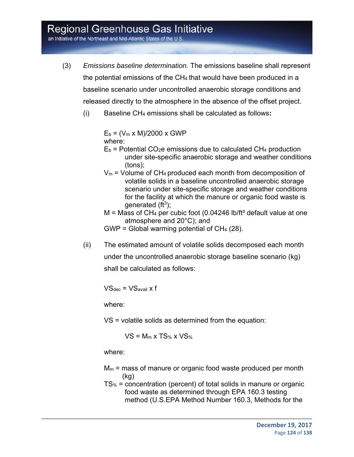an Initiative of the Northeast and Mid-Atlantic States of the U.S.

- (3) *Emissions baseline determination.* The emissions baseline shall represent the potential emissions of the CH4 that would have been produced in a baseline scenario under uncontrolled anaerobic storage conditions and released directly to the atmosphere in the absence of the offset project.
	- (i) Baseline CH4 emissions shall be calculated as follows**:**

 $E_b = (V_m \times M)/2000 \times GWP$ where:

- $E_b$  = Potential CO<sub>2</sub>e emissions due to calculated CH<sub>4</sub> production under site-specific anaerobic storage and weather conditions (tons);
- $V_m$  = Volume of CH<sub>4</sub> produced each month from decomposition of volatile solids in a baseline uncontrolled anaerobic storage scenario under site-specific storage and weather conditions for the facility at which the manure or organic food waste is generated  $(ft^3)$ ;
- $M =$  Mass of CH<sub>4</sub> per cubic foot (0.04246 lb/ft<sup>3</sup> default value at one atmosphere and 20°C); and

GWP = Global warming potential of  $CH<sub>4</sub>$  (28).

(ii) The estimated amount of volatile solids decomposed each month under the uncontrolled anaerobic storage baseline scenario (kg) shall be calculated as follows:

 $VS<sub>dec</sub> = VS<sub>avail</sub> x f$ 

where:

VS = volatile solids as determined from the equation:

 $VS = M_m x TS_{%} x VS_{%}$ 

where:

- $M_m$  = mass of manure or organic food waste produced per month (kg)
- TS% = concentration (percent) of total solids in manure or organic food waste as determined through EPA 160.3 testing method (U.S.EPA Method Number 160.3, Methods for the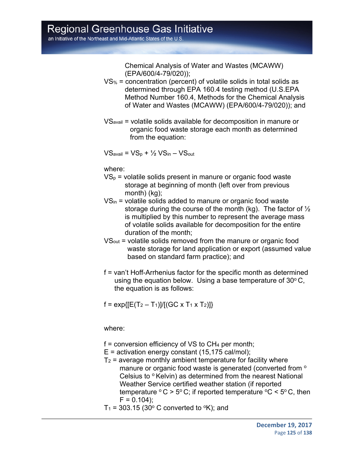Chemical Analysis of Water and Wastes (MCAWW) (EPA/600/4-79/020));

- VS% = concentration (percent) of volatile solids in total solids as determined through EPA 160.4 testing method (U.S.EPA Method Number 160.4, Methods for the Chemical Analysis of Water and Wastes (MCAWW) (EPA/600/4-79/020)); and
- VSavail = volatile solids available for decomposition in manure or organic food waste storage each month as determined from the equation:

 $VS_{\text{avail}} = VS_{\text{p}} + \frac{1}{2}VS_{\text{in}} - VS_{\text{out}}$ 

where:

- $VS_p$  = volatile solids present in manure or organic food waste storage at beginning of month (left over from previous month) (kg);
- VSin = volatile solids added to manure or organic food waste storage during the course of the month (kg). The factor of  $\frac{1}{2}$ is multiplied by this number to represent the average mass of volatile solids available for decomposition for the entire duration of the month;
- VSout = volatile solids removed from the manure or organic food waste storage for land application or export (assumed value based on standard farm practice); and
- f = van't Hoff-Arrhenius factor for the specific month as determined using the equation below. Using a base temperature of  $30^{\circ}$  C, the equation is as follows:

 $f = \exp{ [ [E(T_2 - T_1)] / [(GC \times T_1 \times T_2)] ] }$ 

where:

- $f =$  conversion efficiency of VS to  $CH<sub>4</sub>$  per month;
- $E =$  activation energy constant (15,175 cal/mol);
- $T_2$  = average monthly ambient temperature for facility where manure or organic food waste is generated (converted from  $\circ$ Celsius to  $\circ$  Kelvin) as determined from the nearest National Weather Service certified weather station (if reported temperature  $\degree$  C > 5 $\degree$  C; if reported temperature  $\degree$ C < 5 $\degree$  C, then  $F = 0.104$ :
- $T_1$  = 303.15 (30 $\degree$  C converted to  $\degree$ K); and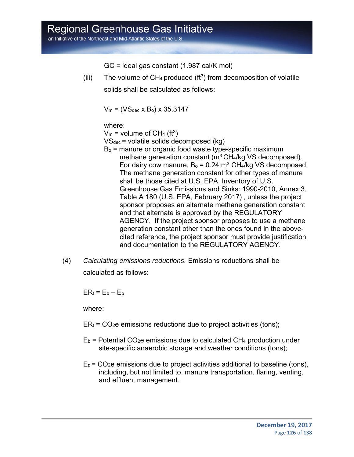an Initiative of the Northeast and Mid-Atlantic States of the U.S.

GC = ideal gas constant (1.987 cal/K mol)

(iii) The volume of  $CH_4$  produced (ft<sup>3</sup>) from decomposition of volatile solids shall be calculated as follows:

 $V_m = (VS_{dec} \times B_o) \times 35.3147$ 

where:

 $V_m$  = volume of CH<sub>4</sub> (ft<sup>3</sup>)

VSdec = volatile solids decomposed (kg)

- $B<sub>o</sub>$  = manure or organic food waste type-specific maximum methane generation constant (m<sup>3</sup> CH<sub>4</sub>/kg VS decomposed). For dairy cow manure,  $B_0 = 0.24$  m<sup>3</sup> CH<sub>4</sub>/kg VS decomposed. The methane generation constant for other types of manure shall be those cited at U.S. EPA, Inventory of U.S. Greenhouse Gas Emissions and Sinks: 1990-2010, Annex 3, Table A 180 (U.S. EPA, February 2017) , unless the project sponsor proposes an alternate methane generation constant and that alternate is approved by the REGULATORY AGENCY. If the project sponsor proposes to use a methane generation constant other than the ones found in the abovecited reference, the project sponsor must provide justification and documentation to the REGULATORY AGENCY.
- (4) *Calculating emissions reductions.* Emissions reductions shall be calculated as follows:

 $ER_t = E_b - E_p$ 

where:

- $ER<sub>t</sub> = CO<sub>2</sub>e$  emissions reductions due to project activities (tons);
- $E_b$  = Potential CO<sub>2</sub>e emissions due to calculated CH<sub>4</sub> production under site-specific anaerobic storage and weather conditions (tons);
- $E_p$  = CO<sub>2</sub>e emissions due to project activities additional to baseline (tons), including, but not limited to, manure transportation, flaring, venting, and effluent management.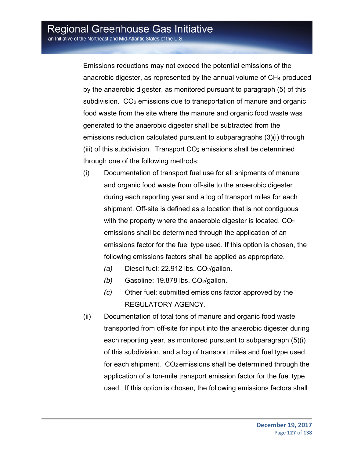Emissions reductions may not exceed the potential emissions of the anaerobic digester, as represented by the annual volume of  $CH<sub>4</sub>$  produced by the anaerobic digester, as monitored pursuant to paragraph (5) of this subdivision. CO<sub>2</sub> emissions due to transportation of manure and organic food waste from the site where the manure and organic food waste was generated to the anaerobic digester shall be subtracted from the emissions reduction calculated pursuant to subparagraphs (3)(i) through (iii) of this subdivision. Transport  $CO<sub>2</sub>$  emissions shall be determined through one of the following methods:

- (i) Documentation of transport fuel use for all shipments of manure and organic food waste from off-site to the anaerobic digester during each reporting year and a log of transport miles for each shipment. Off-site is defined as a location that is not contiguous with the property where the anaerobic digester is located. CO<sub>2</sub> emissions shall be determined through the application of an emissions factor for the fuel type used. If this option is chosen, the following emissions factors shall be applied as appropriate.
	- *(a)* Diesel fuel: 22.912 lbs. CO<sub>2</sub>/gallon.
	- *(b)* Gasoline: 19.878 lbs. CO2/gallon.
	- *(c)* Other fuel: submitted emissions factor approved by the REGULATORY AGENCY.
- (ii) Documentation of total tons of manure and organic food waste transported from off-site for input into the anaerobic digester during each reporting year, as monitored pursuant to subparagraph (5)(i) of this subdivision, and a log of transport miles and fuel type used for each shipment. CO<sub>2</sub> emissions shall be determined through the application of a ton-mile transport emission factor for the fuel type used. If this option is chosen, the following emissions factors shall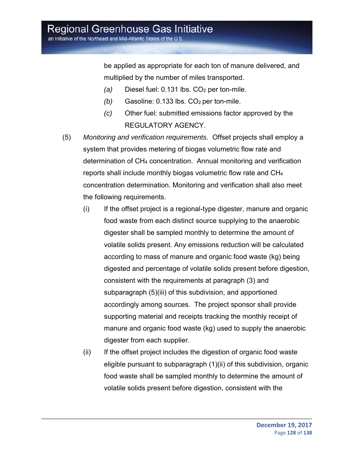be applied as appropriate for each ton of manure delivered, and multiplied by the number of miles transported.

- *(a)* Diesel fuel: 0.131 lbs. CO<sub>2</sub> per ton-mile.
- *(b)* Gasoline: 0.133 lbs. CO<sub>2</sub> per ton-mile.
- *(c)* Other fuel: submitted emissions factor approved by the REGULATORY AGENCY.
- (5) *Monitoring and verification requirements.* Offset projects shall employ a system that provides metering of biogas volumetric flow rate and determination of CH4 concentration. Annual monitoring and verification reports shall include monthly biogas volumetric flow rate and CH4 concentration determination. Monitoring and verification shall also meet the following requirements.
	- (i) If the offset project is a regional-type digester, manure and organic food waste from each distinct source supplying to the anaerobic digester shall be sampled monthly to determine the amount of volatile solids present. Any emissions reduction will be calculated according to mass of manure and organic food waste (kg) being digested and percentage of volatile solids present before digestion, consistent with the requirements at paragraph (3) and subparagraph (5)(iii) of this subdivision, and apportioned accordingly among sources. The project sponsor shall provide supporting material and receipts tracking the monthly receipt of manure and organic food waste (kg) used to supply the anaerobic digester from each supplier.
	- (ii) If the offset project includes the digestion of organic food waste eligible pursuant to subparagraph (1)(ii) of this subdivision, organic food waste shall be sampled monthly to determine the amount of volatile solids present before digestion, consistent with the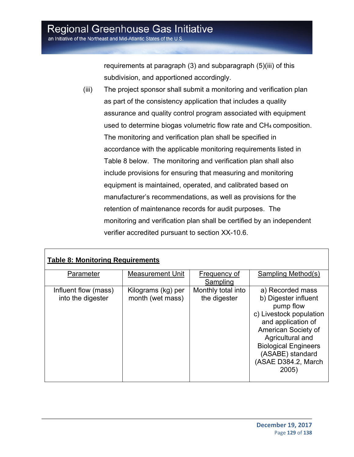requirements at paragraph (3) and subparagraph (5)(iii) of this subdivision, and apportioned accordingly.

(iii) The project sponsor shall submit a monitoring and verification plan as part of the consistency application that includes a quality assurance and quality control program associated with equipment used to determine biogas volumetric flow rate and CH4 composition. The monitoring and verification plan shall be specified in accordance with the applicable monitoring requirements listed in Table 8 below. The monitoring and verification plan shall also include provisions for ensuring that measuring and monitoring equipment is maintained, operated, and calibrated based on manufacturer's recommendations, as well as provisions for the retention of maintenance records for audit purposes. The monitoring and verification plan shall be certified by an independent verifier accredited pursuant to section XX-10.6.

| Parameter            | <b>Measurement Unit</b> | Frequency of       | Sampling Method(s)          |
|----------------------|-------------------------|--------------------|-----------------------------|
|                      |                         | <b>Sampling</b>    |                             |
| Influent flow (mass) | Kilograms (kg) per      | Monthly total into | a) Recorded mass            |
| into the digester    | month (wet mass)        | the digester       | b) Digester influent        |
|                      |                         |                    | pump flow                   |
|                      |                         |                    | c) Livestock population     |
|                      |                         |                    | and application of          |
|                      |                         |                    | American Society of         |
|                      |                         |                    | Agricultural and            |
|                      |                         |                    | <b>Biological Engineers</b> |
|                      |                         |                    | (ASABE) standard            |
|                      |                         |                    | (ASAE D384.2, March         |
|                      |                         |                    | 2005)                       |
|                      |                         |                    |                             |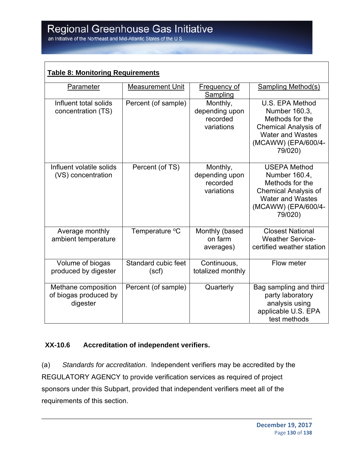| <b>Table 8: Monitoring Requirements</b>                  |                              |                                                      |                                                                                                                                                     |  |  |
|----------------------------------------------------------|------------------------------|------------------------------------------------------|-----------------------------------------------------------------------------------------------------------------------------------------------------|--|--|
| Parameter                                                | <b>Measurement Unit</b>      | Frequency of<br>Sampling                             | <b>Sampling Method(s)</b>                                                                                                                           |  |  |
| Influent total solids<br>concentration (TS)              | Percent (of sample)          | Monthly,<br>depending upon<br>recorded<br>variations | U.S. EPA Method<br>Number 160.3,<br>Methods for the<br><b>Chemical Analysis of</b><br><b>Water and Wastes</b><br>(MCAWW) (EPA/600/4-<br>79/020)     |  |  |
| Influent volatile solids<br>(VS) concentration           | Percent (of TS)              | Monthly,<br>depending upon<br>recorded<br>variations | <b>USEPA Method</b><br>Number 160.4,<br>Methods for the<br><b>Chemical Analysis of</b><br><b>Water and Wastes</b><br>(MCAWW) (EPA/600/4-<br>79/020) |  |  |
| Average monthly<br>ambient temperature                   | Temperature °C               | Monthly (based<br>on farm<br>averages)               | <b>Closest National</b><br><b>Weather Service-</b><br>certified weather station                                                                     |  |  |
| Volume of biogas<br>produced by digester                 | Standard cubic feet<br>(scf) | Continuous,<br>totalized monthly                     | Flow meter                                                                                                                                          |  |  |
| Methane composition<br>of biogas produced by<br>digester | Percent (of sample)          | Quarterly                                            | Bag sampling and third<br>party laboratory<br>analysis using<br>applicable U.S. EPA<br>test methods                                                 |  |  |

### **XX-10.6 Accreditation of independent verifiers.**

(a) *Standards for accreditation*. Independent verifiers may be accredited by the REGULATORY AGENCY to provide verification services as required of project sponsors under this Subpart, provided that independent verifiers meet all of the requirements of this section.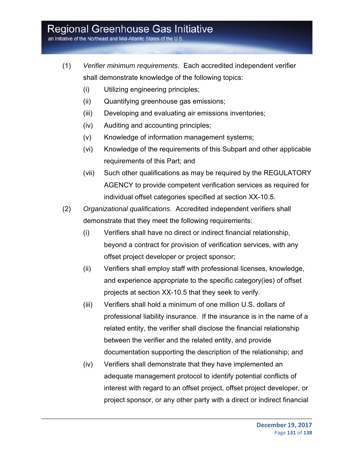an Initiative of the Northeast and Mid-Atlantic States of the U.S.

- (1) *Verifier minimum requirements*. Each accredited independent verifier shall demonstrate knowledge of the following topics:
	- (i) Utilizing engineering principles;
	- (ii) Quantifying greenhouse gas emissions;
	- (iii) Developing and evaluating air emissions inventories;
	- (iv) Auditing and accounting principles;
	- (v) Knowledge of information management systems;
	- (vi) Knowledge of the requirements of this Subpart and other applicable requirements of this Part; and
	- (vii) Such other qualifications as may be required by the REGULATORY AGENCY to provide competent verification services as required for individual offset categories specified at section XX-10.5.
- (2) *Organizational qualifications*. Accredited independent verifiers shall demonstrate that they meet the following requirements:
	- (i) Verifiers shall have no direct or indirect financial relationship, beyond a contract for provision of verification services, with any offset project developer or project sponsor;
	- (ii) Verifiers shall employ staff with professional licenses, knowledge, and experience appropriate to the specific category(ies) of offset projects at section XX-10.5 that they seek to verify.
	- (iii) Verifiers shall hold a minimum of one million U.S. dollars of professional liability insurance. If the insurance is in the name of a related entity, the verifier shall disclose the financial relationship between the verifier and the related entity, and provide documentation supporting the description of the relationship; and
	- (iv) Verifiers shall demonstrate that they have implemented an adequate management protocol to identify potential conflicts of interest with regard to an offset project, offset project developer, or project sponsor, or any other party with a direct or indirect financial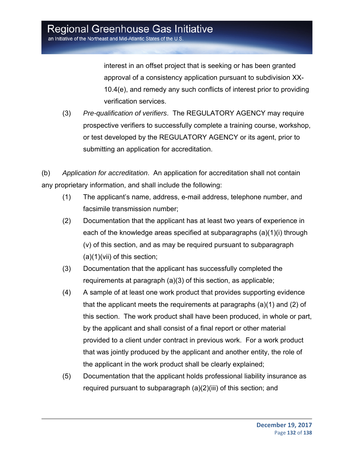interest in an offset project that is seeking or has been granted approval of a consistency application pursuant to subdivision XX-10.4(e), and remedy any such conflicts of interest prior to providing verification services.

(3) *Pre-qualification of verifiers*. The REGULATORY AGENCY may require prospective verifiers to successfully complete a training course, workshop, or test developed by the REGULATORY AGENCY or its agent, prior to submitting an application for accreditation.

(b) *Application for accreditation*. An application for accreditation shall not contain any proprietary information, and shall include the following:

- (1) The applicant's name, address, e-mail address, telephone number, and facsimile transmission number;
- (2) Documentation that the applicant has at least two years of experience in each of the knowledge areas specified at subparagraphs (a)(1)(i) through (v) of this section, and as may be required pursuant to subparagraph (a)(1)(vii) of this section;
- (3) Documentation that the applicant has successfully completed the requirements at paragraph (a)(3) of this section, as applicable;
- (4) A sample of at least one work product that provides supporting evidence that the applicant meets the requirements at paragraphs (a)(1) and (2) of this section. The work product shall have been produced, in whole or part, by the applicant and shall consist of a final report or other material provided to a client under contract in previous work. For a work product that was jointly produced by the applicant and another entity, the role of the applicant in the work product shall be clearly explained;
- (5) Documentation that the applicant holds professional liability insurance as required pursuant to subparagraph (a)(2)(iii) of this section; and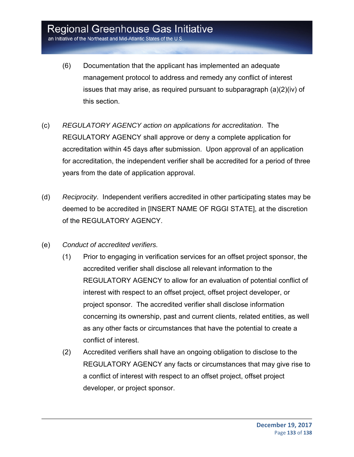- (6) Documentation that the applicant has implemented an adequate management protocol to address and remedy any conflict of interest issues that may arise, as required pursuant to subparagraph (a)(2)(iv) of this section.
- (c) *REGULATORY AGENCY action on applications for accreditation*. The REGULATORY AGENCY shall approve or deny a complete application for accreditation within 45 days after submission. Upon approval of an application for accreditation, the independent verifier shall be accredited for a period of three years from the date of application approval.
- (d) *Reciprocity*. Independent verifiers accredited in other participating states may be deemed to be accredited in [INSERT NAME OF RGGI STATE], at the discretion of the REGULATORY AGENCY.
- (e) *Conduct of accredited verifiers.*
	- (1) Prior to engaging in verification services for an offset project sponsor, the accredited verifier shall disclose all relevant information to the REGULATORY AGENCY to allow for an evaluation of potential conflict of interest with respect to an offset project, offset project developer, or project sponsor. The accredited verifier shall disclose information concerning its ownership, past and current clients, related entities, as well as any other facts or circumstances that have the potential to create a conflict of interest.
	- (2) Accredited verifiers shall have an ongoing obligation to disclose to the REGULATORY AGENCY any facts or circumstances that may give rise to a conflict of interest with respect to an offset project, offset project developer, or project sponsor.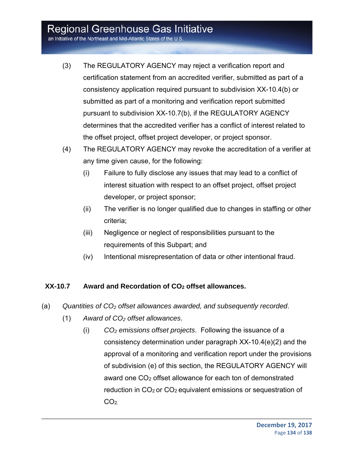an Initiative of the Northeast and Mid-Atlantic States of the U.S

- (3) The REGULATORY AGENCY may reject a verification report and certification statement from an accredited verifier, submitted as part of a consistency application required pursuant to subdivision XX-10.4(b) or submitted as part of a monitoring and verification report submitted pursuant to subdivision XX-10.7(b), if the REGULATORY AGENCY determines that the accredited verifier has a conflict of interest related to the offset project, offset project developer, or project sponsor.
- (4) The REGULATORY AGENCY may revoke the accreditation of a verifier at any time given cause, for the following:
	- (i) Failure to fully disclose any issues that may lead to a conflict of interest situation with respect to an offset project, offset project developer, or project sponsor;
	- (ii) The verifier is no longer qualified due to changes in staffing or other criteria;
	- (iii) Negligence or neglect of responsibilities pursuant to the requirements of this Subpart; and
	- (iv) Intentional misrepresentation of data or other intentional fraud.

### **XX-10.7 Award and Recordation of CO2 offset allowances.**

- (a) *Quantities of CO2 offset allowances awarded, and subsequently recorded*.
	- (1) *Award of CO2 offset allowances*.
		- (i) *CO2 emissions offset projects*. Following the issuance of a consistency determination under paragraph XX-10.4(e)(2) and the approval of a monitoring and verification report under the provisions of subdivision (e) of this section, the REGULATORY AGENCY will award one CO<sub>2</sub> offset allowance for each ton of demonstrated reduction in CO<sub>2</sub> or CO<sub>2</sub> equivalent emissions or sequestration of  $CO<sub>2</sub>$ .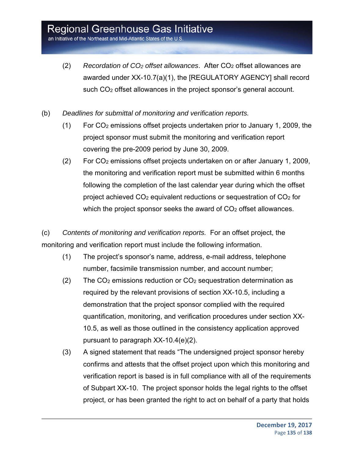an Initiative of the Northeast and Mid-Atlantic States of the U.S.

- (2) *Recordation of CO2 offset allowances*. After CO2 offset allowances are awarded under XX-10.7(a)(1), the [REGULATORY AGENCY] shall record such CO<sub>2</sub> offset allowances in the project sponsor's general account.
- (b) *Deadlines for submittal of monitoring and verification reports.*
	- (1) For CO2 emissions offset projects undertaken prior to January 1, 2009, the project sponsor must submit the monitoring and verification report covering the pre-2009 period by June 30, 2009.
	- (2) For CO2 emissions offset projects undertaken on or after January 1, 2009, the monitoring and verification report must be submitted within 6 months following the completion of the last calendar year during which the offset project achieved  $CO<sub>2</sub>$  equivalent reductions or sequestration of  $CO<sub>2</sub>$  for which the project sponsor seeks the award of  $CO<sub>2</sub>$  offset allowances.

(c) *Contents of monitoring and verification reports.* For an offset project, the monitoring and verification report must include the following information.

- (1) The project's sponsor's name, address, e-mail address, telephone number, facsimile transmission number, and account number;
- $(2)$  The CO<sub>2</sub> emissions reduction or CO<sub>2</sub> sequestration determination as required by the relevant provisions of section XX-10.5, including a demonstration that the project sponsor complied with the required quantification, monitoring, and verification procedures under section XX-10.5, as well as those outlined in the consistency application approved pursuant to paragraph XX-10.4(e)(2).
- (3) A signed statement that reads "The undersigned project sponsor hereby confirms and attests that the offset project upon which this monitoring and verification report is based is in full compliance with all of the requirements of Subpart XX-10. The project sponsor holds the legal rights to the offset project, or has been granted the right to act on behalf of a party that holds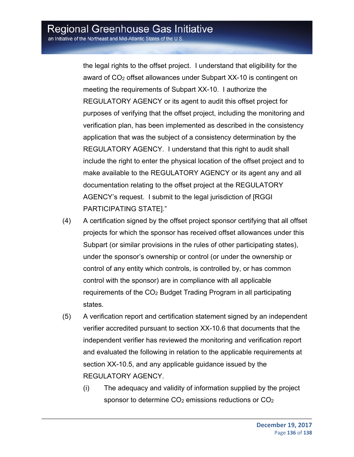the legal rights to the offset project. I understand that eligibility for the award of CO<sub>2</sub> offset allowances under Subpart XX-10 is contingent on meeting the requirements of Subpart XX-10. I authorize the REGULATORY AGENCY or its agent to audit this offset project for purposes of verifying that the offset project, including the monitoring and verification plan, has been implemented as described in the consistency application that was the subject of a consistency determination by the REGULATORY AGENCY. I understand that this right to audit shall include the right to enter the physical location of the offset project and to make available to the REGULATORY AGENCY or its agent any and all documentation relating to the offset project at the REGULATORY AGENCY's request. I submit to the legal jurisdiction of [RGGI PARTICIPATING STATE]."

- (4) A certification signed by the offset project sponsor certifying that all offset projects for which the sponsor has received offset allowances under this Subpart (or similar provisions in the rules of other participating states), under the sponsor's ownership or control (or under the ownership or control of any entity which controls, is controlled by, or has common control with the sponsor) are in compliance with all applicable requirements of the CO2 Budget Trading Program in all participating states.
- (5) A verification report and certification statement signed by an independent verifier accredited pursuant to section XX-10.6 that documents that the independent verifier has reviewed the monitoring and verification report and evaluated the following in relation to the applicable requirements at section XX-10.5, and any applicable guidance issued by the REGULATORY AGENCY.
	- (i) The adequacy and validity of information supplied by the project sponsor to determine CO<sub>2</sub> emissions reductions or CO<sub>2</sub>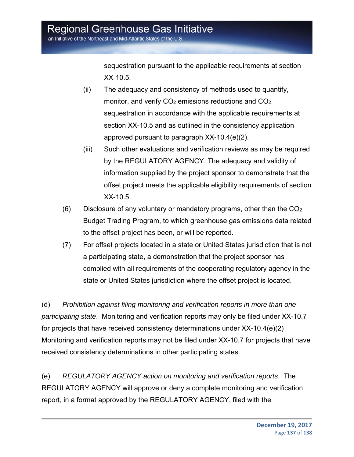sequestration pursuant to the applicable requirements at section XX-10.5.

- (ii) The adequacy and consistency of methods used to quantify, monitor, and verify CO<sub>2</sub> emissions reductions and CO<sub>2</sub> sequestration in accordance with the applicable requirements at section XX-10.5 and as outlined in the consistency application approved pursuant to paragraph XX-10.4(e)(2).
- (iii) Such other evaluations and verification reviews as may be required by the REGULATORY AGENCY. The adequacy and validity of information supplied by the project sponsor to demonstrate that the offset project meets the applicable eligibility requirements of section XX-10.5.
- $(6)$  Disclosure of any voluntary or mandatory programs, other than the  $CO<sub>2</sub>$ Budget Trading Program, to which greenhouse gas emissions data related to the offset project has been, or will be reported.
- (7) For offset projects located in a state or United States jurisdiction that is not a participating state, a demonstration that the project sponsor has complied with all requirements of the cooperating regulatory agency in the state or United States jurisdiction where the offset project is located.

(d) *Prohibition against filing monitoring and verification reports in more than one participating state*. Monitoring and verification reports may only be filed under XX-10.7 for projects that have received consistency determinations under XX-10.4(e)(2) Monitoring and verification reports may not be filed under XX-10.7 for projects that have received consistency determinations in other participating states.

(e) *REGULATORY AGENCY action on monitoring and verification reports*. The REGULATORY AGENCY will approve or deny a complete monitoring and verification report, in a format approved by the REGULATORY AGENCY, filed with the